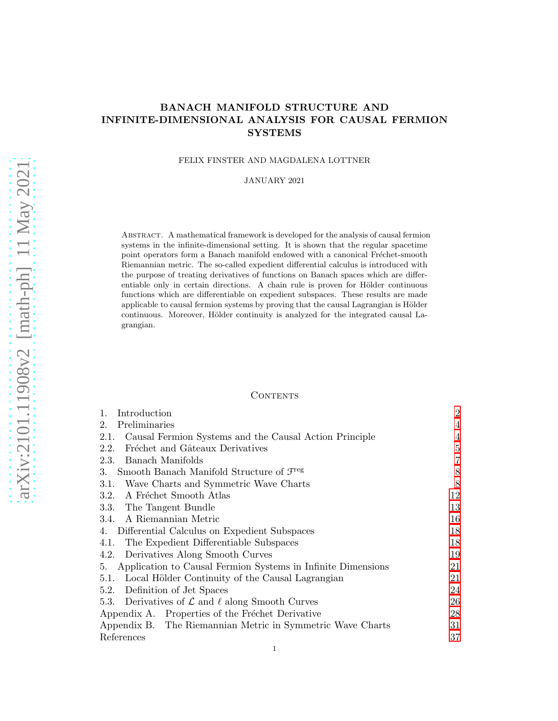# BANACH MANIFOLD STRUCTURE AND INFINITE-DIMENSIONAL ANALYSIS FOR CAUSAL FERMION **SYSTEMS**

## FELIX FINSTER AND MAGDALENA LOTTNER

### JANUARY 2021

Abstract. A mathematical framework is developed for the analysis of causal fermion systems in the infinite-dimensional setting. It is shown that the regular spacetime point operators form a Banach manifold endowed with a canonical Fréchet-smooth Riemannian metric. The so-called expedient differential calculus is introduced with the purpose of treating derivatives of functions on Banach spaces which are differentiable only in certain directions. A chain rule is proven for Hölder continuous functions which are differentiable on expedient subspaces. These results are made applicable to causal fermion systems by proving that the causal Lagrangian is Hölder continuous. Moreover, Hölder continuity is analyzed for the integrated causal Lagrangian.

# **CONTENTS**

| Introduction<br>1.                                                   | $\overline{2}$ |
|----------------------------------------------------------------------|----------------|
| Preliminaries<br>$2_{-}$                                             | 4              |
| Causal Fermion Systems and the Causal Action Principle<br>2.1.       | $\overline{4}$ |
| Fréchet and Gâteaux Derivatives<br>2.2.                              | 5              |
| Banach Manifolds<br>2.3.                                             | $\overline{7}$ |
| Smooth Banach Manifold Structure of $\mathcal{F}^{\text{reg}}$<br>3. | 8              |
| Wave Charts and Symmetric Wave Charts<br>3.1.                        | 8              |
| A Fréchet Smooth Atlas<br>3.2.                                       | 12             |
| 3.3. The Tangent Bundle                                              | 13             |
| 3.4. A Riemannian Metric                                             | 16             |
| Differential Calculus on Expedient Subspaces<br>4.                   | 18             |
| The Expedient Differentiable Subspaces<br>4.1.                       | 18             |
| Derivatives Along Smooth Curves<br>4.2.                              | 19             |
| Application to Causal Fermion Systems in Infinite Dimensions<br>5.   | 21             |
| Local Hölder Continuity of the Causal Lagrangian<br>5.1.             | 21             |
| Definition of Jet Spaces<br>5.2.                                     | 24             |
| 5.3. Derivatives of $\mathcal L$ and $\ell$ along Smooth Curves      | 26             |
| Appendix A. Properties of the Fréchet Derivative                     | 28             |
| Appendix B. The Riemannian Metric in Symmetric Wave Charts           | 31             |
| References                                                           | 37             |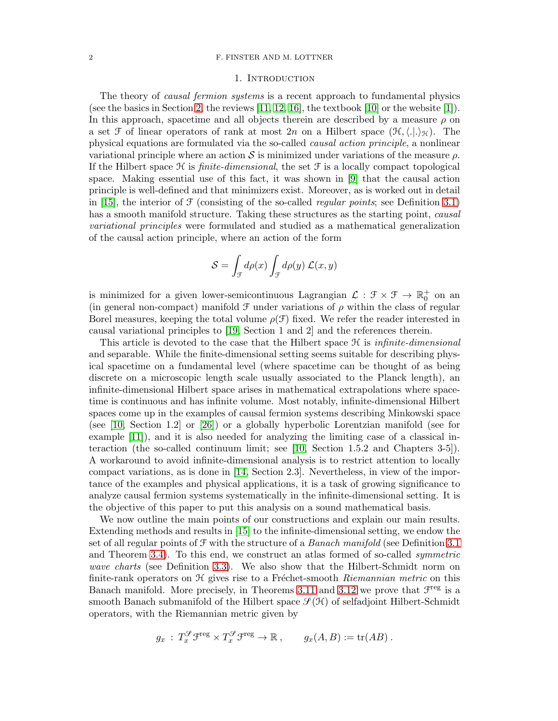#### <span id="page-1-0"></span>2 F. FINSTER AND M. LOTTNER

## 1. Introduction

The theory of *causal fermion systems* is a recent approach to fundamental physics (see the basics in Section [2,](#page-3-0) the reviews  $[11, 12, 16]$  $[11, 12, 16]$  $[11, 12, 16]$ , the textbook  $[10]$  or the website  $[1]$ ). In this approach, spacetime and all objects therein are described by a measure  $\rho$  on a set F of linear operators of rank at most 2n on a Hilbert space  $(\mathcal{H},\langle .\rangle_{\mathcal{H}})$ . The physical equations are formulated via the so-called causal action principle, a nonlinear variational principle where an action S is minimized under variations of the measure  $\rho$ . If the Hilbert space  $\mathcal H$  is *finite-dimensional*, the set  $\mathcal F$  is a locally compact topological space. Making essential use of this fact, it was shown in [\[9\]](#page-36-6) that the causal action principle is well-defined and that minimizers exist. Moreover, as is worked out in detail in [\[15\]](#page-36-7), the interior of  $\mathcal F$  (consisting of the so-called *regular points*; see Definition [3.1\)](#page-7-2) has a smooth manifold structure. Taking these structures as the starting point, *causal* variational principles were formulated and studied as a mathematical generalization of the causal action principle, where an action of the form

$$
S = \int_{\mathcal{F}} d\rho(x) \int_{\mathcal{F}} d\rho(y) \mathcal{L}(x, y)
$$

is minimized for a given lower-semicontinuous Lagrangian  $\mathcal{L}: \mathcal{F} \times \mathcal{F} \to \mathbb{R}_0^+$  on an (in general non-compact) manifold  $\mathcal F$  under variations of  $\rho$  within the class of regular Borel measures, keeping the total volume  $\rho(\mathcal{F})$  fixed. We refer the reader interested in causal variational principles to [\[19,](#page-36-8) Section 1 and 2] and the references therein.

This article is devoted to the case that the Hilbert space  $\mathcal H$  is infinite-dimensional and separable. While the finite-dimensional setting seems suitable for describing physical spacetime on a fundamental level (where spacetime can be thought of as being discrete on a microscopic length scale usually associated to the Planck length), an infinite-dimensional Hilbert space arises in mathematical extrapolations where spacetime is continuous and has infinite volume. Most notably, infinite-dimensional Hilbert spaces come up in the examples of causal fermion systems describing Minkowski space (see [\[10,](#page-36-4) Section 1.2] or [\[26\]](#page-37-0)) or a globally hyperbolic Lorentzian manifold (see for example [\[11\]](#page-36-1)), and it is also needed for analyzing the limiting case of a classical interaction (the so-called continuum limit; see [\[10,](#page-36-4) Section 1.5.2 and Chapters 3-5]). A workaround to avoid infinite-dimensional analysis is to restrict attention to locally compact variations, as is done in [\[14,](#page-36-9) Section 2.3]. Nevertheless, in view of the importance of the examples and physical applications, it is a task of growing significance to analyze causal fermion systems systematically in the infinite-dimensional setting. It is the objective of this paper to put this analysis on a sound mathematical basis.

We now outline the main points of our constructions and explain our main results. Extending methods and results in [\[15\]](#page-36-7) to the infinite-dimensional setting, we endow the set of all regular points of  $\mathcal F$  with the structure of a *Banach manifold* (see Definition [3.1](#page-7-2)) and Theorem [3.4\)](#page-11-1). To this end, we construct an atlas formed of so-called symmetric wave charts (see Definition [3.3\)](#page-10-0). We also show that the Hilbert-Schmidt norm on finite-rank operators on  $H$  gives rise to a Fréchet-smooth Riemannian metric on this Banach manifold. More precisely, in Theorems [3.11](#page-15-1) and [3.12](#page-16-0) we prove that  $\mathcal{F}^{\text{reg}}$  is a smooth Banach submanifold of the Hilbert space  $\mathcal{S}(\mathcal{H})$  of selfadjoint Hilbert-Schmidt operators, with the Riemannian metric given by

$$
g_x : T_x^{\mathcal{G}} \mathcal{F}^{\text{reg}} \times T_x^{\mathcal{G}} \mathcal{F}^{\text{reg}} \to \mathbb{R}, \qquad g_x(A, B) := \text{tr}(AB) .
$$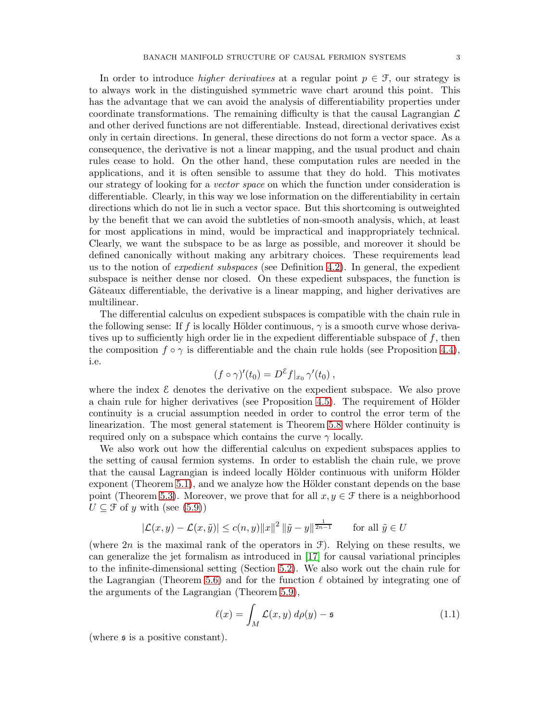In order to introduce *higher derivatives* at a regular point  $p \in \mathcal{F}$ , our strategy is to always work in the distinguished symmetric wave chart around this point. This has the advantage that we can avoid the analysis of differentiability properties under coordinate transformations. The remaining difficulty is that the causal Lagrangian  $\mathcal{L}$ and other derived functions are not differentiable. Instead, directional derivatives exist only in certain directions. In general, these directions do not form a vector space. As a consequence, the derivative is not a linear mapping, and the usual product and chain rules cease to hold. On the other hand, these computation rules are needed in the applications, and it is often sensible to assume that they do hold. This motivates our strategy of looking for a *vector space* on which the function under consideration is differentiable. Clearly, in this way we lose information on the differentiability in certain directions which do not lie in such a vector space. But this shortcoming is outweighted

by the benefit that we can avoid the subtleties of non-smooth analysis, which, at least for most applications in mind, would be impractical and inappropriately technical. Clearly, we want the subspace to be as large as possible, and moreover it should be defined canonically without making any arbitrary choices. These requirements lead us to the notion of *expedient subspaces* (see Definition [4.2\)](#page-17-2). In general, the expedient subspace is neither dense nor closed. On these expedient subspaces, the function is Gâteaux differentiable, the derivative is a linear mapping, and higher derivatives are multilinear.

The differential calculus on expedient subspaces is compatible with the chain rule in the following sense: If f is locally Hölder continuous,  $\gamma$  is a smooth curve whose derivatives up to sufficiently high order lie in the expedient differentiable subspace of f, then the composition  $f \circ \gamma$  is differentiable and the chain rule holds (see Proposition [4.4\)](#page-18-1), i.e.

$$
(f \circ \gamma)'(t_0) = D^{\varepsilon} f|_{x_0} \gamma'(t_0) ,
$$

where the index  $\mathcal E$  denotes the derivative on the expedient subspace. We also prove a chain rule for higher derivatives (see Proposition [4.5\)](#page-19-0). The requirement of Hölder continuity is a crucial assumption needed in order to control the error term of the linearization. The most general statement is Theorem [5.8](#page-26-0) where Hölder continuity is required only on a subspace which contains the curve  $\gamma$  locally.

We also work out how the differential calculus on expedient subspaces applies to the setting of causal fermion systems. In order to establish the chain rule, we prove that the causal Lagrangian is indeed locally Hölder continuous with uniform Hölder exponent (Theorem [5.1\)](#page-20-2), and we analyze how the Hölder constant depends on the base point (Theorem [5.3\)](#page-22-0). Moreover, we prove that for all  $x, y \in \mathcal{F}$  there is a neighborhood  $U \subseteq \mathcal{F}$  of y with (see [\(5.9\)](#page-23-1))

$$
|\mathcal{L}(x, y) - \mathcal{L}(x, \tilde{y})| \le c(n, y) ||x||^2 ||\tilde{y} - y||^{\frac{1}{2n-1}}
$$
 for all  $\tilde{y} \in U$ 

(where  $2n$  is the maximal rank of the operators in  $\mathcal{F}$ ). Relying on these results, we can generalize the jet formalism as introduced in [\[17\]](#page-36-10) for causal variational principles to the infinite-dimensional setting (Section [5.2\)](#page-23-0). We also work out the chain rule for the Lagrangian (Theorem [5.6\)](#page-25-1) and for the function  $\ell$  obtained by integrating one of the arguments of the Lagrangian (Theorem [5.9\)](#page-26-1),

<span id="page-2-0"></span>
$$
\ell(x) = \int_M \mathcal{L}(x, y) \, d\rho(y) - \mathfrak{s} \tag{1.1}
$$

(where s is a positive constant).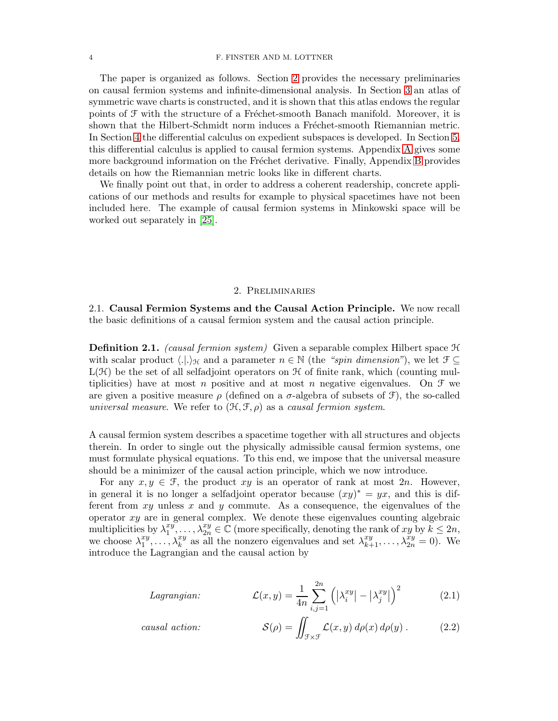#### 4 F. FINSTER AND M. LOTTNER

The paper is organized as follows. Section [2](#page-3-0) provides the necessary preliminaries on causal fermion systems and infinite-dimensional analysis. In Section [3](#page-7-0) an atlas of symmetric wave charts is constructed, and it is shown that this atlas endows the regular points of  $\mathcal F$  with the structure of a Fréchet-smooth Banach manifold. Moreover, it is shown that the Hilbert-Schmidt norm induces a Fréchet-smooth Riemannian metric. In Section [4](#page-17-0) the differential calculus on expedient subspaces is developed. In Section [5,](#page-20-0) this differential calculus is applied to causal fermion systems. Appendix [A](#page-27-0) gives some more background information on the Fréchet derivative. Finally, Appendix [B](#page-30-0) provides details on how the Riemannian metric looks like in different charts.

We finally point out that, in order to address a coherent readership, concrete applications of our methods and results for example to physical spacetimes have not been included here. The example of causal fermion systems in Minkowski space will be worked out separately in [\[25\]](#page-37-1).

# 2. Preliminaries

<span id="page-3-1"></span><span id="page-3-0"></span>2.1. Causal Fermion Systems and the Causal Action Principle. We now recall the basic definitions of a causal fermion system and the causal action principle.

**Definition 2.1.** (causal fermion system) Given a separable complex Hilbert space  $\mathcal{H}$ with scalar product  $\langle .|. \rangle_{\mathcal{H}}$  and a parameter  $n \in \mathbb{N}$  (the "spin dimension"), we let  $\mathcal{F} \subseteq$  $L(\mathcal{H})$  be the set of all selfadjoint operators on  $\mathcal H$  of finite rank, which (counting multiplicities) have at most n positive and at most n negative eigenvalues. On  $\mathcal F$  we are given a positive measure  $\rho$  (defined on a  $\sigma$ -algebra of subsets of  $\mathcal{F}$ ), the so-called universal measure. We refer to  $(\mathcal{H}, \mathcal{F}, \rho)$  as a causal fermion system.

A causal fermion system describes a spacetime together with all structures and objects therein. In order to single out the physically admissible causal fermion systems, one must formulate physical equations. To this end, we impose that the universal measure should be a minimizer of the causal action principle, which we now introduce.

For any  $x, y \in \mathcal{F}$ , the product  $xy$  is an operator of rank at most  $2n$ . However, in general it is no longer a selfadjoint operator because  $(xy)^* = yx$ , and this is different from  $xy$  unless  $x$  and  $y$  commute. As a consequence, the eigenvalues of the operator  $xy$  are in general complex. We denote these eigenvalues counting algebraic multiplicities by  $\lambda_1^{xy}$  $x_1^y, \ldots, x_{2n}^y \in \mathbb{C}$  (more specifically, denoting the rank of  $xy$  by  $k \leq 2n$ , we choose  $\lambda_1^{xy}$  $x_1^{xy}, \ldots, \lambda_k^{xy}$  as all the nonzero eigenvalues and set  $\lambda_{k+1}^{xy}, \ldots, \lambda_{2n}^{xy} = 0$ ). We introduce the Lagrangian and the causal action by

Lagrangian: 
$$
\mathcal{L}(x,y) = \frac{1}{4n} \sum_{i,j=1}^{2n} \left( |\lambda_i^{xy}| - |\lambda_j^{xy}| \right)^2 \quad (2.1)
$$

causal action: 
$$
\mathcal{S}(\rho) = \iint_{\mathcal{F}\times\mathcal{F}} \mathcal{L}(x, y) \, d\rho(x) \, d\rho(y) \, . \tag{2.2}
$$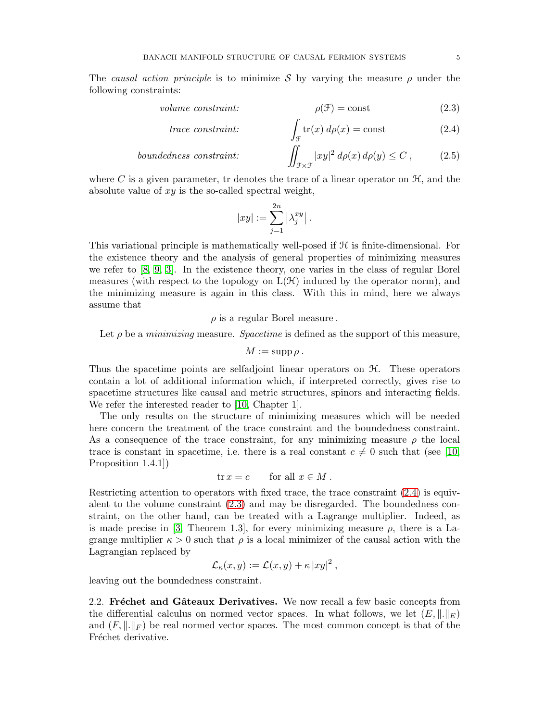The causal action principle is to minimize S by varying the measure  $\rho$  under the following constraints:

$$
volume\ constraint: \qquad \rho(\mathcal{F}) = \text{const} \tag{2.3}
$$

trace constraint: 
$$
\int_{\mathcal{F}} tr(x) d\rho(x) = \text{const}
$$
 (2.4)

*boundedness constraint:* 
$$
\iint_{\mathcal{F}\times\mathcal{F}} |xy|^2 d\rho(x) d\rho(y) \leq C , \qquad (2.5)
$$

where C is a given parameter, tr denotes the trace of a linear operator on  $H$ , and the absolute value of  $xy$  is the so-called spectral weight,

<span id="page-4-2"></span><span id="page-4-1"></span>
$$
|xy| := \sum_{j=1}^{2n} \left| \lambda_j^{xy} \right|.
$$

This variational principle is mathematically well-posed if H is finite-dimensional. For the existence theory and the analysis of general properties of minimizing measures we refer to [\[8,](#page-36-11) [9,](#page-36-6) [3\]](#page-36-12). In the existence theory, one varies in the class of regular Borel measures (with respect to the topology on  $L(\mathcal{H})$  induced by the operator norm), and the minimizing measure is again in this class. With this in mind, here we always assume that

 $\rho$  is a regular Borel measure.

Let  $\rho$  be a *minimizing* measure. *Spacetime* is defined as the support of this measure,

 $M := \operatorname{supp} \rho$ .

Thus the spacetime points are selfadjoint linear operators on H. These operators contain a lot of additional information which, if interpreted correctly, gives rise to spacetime structures like causal and metric structures, spinors and interacting fields. We refer the interested reader to [\[10,](#page-36-4) Chapter 1].

The only results on the structure of minimizing measures which will be needed here concern the treatment of the trace constraint and the boundedness constraint. As a consequence of the trace constraint, for any minimizing measure  $\rho$  the local trace is constant in spacetime, i.e. there is a real constant  $c \neq 0$  such that (see [\[10,](#page-36-4) Proposition 1.4.1])

$$
\text{tr}\,x = c \qquad \text{for all } x \in M \,.
$$

Restricting attention to operators with fixed trace, the trace constraint [\(2.4\)](#page-4-1) is equivalent to the volume constraint [\(2.3\)](#page-4-2) and may be disregarded. The boundedness constraint, on the other hand, can be treated with a Lagrange multiplier. Indeed, as is made precise in [\[3,](#page-36-12) Theorem 1.3], for every minimizing measure  $\rho$ , there is a Lagrange multiplier  $\kappa > 0$  such that  $\rho$  is a local minimizer of the causal action with the Lagrangian replaced by

$$
\mathcal{L}_{\kappa}(x,y) := \mathcal{L}(x,y) + \kappa |xy|^2 ,
$$

<span id="page-4-0"></span>leaving out the boundedness constraint.

2.2. Fréchet and Gâteaux Derivatives. We now recall a few basic concepts from the differential calculus on normed vector spaces. In what follows, we let  $(E, \|\cdot\|_E)$ and  $(F, \|\cdot\|_F)$  be real normed vector spaces. The most common concept is that of the Fréchet derivative.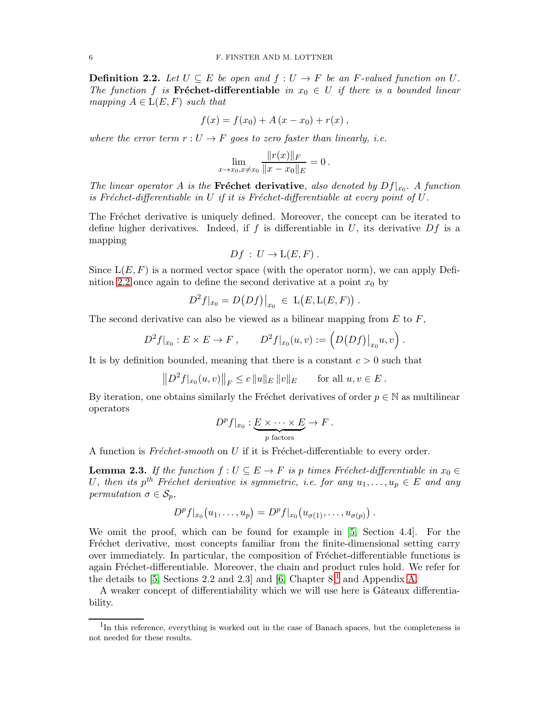<span id="page-5-0"></span>**Definition 2.2.** Let  $U \subseteq E$  be open and  $f : U \to F$  be an F-valued function on U. The function f is Fréchet-differentiable in  $x_0 \in U$  if there is a bounded linear mapping  $A \in L(E, F)$  such that

$$
f(x) = f(x_0) + A (x - x_0) + r(x),
$$

where the error term  $r: U \to F$  goes to zero faster than linearly, *i.e.* 

$$
\lim_{x \to x_0, x \neq x_0} \frac{\|r(x)\|_F}{\|x - x_0\|_E} = 0.
$$

The linear operator A is the **Fréchet derivative**, also denoted by  $Df|_{x_0}$ . A function is Fréchet-differentiable in U if it is Fréchet-differentiable at every point of  $U$ .

The Fréchet derivative is uniquely defined. Moreover, the concept can be iterated to define higher derivatives. Indeed, if f is differentiable in U, its derivative  $Df$  is a mapping

$$
Df: U \to L(E, F) .
$$

Since  $L(E, F)$  is a normed vector space (with the operator norm), we can apply Defi-nition [2.2](#page-5-0) once again to define the second derivative at a point  $x_0$  by

$$
D^{2} f|_{x_{0}} = D(Df)|_{x_{0}} \in \mathcal{L}(E, \mathcal{L}(E, F)).
$$

The second derivative can also be viewed as a bilinear mapping from  $E$  to  $F$ ,

$$
D^{2}f|_{x_{0}}: E \times E \to F, \qquad D^{2}f|_{x_{0}}(u,v) := (D(Df)|_{x_{0}}u,v).
$$

It is by definition bounded, meaning that there is a constant  $c > 0$  such that

$$
||D^2 f|_{x_0}(u, v)||_F \le c ||u||_E ||v||_E
$$
 for all  $u, v \in E$ .

By iteration, one obtains similarly the Fréchet derivatives of order  $p \in \mathbb{N}$  as multilinear operators

$$
Dp f|_{x_0}: \underbrace{E \times \cdots \times E}_{p \text{ factors}} \to F.
$$

A function is  $Fréchet-smooth$  on U if it is Fréchet-differentiable to every order.

<span id="page-5-2"></span>**Lemma 2.3.** If the function  $f: U \subseteq E \to F$  is p times Fréchet-differentiable in  $x_0 \in$ U, then its p<sup>th</sup> Fréchet derivative is symmetric, i.e. for any  $u_1, \ldots, u_p \in E$  and any permutation  $\sigma \in \mathcal{S}_p$ ,

$$
Dp f|_{x_0}(u_1,\ldots,u_p) = Dp f|_{x_0}(u_{\sigma(1)},\ldots,u_{\sigma(p)})
$$

We omit the proof, which can be found for example in [\[5,](#page-36-13) Section 4.4]. For the Fréchet derivative, most concepts familiar from the finite-dimensional setting carry over immediately. In particular, the composition of Fréchet-differentiable functions is again Fréchet-differentiable. Moreover, the chain and product rules hold. We refer for the details to [\[5,](#page-36-13) Sections 2.2 and 2.3] and [\[6,](#page-36-14) Chapter  $8$ ]<sup>[1](#page-5-1)</sup> and Appendix [A.](#page-27-0)

A weaker concept of differentiability which we will use here is Gâteaux differentiability.

<span id="page-5-1"></span><sup>&</sup>lt;sup>1</sup>In this reference, everything is worked out in the case of Banach spaces, but the completeness is not needed for these results.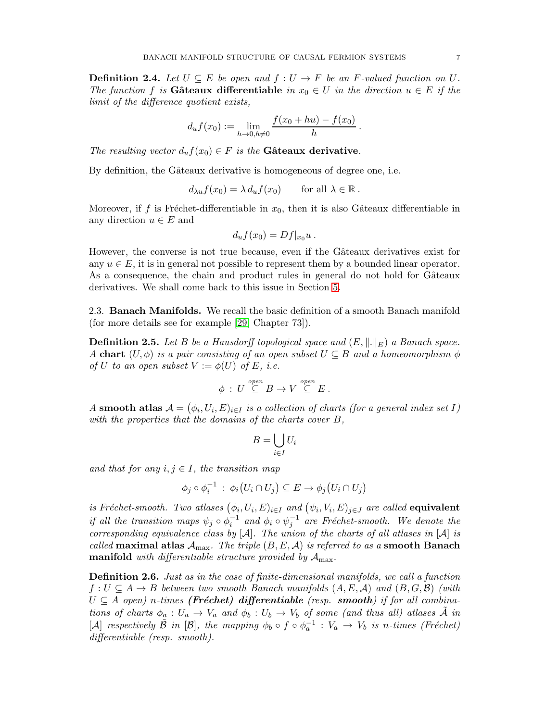**Definition 2.4.** Let  $U \subseteq E$  be open and  $f : U \to F$  be an F-valued function on U. The function f is Gâteaux differentiable in  $x_0 \in U$  in the direction  $u \in E$  if the limit of the difference quotient exists,

$$
d_u f(x_0) := \lim_{h \to 0, h \neq 0} \frac{f(x_0 + hu) - f(x_0)}{h}.
$$

The resulting vector  $d_u f(x_0) \in F$  is the Gâteaux derivative.

By definition, the Gâteaux derivative is homogeneous of degree one, i.e.

$$
d_{\lambda u} f(x_0) = \lambda d_u f(x_0) \quad \text{for all } \lambda \in \mathbb{R}.
$$

Moreover, if f is Fréchet-differentiable in  $x_0$ , then it is also Gâteaux differentiable in any direction  $u \in E$  and

$$
d_u f(x_0) = Df|_{x_0} u.
$$

However, the converse is not true because, even if the Gâteaux derivatives exist for any  $u \in E$ , it is in general not possible to represent them by a bounded linear operator. As a consequence, the chain and product rules in general do not hold for Gâteaux derivatives. We shall come back to this issue in Section [5.](#page-20-0)

<span id="page-6-0"></span>2.3. Banach Manifolds. We recall the basic definition of a smooth Banach manifold (for more details see for example [\[29,](#page-37-2) Chapter 73]).

<span id="page-6-1"></span>**Definition 2.5.** Let B be a Hausdorff topological space and  $(E, \|\cdot\|_E)$  a Banach space. A chart  $(U, \phi)$  is a pair consisting of an open subset  $U \subseteq B$  and a homeomorphism  $\phi$ of U to an open subset  $V := \phi(U)$  of E, i.e.

$$
\phi\,:\,U\stackrel{open}\subseteq B\to V\stackrel{open}\subseteq E\,.
$$

A smooth atlas  $A = (\phi_i, U_i, E)_{i \in I}$  is a collection of charts (for a general index set I) with the properties that the domains of the charts cover B,

$$
B = \bigcup_{i \in I} U_i
$$

and that for any  $i, j \in I$ , the transition map

$$
\phi_j \circ \phi_i^{-1} : \phi_i(U_i \cap U_j) \subseteq E \to \phi_j(U_i \cap U_j)
$$

is Fréchet-smooth. Two atlases  $(\phi_i, U_i, E)_{i \in I}$  and  $(\psi_i, V_i, E)_{j \in J}$  are called **equivalent** if all the transition maps  $\psi_j \circ \phi_i^{-1}$  and  $\phi_i \circ \psi_j^{-1}$  are Fréchet-smooth. We denote the corresponding equivalence class by  $[\mathcal{A}]$ . The union of the charts of all atlases in  $[\mathcal{A}]$  is called maximal atlas  $\mathcal{A}_{\text{max}}$ . The triple  $(B, E, \mathcal{A})$  is referred to as a smooth Banach **manifold** with differentiable structure provided by  $A_{\text{max}}$ .

Definition 2.6. Just as in the case of finite-dimensional manifolds, we call a function  $f: U \subseteq A \rightarrow B$  between two smooth Banach manifolds  $(A, E, A)$  and  $(B, G, B)$  (with  $U \subseteq A$  open) n-times (**Fréchet) differentiable** (resp. **smooth**) if for all combinations of charts  $\phi_a: U_a \to V_a$  and  $\phi_b: U_b \to V_b$  of some (and thus all) atlases  $\mathcal A$  in [A] respectively  $\tilde{B}$  in [B], the mapping  $\phi_b \circ f \circ \phi_a^{-1} : V_a \to V_b$  is n-times (Fréchet) differentiable (resp. smooth).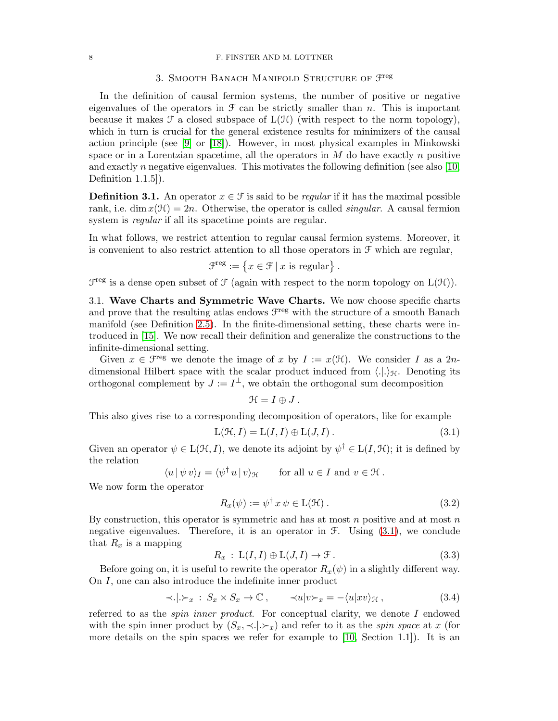#### <span id="page-7-0"></span>8 F. FINSTER AND M. LOTTNER

# 3. SMOOTH BANACH MANIFOLD STRUCTURE OF  $\mathcal{F}^{\text{reg}}$

In the definition of causal fermion systems, the number of positive or negative eigenvalues of the operators in  $\mathcal F$  can be strictly smaller than n. This is important because it makes  $\mathcal F$  a closed subspace of  $L(\mathcal H)$  (with respect to the norm topology), which in turn is crucial for the general existence results for minimizers of the causal action principle (see [\[9\]](#page-36-6) or [\[18\]](#page-36-15)). However, in most physical examples in Minkowski space or in a Lorentzian spacetime, all the operators in  $M$  do have exactly  $n$  positive and exactly n negative eigenvalues. This motivates the following definition (see also  $[10,$ Definition 1.1.5]).

<span id="page-7-2"></span>**Definition 3.1.** An operator  $x \in \mathcal{F}$  is said to be *regular* if it has the maximal possible rank, i.e. dim  $x(\mathcal{H}) = 2n$ . Otherwise, the operator is called *singular*. A causal fermion system is *regular* if all its spacetime points are regular.

In what follows, we restrict attention to regular causal fermion systems. Moreover, it is convenient to also restrict attention to all those operators in  $\mathcal F$  which are regular,

$$
\mathcal{F}^{\text{reg}} := \{ x \in \mathcal{F} \mid x \text{ is regular} \} .
$$

<span id="page-7-1"></span> $\mathcal{F}^{\text{reg}}$  is a dense open subset of  $\mathcal{F}$  (again with respect to the norm topology on  $L(\mathcal{H})$ ).

3.1. Wave Charts and Symmetric Wave Charts. We now choose specific charts and prove that the resulting atlas endows  $\mathcal{F}^{\text{reg}}$  with the structure of a smooth Banach manifold (see Definition [2.5\)](#page-6-1). In the finite-dimensional setting, these charts were introduced in [\[15\]](#page-36-7). We now recall their definition and generalize the constructions to the infinite-dimensional setting.

Given  $x \in \mathcal{F}^{\text{reg}}$  we denote the image of x by  $I := x(\mathcal{H})$ . We consider I as a 2ndimensional Hilbert space with the scalar product induced from  $\langle . \rangle_{\mathcal{H}}$ . Denoting its orthogonal complement by  $J := I^{\perp}$ , we obtain the orthogonal sum decomposition

$$
\mathcal{H}=I\oplus J\ .
$$

This also gives rise to a corresponding decomposition of operators, like for example

<span id="page-7-3"></span>
$$
L(\mathcal{H}, I) = L(I, I) \oplus L(J, I). \qquad (3.1)
$$

Given an operator  $\psi \in L(\mathcal{H}, I)$ , we denote its adjoint by  $\psi^{\dagger} \in L(I, \mathcal{H})$ ; it is defined by the relation

$$
\langle u | \psi v \rangle_I = \langle \psi^\dagger u | v \rangle_{\mathcal{H}} \quad \text{for all } u \in I \text{ and } v \in \mathcal{H}.
$$

We now form the operator

<span id="page-7-5"></span>
$$
R_x(\psi) := \psi^{\dagger} x \psi \in \mathcal{L}(\mathcal{H}). \tag{3.2}
$$

By construction, this operator is symmetric and has at most  $n$  positive and at most  $n$ negative eigenvalues. Therefore, it is an operator in  $\mathcal{F}$ . Using [\(3.1\)](#page-7-3), we conclude that  $R_x$  is a mapping

<span id="page-7-6"></span>
$$
R_x : \mathcal{L}(I, I) \oplus \mathcal{L}(J, I) \to \mathcal{F}.
$$
\n(3.3)

Before going on, it is useful to rewrite the operator  $R_x(\psi)$  in a slightly different way. On I, one can also introduce the indefinite inner product

<span id="page-7-4"></span>
$$
\langle |\rangle_{x} : S_x \times S_x \to \mathbb{C}, \qquad \langle u | v \rangle_{x} = -\langle u | xv \rangle_{\mathcal{H}}, \tag{3.4}
$$

referred to as the *spin inner product*. For conceptual clarity, we denote  $I$  endowed with the spin inner product by  $(S_x, \prec | \succ_x)$  and refer to it as the spin space at x (for more details on the spin spaces we refer for example to [\[10,](#page-36-4) Section 1.1]). It is an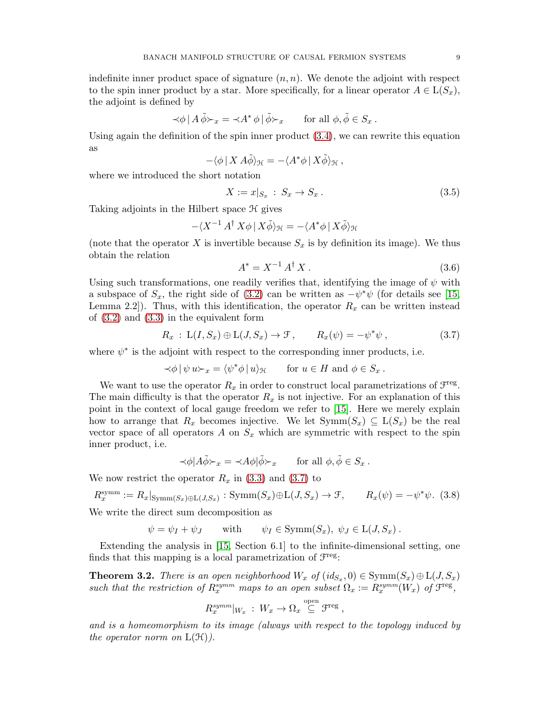indefinite inner product space of signature  $(n, n)$ . We denote the adjoint with respect to the spin inner product by a star. More specifically, for a linear operator  $A \in L(S_x)$ , the adjoint is defined by

$$
\prec \phi \mid A \tilde{\phi} \succ_x \ = \ \prec A^* \phi \mid \tilde{\phi} \succ_x \qquad \text{for all } \phi, \tilde{\phi} \in S_x \ .
$$

Using again the definition of the spin inner product [\(3.4\)](#page-7-4), we can rewrite this equation as

$$
-\langle \phi \, | \, X \, A\tilde{\phi} \rangle_{\mathcal{H}} = -\langle A^* \phi \, | \, X \tilde{\phi} \rangle_{\mathcal{H}} ,
$$

where we introduced the short notation

<span id="page-8-1"></span>
$$
X := x|_{S_x} : S_x \to S_x. \tag{3.5}
$$

Taking adjoints in the Hilbert space  $\mathcal H$  gives

$$
-\langle X^{-1} A^{\dagger} X \phi \, | \, X \tilde{\phi} \rangle_{\mathcal{H}} = -\langle A^* \phi \, | \, X \tilde{\phi} \rangle_{\mathcal{H}}
$$

(note that the operator X is invertible because  $S_x$  is by definition its image). We thus obtain the relation

<span id="page-8-2"></span>
$$
A^* = X^{-1} A^\dagger X \,. \tag{3.6}
$$

Using such transformations, one readily verifies that, identifying the image of  $\psi$  with a subspace of  $S_x$ , the right side of [\(3.2\)](#page-7-5) can be written as  $-\psi^*\psi$  (for details see [\[15,](#page-36-7) Lemma 2.2.). Thus, with this identification, the operator  $R_x$  can be written instead of [\(3.2\)](#page-7-5) and [\(3.3\)](#page-7-6) in the equivalent form

<span id="page-8-0"></span>
$$
R_x : \mathcal{L}(I, S_x) \oplus \mathcal{L}(J, S_x) \to \mathcal{F}, \qquad R_x(\psi) = -\psi^* \psi, \qquad (3.7)
$$

where  $\psi^*$  is the adjoint with respect to the corresponding inner products, i.e.

$$
\langle \phi | \psi u \rangle_x = \langle \psi^* \phi | u \rangle_{\mathcal{H}} \quad \text{for } u \in H \text{ and } \phi \in S_x \, .
$$

We want to use the operator  $R_x$  in order to construct local parametrizations of  $\mathcal{F}^{\text{reg}}$ . The main difficulty is that the operator  $R_x$  is not injective. For an explanation of this point in the context of local gauge freedom we refer to [\[15\]](#page-36-7). Here we merely explain how to arrange that  $R_x$  becomes injective. We let  $\text{Symm}(S_x) \subseteq L(S_x)$  be the real vector space of all operators A on  $S_x$  which are symmetric with respect to the spin inner product, i.e.

$$
\prec \phi | A \tilde{\phi} \succ_x \; = \; \prec A \phi | \tilde{\phi} \succ_x \qquad \text{for all } \phi, \tilde{\phi} \in S_x \; .
$$

We now restrict the operator  $R_x$  in [\(3.3\)](#page-7-6) and [\(3.7\)](#page-8-0) to

<span id="page-8-3"></span>
$$
R_x^{\text{symm}} := R_x|_{\text{Symm}(S_x) \oplus \text{L}(J, S_x)} : \text{Symm}(S_x) \oplus \text{L}(J, S_x) \to \mathcal{F}, \qquad R_x(\psi) = -\psi^* \psi. \tag{3.8}
$$

We write the direct sum decomposition as

$$
\psi = \psi_I + \psi_J
$$
 with  $\psi_I \in \text{Symm}(S_x), \ \psi_J \in L(J, S_x)$ .

Extending the analysis in [\[15,](#page-36-7) Section 6.1] to the infinite-dimensional setting, one finds that this mapping is a local parametrization of  $\mathcal{F}^{\text{reg}}$ :

<span id="page-8-4"></span>**Theorem 3.2.** There is an open neighborhood  $W_x$  of  $(id_{S_x}, 0) \in \text{Symm}(S_x) \oplus \text{L}(J, S_x)$ such that the restriction of  $R_x^{symm}$  maps to an open subset  $\Omega_x := R_x^{symm}(W_x)$  of  $\mathcal{F}^{\text{reg}}$ ,

$$
R_x^{\text{symm}}|_{W_x} : W_x \to \Omega_x \stackrel{\text{open}}{\subseteq} \mathfrak{F}^{\text{reg}} ,
$$

and is a homeomorphism to its image (always with respect to the topology induced by the operator norm on  $L(\mathcal{H})$ ).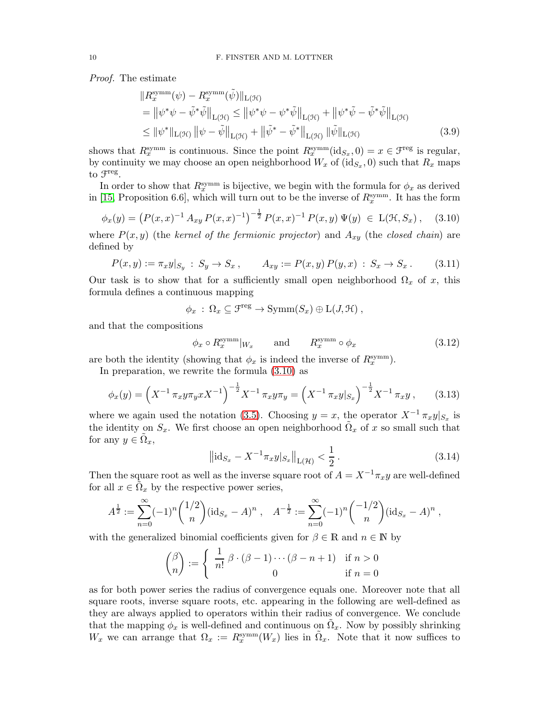Proof. The estimate

<span id="page-9-3"></span>
$$
\|R_x^{\text{symm}}(\psi) - R_x^{\text{symm}}(\tilde{\psi})\|_{\mathcal{L}(\mathcal{H})} \n= \|\psi^*\psi - \tilde{\psi}^*\tilde{\psi}\|_{\mathcal{L}(\mathcal{H})} \le \|\psi^*\psi - \psi^*\tilde{\psi}\|_{\mathcal{L}(\mathcal{H})} + \|\psi^*\tilde{\psi} - \tilde{\psi}^*\tilde{\psi}\|_{\mathcal{L}(\mathcal{H})} \n\le \|\psi^*\|_{\mathcal{L}(\mathcal{H})} \|\psi - \tilde{\psi}\|_{\mathcal{L}(\mathcal{H})} + \|\tilde{\psi}^* - \tilde{\psi}^*\|_{\mathcal{L}(\mathcal{H})} \|\tilde{\psi}\|_{\mathcal{L}(\mathcal{H})}
$$
\n(3.9)

shows that  $R_x^{\text{symm}}$  is continuous. Since the point  $R_x^{\text{symm}}(\text{id}_{S_x},0) = x \in \mathcal{F}^{\text{reg}}$  is regular, by continuity we may choose an open neighborhood  $W_x$  of  $(\text{id}_{S_x}, 0)$  such that  $R_x$  maps to  $\mathfrak{F}^{\text{reg}}$ .

In order to show that  $R_x^{\text{symm}}$  is bijective, we begin with the formula for  $\phi_x$  as derived in [\[15,](#page-36-7) Proposition 6.6], which will turn out to be the inverse of  $R_x^{\text{symm}}$ . It has the form

<span id="page-9-0"></span>
$$
\phi_x(y) = \left( P(x, x)^{-1} A_{xy} P(x, x)^{-1} \right)^{-\frac{1}{2}} P(x, x)^{-1} P(x, y) \Psi(y) \in \mathcal{L}(\mathcal{H}, S_x), \quad (3.10)
$$

where  $P(x, y)$  (the kernel of the fermionic projector) and  $A_{xy}$  (the closed chain) are defined by

<span id="page-9-5"></span>
$$
P(x,y) := \pi_x y |_{S_y} : S_y \to S_x , \qquad A_{xy} := P(x,y) P(y,x) : S_x \to S_x .
$$
 (3.11)

Our task is to show that for a sufficiently small open neighborhood  $\Omega_x$  of x, this formula defines a continuous mapping

$$
\phi_x \,:\, \Omega_x \subseteq \mathcal{F}^{\text{reg}} \to \text{Symm}(S_x) \oplus \text{L}(J, \mathcal{H}) ,
$$

and that the compositions

<span id="page-9-1"></span>
$$
\phi_x \circ R_x^{\text{symm}}|_{W_x}
$$
 and  $R_x^{\text{symm}} \circ \phi_x$  (3.12)

are both the identity (showing that  $\phi_x$  is indeed the inverse of  $R_x^{\text{symm}}$ ).

In preparation, we rewrite the formula [\(3.10\)](#page-9-0) as

<span id="page-9-4"></span>
$$
\phi_x(y) = \left(X^{-1} \pi_x y \pi_y x X^{-1}\right)^{-\frac{1}{2}} X^{-1} \pi_x y \pi_y = \left(X^{-1} \pi_x y \vert_{S_x}\right)^{-\frac{1}{2}} X^{-1} \pi_x y ,\qquad(3.13)
$$

where we again used the notation [\(3.5\)](#page-8-1). Choosing  $y = x$ , the operator  $X^{-1} \pi_x y|_{S_x}$  is the identity on  $S_x$ . We first choose an open neighborhood  $\tilde{\Omega}_x$  of x so small such that for any  $y \in \tilde{\Omega}_x$ ,

<span id="page-9-2"></span>
$$
\left\| \mathrm{id}_{S_x} - X^{-1} \pi_x y |_{S_x} \right\|_{\mathcal{L}(\mathcal{H})} < \frac{1}{2} \,. \tag{3.14}
$$

Then the square root as well as the inverse square root of  $A = X^{-1}\pi_{x}y$  are well-defined for all  $x \in \tilde{\Omega}_x$  by the respective power series,

$$
A^{\frac{1}{2}} := \sum_{n=0}^{\infty} (-1)^n {1/2 \choose n} (\mathrm{id}_{S_x} - A)^n , \quad A^{-\frac{1}{2}} := \sum_{n=0}^{\infty} (-1)^n {-1/2 \choose n} (\mathrm{id}_{S_x} - A)^n ,
$$

with the generalized binomial coefficients given for  $\beta \in \mathbb{R}$  and  $n \in \mathbb{N}$  by

$$
\binom{\beta}{n} := \begin{cases} \frac{1}{n!} \beta \cdot (\beta - 1) \cdots (\beta - n + 1) & \text{if } n > 0 \\ 0 & \text{if } n = 0 \end{cases}
$$

as for both power series the radius of convergence equals one. Moreover note that all square roots, inverse square roots, etc. appearing in the following are well-defined as they are always applied to operators within their radius of convergence. We conclude that the mapping  $\phi_x$  is well-defined and continuous on  $\tilde{\Omega}_x$ . Now by possibly shrinking W<sub>x</sub> we can arrange that  $\Omega_x := R_x^{\text{symm}}(W_x)$  lies in  $\tilde{\Omega}_x$ . Note that it now suffices to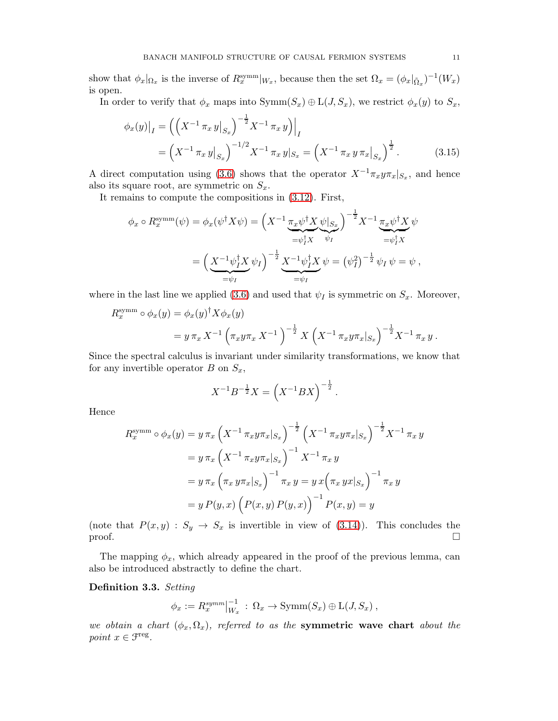show that  $\phi_x|_{\Omega_x}$  is the inverse of  $R_x^{\text{symm}}|_{W_x}$ , because then the set  $\Omega_x = (\phi_x|_{\tilde{\Omega}_x})^{-1}(W_x)$ is open.

In order to verify that  $\phi_x$  maps into  $Symm(S_x) \oplus L(J, S_x)$ , we restrict  $\phi_x(y)$  to  $S_x$ ,

<span id="page-10-1"></span>
$$
\phi_x(y)|_I = \left( \left( X^{-1} \pi_x y \big|_{S_x} \right)^{-\frac{1}{2}} X^{-1} \pi_x y \right)\Big|_I
$$
  
=  $\left( X^{-1} \pi_x y \big|_{S_x} \right)^{-1/2} X^{-1} \pi_x y \big|_{S_x} = \left( X^{-1} \pi_x y \pi_x \big|_{S_x} \right)^{\frac{1}{2}}.$  (3.15)

A direct computation using [\(3.6\)](#page-8-2) shows that the operator  $X^{-1}\pi_x y \pi_x|_{S_x}$ , and hence also its square root, are symmetric on  $S_x$ .

It remains to compute the compositions in [\(3.12\)](#page-9-1). First,

$$
\phi_x \circ R_x^{\text{symm}}(\psi) = \phi_x(\psi^\dagger X \psi) = \left(X^{-1} \underbrace{\pi_x \psi^\dagger X}_{= \psi_I^\dagger X} \psi \middle|_{S_x}\right)^{-\frac{1}{2}} X^{-1} \underbrace{\pi_x \psi^\dagger X}_{= \psi_I^\dagger X} \psi
$$

$$
= \left(\underbrace{X^{-1} \psi_I^\dagger X}_{= \psi_I} \psi_I\right)^{-\frac{1}{2}} \underbrace{X^{-1} \psi_I^\dagger X}_{= \psi_I} \psi = \left(\psi_I^2\right)^{-\frac{1}{2}} \psi_I \psi = \psi,
$$

where in the last line we applied [\(3.6\)](#page-8-2) and used that  $\psi_I$  is symmetric on  $S_x$ . Moreover,

$$
R_x^{\text{symm}} \circ \phi_x(y) = \phi_x(y)^{\dagger} X \phi_x(y)
$$
  
=  $y \pi_x X^{-1} \left( \pi_x y \pi_x X^{-1} \right)^{-\frac{1}{2}} X \left( X^{-1} \pi_x y \pi_x |_{S_x} \right)^{-\frac{1}{2}} X^{-1} \pi_x y.$ 

Since the spectral calculus is invariant under similarity transformations, we know that for any invertible operator  $B$  on  $S_x$ ,

$$
X^{-1}B^{-\frac{1}{2}}X = \left(X^{-1}BX\right)^{-\frac{1}{2}}.
$$

Hence

$$
R_x^{\text{symm}} \circ \phi_x(y) = y \pi_x \left( X^{-1} \pi_x y \pi_x |_{S_x} \right)^{-\frac{1}{2}} \left( X^{-1} \pi_x y \pi_x |_{S_x} \right)^{-\frac{1}{2}} X^{-1} \pi_x y
$$
  
=  $y \pi_x \left( X^{-1} \pi_x y \pi_x |_{S_x} \right)^{-1} X^{-1} \pi_x y$   
=  $y \pi_x \left( \pi_x y \pi_x |_{S_x} \right)^{-1} \pi_x y = y x \left( \pi_x y x |_{S_x} \right)^{-1} \pi_x y$   
=  $y P(y, x) \left( P(x, y) P(y, x) \right)^{-1} P(x, y) = y$ 

(note that  $P(x, y) : S_y \to S_x$  is invertible in view of [\(3.14\)](#page-9-2)). This concludes the  $\Box$ 

The mapping  $\phi_x$ , which already appeared in the proof of the previous lemma, can also be introduced abstractly to define the chart.

# <span id="page-10-0"></span>Definition 3.3. Setting

$$
\phi_x := R_x^{\text{symm}}|_{W_x}^{-1} : \Omega_x \to \text{Symm}(S_x) \oplus \text{L}(J, S_x) ,
$$

we obtain a chart  $(\phi_x, \Omega_x)$ , referred to as the **symmetric wave chart** about the point  $x \in \mathcal{F}^{\text{reg}}$ .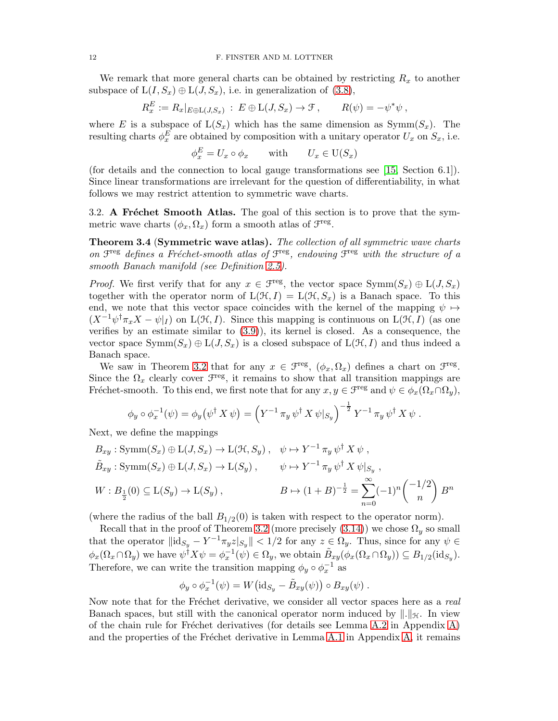We remark that more general charts can be obtained by restricting  $R_x$  to another subspace of  $L(I, S_x) \oplus L(J, S_x)$ , i.e. in generalization of [\(3.8\)](#page-8-3),

$$
R_x^E := R_x|_{E \oplus \mathcal{L}(J,S_x)} : E \oplus \mathcal{L}(J,S_x) \to \mathcal{F}, \qquad R(\psi) = -\psi^* \psi,
$$

where E is a subspace of  $L(S_x)$  which has the same dimension as  $Symm(S_x)$ . The resulting charts  $\phi_x^E$  are obtained by composition with a unitary operator  $U_x$  on  $S_x$ , i.e.

$$
\phi_x^E = U_x \circ \phi_x \quad \text{with} \quad U_x \in U(S_x)
$$

(for details and the connection to local gauge transformations see [\[15,](#page-36-7) Section 6.1]). Since linear transformations are irrelevant for the question of differentiability, in what follows we may restrict attention to symmetric wave charts.

<span id="page-11-0"></span>3.2. A Fréchet Smooth Atlas. The goal of this section is to prove that the symmetric wave charts  $(\phi_x, \Omega_x)$  form a smooth atlas of  $\mathcal{F}^{\text{reg}}$ .

<span id="page-11-1"></span>Theorem 3.4 (Symmetric wave atlas). The collection of all symmetric wave charts on  $\mathcal{F}^{\text{reg}}$  defines a Fréchet-smooth atlas of  $\mathcal{F}^{\text{reg}}$ , endowing  $\mathcal{F}^{\text{reg}}$  with the structure of a smooth Banach manifold (see Definition [2.5\)](#page-6-1).

*Proof.* We first verify that for any  $x \in \mathcal{F}^{\text{reg}}$ , the vector space  $\text{Symm}(S_x) \oplus \text{L}(J, S_x)$ together with the operator norm of  $L(\mathcal{H}, I) = L(\mathcal{H}, S_x)$  is a Banach space. To this end, we note that this vector space coincides with the kernel of the mapping  $\psi \mapsto$  $(X^{-1}\psi^{\dagger}\pi_x X - \psi|_I)$  on  $L(\mathcal{H}, I)$ . Since this mapping is continuous on  $L(\mathcal{H}, I)$  (as one verifies by an estimate similar to  $(3.9)$ , its kernel is closed. As a consequence, the vector space  $Symm(S_x) \oplus L(J, S_x)$  is a closed subspace of  $L(\mathcal{H}, I)$  and thus indeed a Banach space.

We saw in Theorem [3.2](#page-8-4) that for any  $x \in \mathcal{F}^{\text{reg}}$ ,  $(\phi_x, \Omega_x)$  defines a chart on  $\mathcal{F}^{\text{reg}}$ . Since the  $\Omega_x$  clearly cover  $\mathcal{F}^{\text{reg}}$ , it remains to show that all transition mappings are Fréchet-smooth. To this end, we first note that for any  $x, y \in \mathcal{F}^{\text{reg}}$  and  $\psi \in \phi_x(\Omega_x \cap \Omega_y)$ ,

$$
\phi_y \circ \phi_x^{-1}(\psi) = \phi_y(\psi^{\dagger} X \psi) = \left(Y^{-1} \pi_y \psi^{\dagger} X \psi |_{S_y}\right)^{-\frac{1}{2}} Y^{-1} \pi_y \psi^{\dagger} X \psi.
$$

Next, we define the mappings

$$
B_{xy}: \text{Symm}(S_x) \oplus \text{L}(J, S_x) \to \text{L}(\mathcal{H}, S_y), \quad \psi \mapsto Y^{-1} \pi_y \psi^{\dagger} X \psi ,
$$
  
\n
$$
\tilde{B}_{xy}: \text{Symm}(S_x) \oplus \text{L}(J, S_x) \to \text{L}(S_y), \qquad \psi \mapsto Y^{-1} \pi_y \psi^{\dagger} X \psi |_{S_y},
$$
  
\n
$$
W: B_{\frac{1}{2}}(0) \subseteq \text{L}(S_y) \to \text{L}(S_y), \qquad B \mapsto (1+B)^{-\frac{1}{2}} = \sum_{n=0}^{\infty} (-1)^n {\binom{-1/2}{n}} B^n
$$

(where the radius of the ball  $B_{1/2}(0)$  is taken with respect to the operator norm).

Recall that in the proof of Theorem [3.2](#page-8-4) (more precisely  $(3.14)$ ) we chose  $\Omega_y$  so small that the operator  $\|\mathrm{id}_{S_y} - Y^{-1}\pi_y z|_{S_y}\| < 1/2$  for any  $z \in \Omega_y$ . Thus, since for any  $\psi \in$  $\phi_x(\Omega_x \cap \Omega_y)$  we have  $\psi^{\dagger} X \psi = \phi_x^{-1}(\psi) \in \Omega_y$ , we obtain  $\tilde{B}_{xy}(\phi_x(\Omega_x \cap \Omega_y)) \subseteq B_{1/2}(\mathrm{id}_{S_y})$ . Therefore, we can write the transition mapping  $\phi_y \circ \phi_x^{-1}$  as

$$
\phi_y \circ \phi_x^{-1}(\psi) = W(\mathrm{id}_{S_y} - \tilde{B}_{xy}(\psi)) \circ B_{xy}(\psi).
$$

Now note that for the Fréchet derivative, we consider all vector spaces here as a real Banach spaces, but still with the canonical operator norm induced by  $\|\cdot\|_{\mathcal{H}}$ . In view of the chain rule for Fréchet derivatives (for details see Lemma [A.2](#page-28-0) in Appendix [A\)](#page-27-0) and the properties of the Fréchet derivative in Lemma [A.1](#page-27-1) in Appendix  $A$ , it remains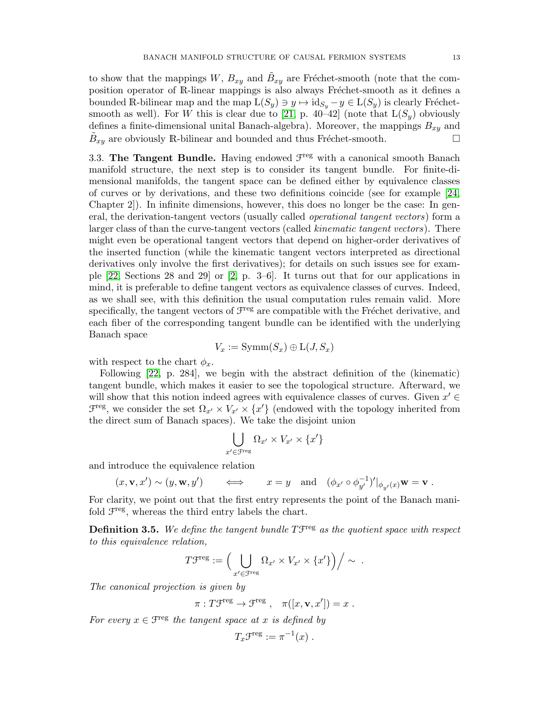to show that the mappings  $W, B_{xy}$  and  $\tilde{B}_{xy}$  are Fréchet-smooth (note that the composition operator of R-linear mappings is also always Fréchet-smooth as it defines a bounded R-bilinear map and the map  $L(S_y) \ni y \mapsto id_{S_y} - y \in L(S_y)$  is clearly Fréchet-smooth as well). For W this is clear due to [\[21,](#page-36-16) p. 40–42] (note that  $L(S_y)$  obviously defines a finite-dimensional unital Banach-algebra). Moreover, the mappings  $B_{xy}$  and  $\tilde{B}_{xy}$  are obviously R-bilinear and bounded and thus Fréchet-smooth.

<span id="page-12-0"></span>3.3. The Tangent Bundle. Having endowed  $\mathcal{F}^{\text{reg}}$  with a canonical smooth Banach manifold structure, the next step is to consider its tangent bundle. For finite-dimensional manifolds, the tangent space can be defined either by equivalence classes of curves or by derivations, and these two definitions coincide (see for example [\[24,](#page-37-3) Chapter 2]). In infinite dimensions, however, this does no longer be the case: In general, the derivation-tangent vectors (usually called operational tangent vectors) form a larger class of than the curve-tangent vectors (called kinematic tangent vectors). There might even be operational tangent vectors that depend on higher-order derivatives of the inserted function (while the kinematic tangent vectors interpreted as directional derivatives only involve the first derivatives); for details on such issues see for example [\[22,](#page-36-17) Sections 28 and 29] or [\[2,](#page-36-18) p. 3–6]. It turns out that for our applications in mind, it is preferable to define tangent vectors as equivalence classes of curves. Indeed, as we shall see, with this definition the usual computation rules remain valid. More specifically, the tangent vectors of  $\mathcal{F}^{\text{reg}}$  are compatible with the Fréchet derivative, and each fiber of the corresponding tangent bundle can be identified with the underlying Banach space

$$
V_x := \mathrm{Symm}(S_x) \oplus \mathrm{L}(J, S_x)
$$

with respect to the chart  $\phi_x$ .

Following [\[22,](#page-36-17) p. 284], we begin with the abstract definition of the (kinematic) tangent bundle, which makes it easier to see the topological structure. Afterward, we will show that this notion indeed agrees with equivalence classes of curves. Given  $x' \in$  $\mathcal{F}^{\text{reg}}$ , we consider the set  $\Omega_{x'} \times V_{x'} \times \{x'\}$  (endowed with the topology inherited from the direct sum of Banach spaces). We take the disjoint union

$$
\bigcup_{x' \in \text{Freq}} \Omega_{x'} \times V_{x'} \times \{x'\}
$$

and introduce the equivalence relation

$$
(x, \mathbf{v}, x') \sim (y, \mathbf{w}, y')
$$
  $\iff$   $x = y$  and  $(\phi_{x'} \circ \phi_{y'}^{-1})' |_{\phi_{y'}(x)} \mathbf{w} = \mathbf{v}$ .

For clarity, we point out that the first entry represents the point of the Banach manifold  $\mathcal{F}^{\text{reg}}$ , whereas the third entry labels the chart.

**Definition 3.5.** We define the tangent bundle  $T\mathcal{F}^{\text{reg}}$  as the quotient space with respect to this equivalence relation,

$$
T\mathcal{F}^{\text{reg}} := \left(\bigcup_{x' \in \mathcal{F}^{\text{reg}}} \Omega_{x'} \times V_{x'} \times \{x'\}\right) / \sim .
$$

The canonical projection is given by

$$
\pi: T\mathfrak{F}^{\text{reg}} \to \mathfrak{F}^{\text{reg}} , \quad \pi([x, \mathbf{v}, x']) = x .
$$

For every  $x \in \mathcal{F}^{\text{reg}}$  the tangent space at x is defined by

$$
T_x\mathcal{F}^{\text{reg}} := \pi^{-1}(x) .
$$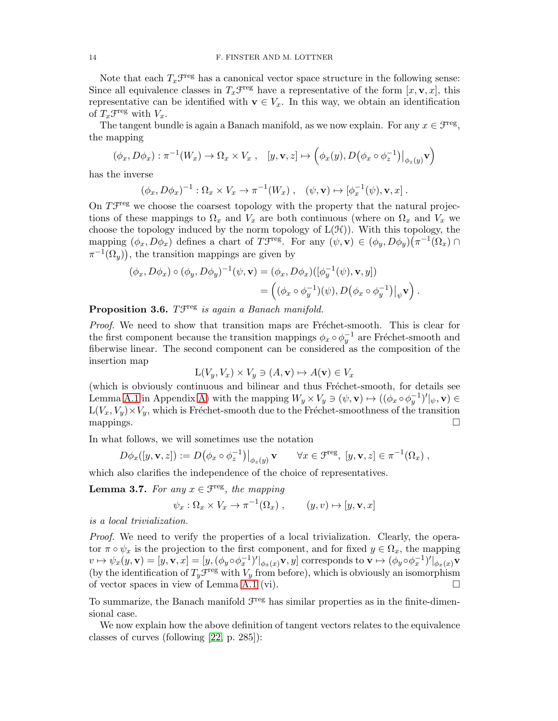Note that each  $T_x \mathcal{F}^{\text{reg}}$  has a canonical vector space structure in the following sense: Since all equivalence classes in  $T_x\mathcal{F}^{\text{reg}}$  have a representative of the form  $[x, \mathbf{v}, x]$ , this representative can be identified with  $\mathbf{v} \in V_x$ . In this way, we obtain an identification of  $T_x \mathcal{F}^{\text{reg}}$  with  $V_x$ .

The tangent bundle is again a Banach manifold, as we now explain. For any  $x \in \mathcal{F}^{\text{reg}}$ , the mapping

$$
(\phi_x, D\phi_x) : \pi^{-1}(W_x) \to \Omega_x \times V_x , \quad [y, \mathbf{v}, z] \mapsto \left( \phi_x(y), D(\phi_x \circ \phi_z^{-1}) \big|_{\phi_z(y)} \mathbf{v} \right)
$$

has the inverse

$$
(\phi_x, D\phi_x)^{-1} : \Omega_x \times V_x \to \pi^{-1}(W_x) , \quad (\psi, \mathbf{v}) \mapsto [\phi_x^{-1}(\psi), \mathbf{v}, x] .
$$

On  $T\mathcal{F}^{\text{reg}}$  we choose the coarsest topology with the property that the natural projections of these mappings to  $\Omega_x$  and  $V_x$  are both continuous (where on  $\Omega_x$  and  $V_x$  we choose the topology induced by the norm topology of  $L(\mathcal{H})$ ). With this topology, the mapping  $(\phi_x, D\phi_x)$  defines a chart of T<sup>treg</sup>. For any  $(\psi, \mathbf{v}) \in (\phi_y, D\phi_y)(\pi^{-1}(\Omega_x) \cap$  $\pi^{-1}(\Omega_y)$ , the transition mappings are given by

$$
(\phi_x, D\phi_x) \circ (\phi_y, D\phi_y)^{-1}(\psi, \mathbf{v}) = (\phi_x, D\phi_x) ([\phi_y^{-1}(\psi), \mathbf{v}, y])
$$
  
= 
$$
\left( (\phi_x \circ \phi_y^{-1})(\psi), D(\phi_x \circ \phi_y^{-1})|_{\psi} \mathbf{v} \right).
$$

# Proposition 3.6.  $T\mathcal{F}^{\text{reg}}$  is again a Banach manifold.

Proof. We need to show that transition maps are Fréchet-smooth. This is clear for the first component because the transition mappings  $\phi_x \circ \phi_y^{-1}$  are Fréchet-smooth and fiberwise linear. The second component can be considered as the composition of the insertion map

$$
L(V_y, V_x) \times V_y \ni (A, \mathbf{v}) \mapsto A(\mathbf{v}) \in V_x
$$

(which is obviously continuous and bilinear and thus Fréchet-smooth, for details see Lemma [A.1](#page-27-1) in Appendix [A\)](#page-27-0) with the mapping  $W_y \times V_y \ni (\psi, \mathbf{v}) \mapsto ((\phi_x \circ \phi_y^{-1})' |_{\psi}, \mathbf{v}) \in$  $L(V_x, V_y) \times V_y$ , which is Fréchet-smooth due to the Fréchet-smoothness of the transition mappings.  $\Box$ 

In what follows, we will sometimes use the notation

$$
D\phi_x([y,\mathbf{v},z]):=D\big(\phi_x\circ\phi_z^{-1}\big)\big|_{\phi_z(y)}\mathbf{v}\qquad\forall x\in\mathfrak{F}^{\rm reg},\ [y,\mathbf{v},z]\in\pi^{-1}(\Omega_x)\;,
$$

which also clarifies the independence of the choice of representatives.

**Lemma 3.7.** For any  $x \in \mathcal{F}^{\text{reg}}$ , the mapping

$$
\psi_x : \Omega_x \times V_x \to \pi^{-1}(\Omega_x) , \qquad (y, v) \mapsto [y, \mathbf{v}, x]
$$

is a local trivialization.

Proof. We need to verify the properties of a local trivialization. Clearly, the operator  $\pi \circ \psi_x$  is the projection to the first component, and for fixed  $y \in \Omega_x$ , the mapping  $v \mapsto \psi_x(y, \mathbf{v}) = [y, \mathbf{v}, x] = [y, (\phi_y \circ \phi_x^{-1})' |_{\phi_x(x)} \mathbf{v}, y]$  corresponds to  $\mathbf{v} \mapsto (\phi_y \circ \phi_x^{-1})' |_{\phi_x(x)} \mathbf{v}$ (by the identification of  $T_y\mathcal{F}^{\text{reg}}$  with  $V_y$  from before), which is obviously an isomorphism of vector spaces in view of Lemma [A.1](#page-27-1) (vi).

To summarize, the Banach manifold  $\mathcal{F}^{\text{reg}}$  has similar properties as in the finite-dimensional case.

We now explain how the above definition of tangent vectors relates to the equivalence classes of curves (following [\[22,](#page-36-17) p. 285]):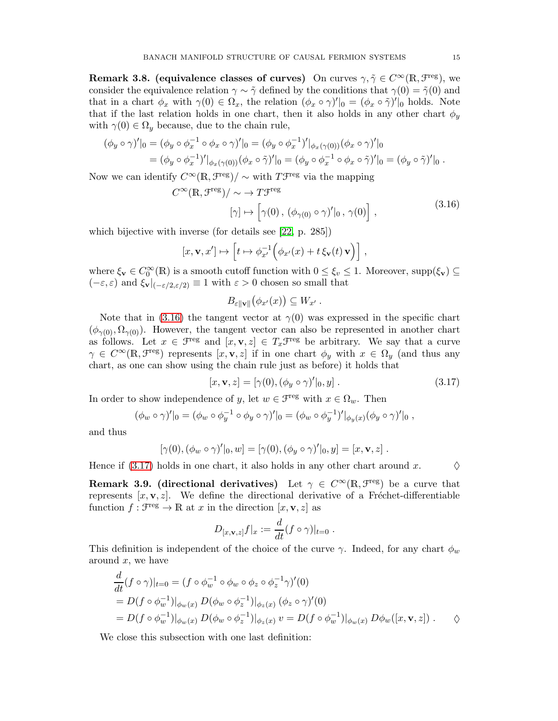Remark 3.8. (equivalence classes of curves) On curves  $\gamma, \tilde{\gamma} \in C^{\infty}(\mathbb{R}, \mathcal{F}^{\text{reg}})$ , we consider the equivalence relation  $\gamma \sim \tilde{\gamma}$  defined by the conditions that  $\gamma(0) = \tilde{\gamma}(0)$  and that in a chart  $\phi_x$  with  $\gamma(0) \in \Omega_x$ , the relation  $(\phi_x \circ \gamma)'|_0 = (\phi_x \circ \tilde{\gamma})'|_0$  holds. Note that if the last relation holds in one chart, then it also holds in any other chart  $\phi_y$ with  $\gamma(0) \in \Omega_y$  because, due to the chain rule,

$$
(\phi_y \circ \gamma)'|_0 = (\phi_y \circ \phi_x^{-1} \circ \phi_x \circ \gamma)'|_0 = (\phi_y \circ \phi_x^{-1})'|_{\phi_x(\gamma(0))} (\phi_x \circ \gamma)'|_0
$$
  
= 
$$
(\phi_y \circ \phi_x^{-1})'|_{\phi_x(\gamma(0))} (\phi_x \circ \tilde{\gamma})'|_0 = (\phi_y \circ \phi_x^{-1} \circ \phi_x \circ \tilde{\gamma})'|_0 = (\phi_y \circ \tilde{\gamma})'|_0.
$$

<span id="page-14-0"></span>Now we can identify  $C^{\infty}(\mathbb{R}, \mathcal{F}^{\text{reg}})/\sim$  with  $T\mathcal{F}^{\text{reg}}$  via the mapping

$$
\propto (\mathbb{R}, \mathcal{F}^{\text{reg}})/\sim \to T\mathcal{F}^{\text{reg}}
$$
  

$$
[\gamma] \mapsto [\gamma(0), (\phi_{\gamma(0)} \circ \gamma)'|_0, \gamma(0)],
$$
 (3.16)

which bijective with inverse (for details see [\[22,](#page-36-17) p. 285])

 $\mathcal{C}$ 

$$
[x,\mathbf{v},x']\mapsto \Big[t\mapsto \phi_{x'}^{-1}\Big(\phi_{x'}(x)+t\,\xi_\mathbf{v}(t)\,\mathbf{v}\Big)\Big]\ ,
$$

where  $\xi_{\mathbf{v}} \in C_0^{\infty}(\mathbb{R})$  is a smooth cutoff function with  $0 \le \xi_v \le 1$ . Moreover, supp $(\xi_{\mathbf{v}}) \subseteq$  $(-\varepsilon, \varepsilon)$  and  $\xi_{\mathbf{v}}|_{(-\varepsilon/2, \varepsilon/2)} \equiv 1$  with  $\varepsilon > 0$  chosen so small that

$$
B_{\varepsilon\|{\bf v}\|}(\phi_{x'}(x))\subseteq W_{x'}.
$$

Note that in [\(3.16\)](#page-14-0) the tangent vector at  $\gamma(0)$  was expressed in the specific chart  $(\phi_{\gamma(0)}, \Omega_{\gamma(0)})$ . However, the tangent vector can also be represented in another chart as follows. Let  $x \in \mathcal{F}^{\text{reg}}$  and  $[x, \mathbf{v}, z] \in T_x \mathcal{F}^{\text{reg}}$  be arbitrary. We say that a curve  $\gamma \in C^{\infty}(\mathbb{R}, \mathcal{F}^{\text{reg}})$  represents  $[x, v, z]$  if in one chart  $\phi_y$  with  $x \in \Omega_y$  (and thus any chart, as one can show using the chain rule just as before) it holds that

$$
[x, \mathbf{v}, z] = [\gamma(0), (\phi_y \circ \gamma)' |_{0}, y]. \qquad (3.17)
$$

In order to show independence of y, let  $w \in \mathcal{F}^{\text{reg}}$  with  $x \in \Omega_w$ . Then

$$
(\phi_w \circ \gamma)'|_0 = (\phi_w \circ \phi_y^{-1} \circ \phi_y \circ \gamma)'|_0 = (\phi_w \circ \phi_y^{-1})'|_{\phi_y(x)} (\phi_y \circ \gamma)'|_0,
$$

and thus

$$
[\gamma(0),(\phi_w\circ\gamma)'|_0,w]=[\gamma(0),(\phi_y\circ\gamma)'|_0,y]=[x,\mathbf{v},z].
$$

Hence if [\(3.17\)](#page-14-1) holds in one chart, it also holds in any other chart around x.  $\Diamond$ 

<span id="page-14-1"></span>

**Remark 3.9. (directional derivatives)** Let  $\gamma \in C^{\infty}(\mathbb{R}, \mathcal{F}^{\text{reg}})$  be a curve that represents  $[x, v, z]$ . We define the directional derivative of a Fréchet-differentiable function  $f: \mathcal{F}^{\text{reg}} \to \mathbb{R}$  at x in the direction  $[x, \mathbf{v}, z]$  as

$$
D_{[x,\mathbf{v},z]}f|_{x} := \frac{d}{dt}(f \circ \gamma)|_{t=0}.
$$

This definition is independent of the choice of the curve  $\gamma$ . Indeed, for any chart  $\phi_w$ around  $x$ , we have

$$
\frac{d}{dt}(f\circ\gamma)|_{t=0} = (f\circ\phi_w^{-1}\circ\phi_w\circ\phi_z\circ\phi_z^{-1}\gamma)'(0)
$$
\n
$$
= D(f\circ\phi_w^{-1})|_{\phi_w(x)} D(\phi_w\circ\phi_z^{-1})|_{\phi_z(x)} (\phi_z\circ\gamma)'(0)
$$
\n
$$
= D(f\circ\phi_w^{-1})|_{\phi_w(x)} D(\phi_w\circ\phi_z^{-1})|_{\phi_z(x)} v = D(f\circ\phi_w^{-1})|_{\phi_w(x)} D\phi_w([x,\mathbf{v},z]) . \qquad \diamondsuit
$$

We close this subsection with one last definition: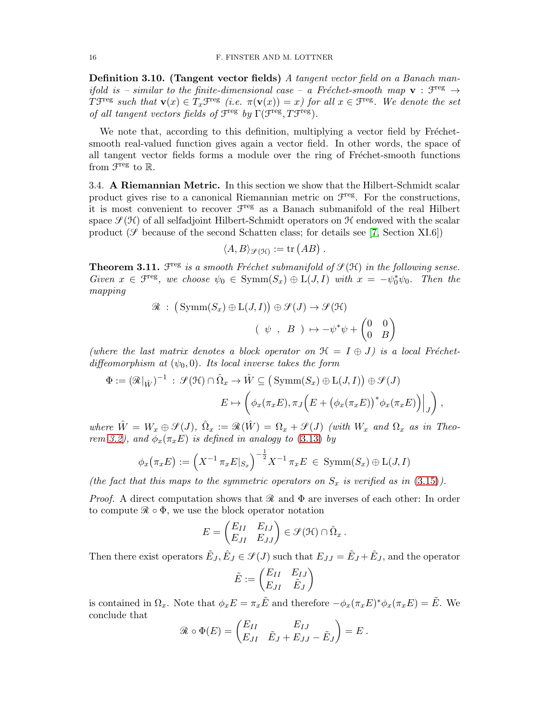**Definition 3.10.** (Tangent vector fields) A tangent vector field on a Banach manifold is – similar to the finite-dimensional case – a Fréchet-smooth map  $v : T^{reg} \rightarrow$ The such that  $\mathbf{v}(x) \in T_x \mathcal{F}^{\text{reg}}$  (i.e.  $\pi(\mathbf{v}(x)) = x$ ) for all  $x \in \mathcal{F}^{\text{reg}}$ . We denote the set of all tangent vectors fields of  $\mathcal{F}^{\text{reg}}$  by  $\Gamma(\mathcal{F}^{\text{reg}}, T\mathcal{F}^{\text{reg}})$ .

We note that, according to this definition, multiplying a vector field by Fréchetsmooth real-valued function gives again a vector field. In other words, the space of all tangent vector fields forms a module over the ring of Fréchet-smooth functions from  $\mathfrak{F}^{\text{reg}}$  to  $\mathbb{R}$ .

<span id="page-15-0"></span>3.4. A Riemannian Metric. In this section we show that the Hilbert-Schmidt scalar product gives rise to a canonical Riemannian metric on  $\mathcal{F}^{\text{reg}}$ . For the constructions, it is most convenient to recover  $\mathcal{F}^{\text{reg}}$  as a Banach submanifold of the real Hilbert space  $\mathcal{S}(\mathcal{H})$  of all selfadjoint Hilbert-Schmidt operators on  $\mathcal{H}$  endowed with the scalar product ( $\mathcal{S}$  because of the second Schatten class; for details see [\[7,](#page-36-19) Section XI.6])

$$
\langle A, B \rangle_{\mathcal{F}(\mathcal{H})} := \text{tr}(AB) .
$$

<span id="page-15-1"></span>**Theorem 3.11.**  $\mathcal{F}^{\text{reg}}$  is a smooth Fréchet submanifold of  $\mathcal{F}(\mathcal{H})$  in the following sense. Given  $x \in \mathcal{F}^{\text{reg}}$ , we choose  $\psi_0 \in \text{Symm}(S_x) \oplus L(J, I)$  with  $x = -\psi_0^* \psi_0$ . Then the mapping

$$
\mathcal{R} : \left( \text{Symm}(S_x) \oplus \text{L}(J, I) \right) \oplus \mathcal{S}(J) \to \mathcal{S}(\mathcal{H})
$$

$$
\left( \psi, B \right) \mapsto -\psi^* \psi + \begin{pmatrix} 0 & 0 \\ 0 & B \end{pmatrix}
$$

(where the last matrix denotes a block operator on  $\mathcal{H} = I \oplus J$ ) is a local Fréchetdiffeomorphism at  $(\psi_0, 0)$ . Its local inverse takes the form

$$
\Phi := (\mathcal{R}|_{\hat{W}})^{-1} : \mathcal{S}(\mathcal{H}) \cap \hat{\Omega}_x \to \hat{W} \subseteq (\text{Symm}(S_x) \oplus \text{L}(J, I)) \oplus \mathcal{S}(J)
$$

$$
E \mapsto \left( \phi_x(\pi_x E), \pi_J \left( E + \left( \phi_x(\pi_x E) \right)^* \phi_x(\pi_x E) \right) \Big|_J \right),
$$

where  $\hat{W} = W_x \oplus \mathcal{S}(J)$ ,  $\hat{\Omega}_x := \Re(\hat{W}) = \Omega_x + \mathcal{S}(J)$  (with  $W_x$  and  $\Omega_x$  as in Theo-rem [3.2\)](#page-8-4), and  $\phi_x(\pi_x E)$  is defined in analogy to [\(3.13\)](#page-9-4) by

$$
\phi_x(\pi_x E) := \left(X^{-1} \pi_x E|_{S_x}\right)^{-\frac{1}{2}} X^{-1} \pi_x E \in \text{Symm}(S_x) \oplus \text{L}(J, I)
$$

(the fact that this maps to the symmetric operators on  $S_x$  is verified as in [\(3.15\)](#page-10-1)).

*Proof.* A direct computation shows that  $\Re$  and  $\Phi$  are inverses of each other: In order to compute  $\mathcal{R} \circ \Phi$ , we use the block operator notation

$$
E = \begin{pmatrix} E_{II} & E_{IJ} \\ E_{JI} & E_{JJ} \end{pmatrix} \in \mathcal{S}(\mathcal{H}) \cap \hat{\Omega}_x.
$$

Then there exist operators  $\tilde{E}_J$ ,  $\hat{E}_J \in \mathcal{S}(J)$  such that  $E_{JJ} = \tilde{E}_J + \hat{E}_J$ , and the operator

$$
\tilde{E} := \begin{pmatrix} E_{II} & E_{IJ} \\ E_{JI} & \tilde{E}_J \end{pmatrix}
$$

is contained in  $\Omega_x$ . Note that  $\phi_x E = \pi_x \tilde{E}$  and therefore  $-\phi_x(\pi_x E)^* \phi_x(\pi_x E) = \tilde{E}$ . We conclude that

$$
\mathcal{R} \circ \Phi(E) = \begin{pmatrix} E_{II} & E_{IJ} \\ E_{JI} & \tilde{E}_J + E_{JJ} - \tilde{E}_J \end{pmatrix} = E.
$$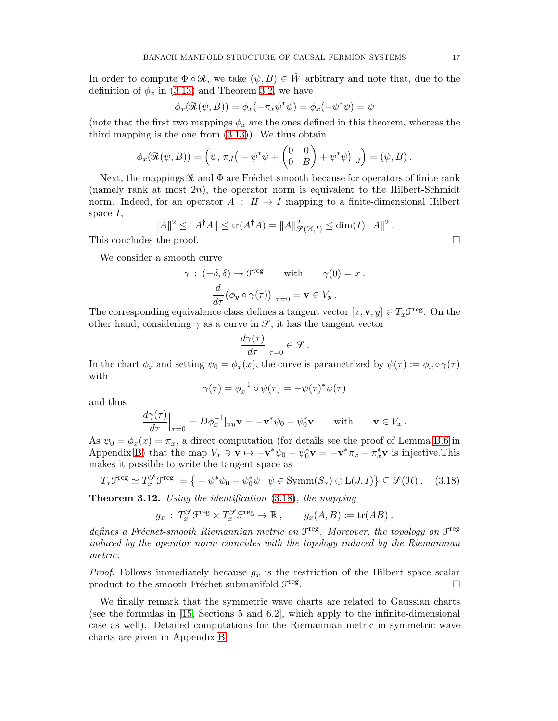In order to compute  $\Phi \circ \mathcal{R}$ , we take  $(\psi, B) \in \tilde{W}$  arbitrary and note that, due to the definition of  $\phi_x$  in [\(3.13\)](#page-9-4) and Theorem [3.2,](#page-8-4) we have

$$
\phi_x(\mathcal{R}(\psi, B)) = \phi_x(-\pi_x \psi^* \psi) = \phi_x(-\psi^* \psi) = \psi
$$

(note that the first two mappings  $\phi_x$  are the ones defined in this theorem, whereas the third mapping is the one from  $(3.13)$ ). We thus obtain

$$
\phi_x(\mathcal{R}(\psi, B)) = \left(\psi, \pi_J\left(-\psi^*\psi + \begin{pmatrix} 0 & 0 \\ 0 & B \end{pmatrix} + \psi^*\psi\right)\big|_J\right) = (\psi, B) .
$$

Next, the mappings  $\mathcal R$  and  $\Phi$  are Fréchet-smooth because for operators of finite rank (namely rank at most  $2n$ ), the operator norm is equivalent to the Hilbert-Schmidt norm. Indeed, for an operator  $A : H \to I$  mapping to a finite-dimensional Hilbert space  $I$ ,

$$
||A||^2 \le ||A^{\dagger}A|| \le \text{tr}(A^{\dagger}A) = ||A||_{\mathcal{S}(\mathcal{H},I)}^2 \le \dim(I) ||A||^2.
$$
  
This concludes the proof.

We consider a smooth curve

$$
\gamma : (-\delta, \delta) \to \mathcal{F}^{\text{reg}} \quad \text{with} \quad \gamma(0) = x .
$$

$$
\frac{d}{d\tau} (\phi_y \circ \gamma(\tau))|_{\tau=0} = \mathbf{v} \in V_y .
$$

The corresponding equivalence class defines a tangent vector  $[x, \mathbf{v}, y] \in T_x \mathcal{F}^{\text{reg}}$ . On the other hand, considering  $\gamma$  as a curve in  $\mathcal{S}$ , it has the tangent vector

$$
\left. \frac{d\gamma(\tau)}{d\tau} \right|_{\tau=0} \in \mathcal{S}.
$$

In the chart  $\phi_x$  and setting  $\psi_0 = \phi_x(x)$ , the curve is parametrized by  $\psi(\tau) := \phi_x \circ \gamma(\tau)$ with

$$
\gamma(\tau) = \phi_x^{-1} \circ \psi(\tau) = -\psi(\tau)^* \psi(\tau)
$$

and thus

$$
\left. \frac{d\gamma(\tau)}{d\tau} \right|_{\tau=0} = D\phi_x^{-1}|_{\psi_0} \mathbf{v} = -\mathbf{v}^* \psi_0 - \psi_0^* \mathbf{v} \quad \text{with} \quad \mathbf{v} \in V_x \,.
$$

As  $\psi_0 = \phi_x(x) = \pi_x$ , a direct computation (for details see the proof of Lemma [B.6](#page-33-0) in Appendix [B\)](#page-30-0) that the map  $V_x \ni \mathbf{v} \mapsto -\mathbf{v}^* \psi_0 - \psi_0^* \mathbf{v} = -\mathbf{v}^* \pi_x - \pi_x^* \mathbf{v}$  is injective. This makes it possible to write the tangent space as

<span id="page-16-1"></span>
$$
T_x \mathcal{F}^{\text{reg}} \simeq T_x^{\mathcal{S}} \mathcal{F}^{\text{reg}} := \left\{ -\psi^* \psi_0 - \psi_0^* \psi \mid \psi \in \text{Symm}(S_x) \oplus \text{L}(J, I) \right\} \subseteq \mathcal{S}(\mathcal{H}) \, . \tag{3.18}
$$

<span id="page-16-0"></span>**Theorem 3.12.** Using the identification  $(3.18)$ , the mapping

$$
g_x: T_x^{\mathcal{G}} \mathcal{F}^{\text{reg}} \times T_x^{\mathcal{G}} \mathcal{F}^{\text{reg}} \to \mathbb{R}, \qquad g_x(A, B) := \text{tr}(AB) .
$$

defines a Fréchet-smooth Riemannian metric on  $\mathfrak{F}^{\text{reg}}$ . Moreover, the topology on  $\mathfrak{F}^{\text{reg}}$ induced by the operator norm coincides with the topology induced by the Riemannian metric.

*Proof.* Follows immediately because  $g_x$  is the restriction of the Hilbert space scalar product to the smooth Fréchet submanifold  $\mathcal{F}^{\text{reg}}$ . В последните последните последните под последните и се при последните под последните последните под последни<br>В последните последните последните последните последните последните последните последните последните последнит

We finally remark that the symmetric wave charts are related to Gaussian charts (see the formulas in [\[15,](#page-36-7) Sections 5 and 6.2], which apply to the infinite-dimensional case as well). Detailed computations for the Riemannian metric in symmetric wave charts are given in Appendix [B.](#page-30-0)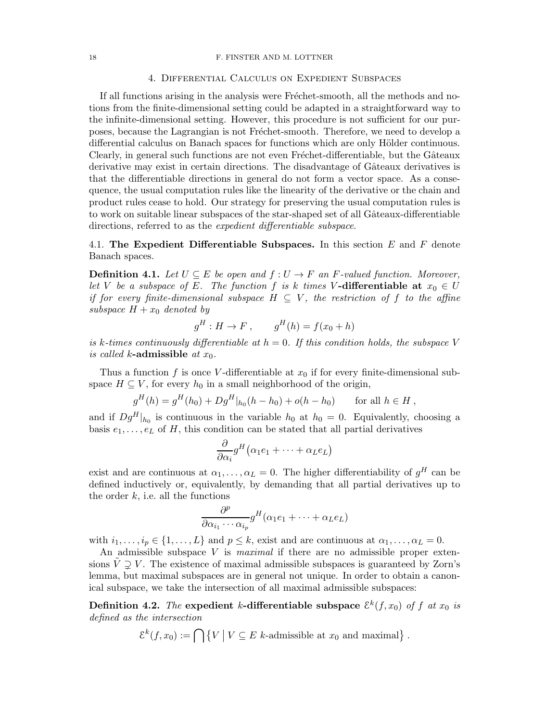## 4. Differential Calculus on Expedient Subspaces

<span id="page-17-0"></span>If all functions arising in the analysis were Fréchet-smooth, all the methods and notions from the finite-dimensional setting could be adapted in a straightforward way to the infinite-dimensional setting. However, this procedure is not sufficient for our purposes, because the Lagrangian is not Fréchet-smooth. Therefore, we need to develop a differential calculus on Banach spaces for functions which are only Hölder continuous. Clearly, in general such functions are not even Fréchet-differentiable, but the Gâteaux derivative may exist in certain directions. The disadvantage of Gâteaux derivatives is that the differentiable directions in general do not form a vector space. As a consequence, the usual computation rules like the linearity of the derivative or the chain and product rules cease to hold. Our strategy for preserving the usual computation rules is to work on suitable linear subspaces of the star-shaped set of all Gâteaux-differentiable directions, referred to as the *expedient differentiable subspace*.

<span id="page-17-1"></span>4.1. The Expedient Differentiable Subspaces. In this section  $E$  and  $F$  denote Banach spaces.

**Definition 4.1.** Let  $U \subseteq E$  be open and  $f: U \to F$  an F-valued function. Moreover, let V be a subspace of E. The function f is k times V-differentiable at  $x_0 \in U$ if for every finite-dimensional subspace  $H \subseteq V$ , the restriction of f to the affine subspace  $H + x_0$  denoted by

$$
g^H : H \to F \,, \qquad g^H(h) = f(x_0 + h)
$$

is k-times continuously differentiable at  $h = 0$ . If this condition holds, the subspace V is called k-admissible at  $x_0$ .

Thus a function f is once V-differentiable at  $x_0$  if for every finite-dimensional subspace  $H \subseteq V$ , for every  $h_0$  in a small neighborhood of the origin,

$$
g^H(h) = g^H(h_0) + Dg^H|_{h_0}(h - h_0) + o(h - h_0) \quad \text{for all } h \in H,
$$

and if  $Dg^{H}|_{h_{0}}$  is continuous in the variable  $h_{0}$  at  $h_{0} = 0$ . Equivalently, choosing a basis  $e_1, \ldots, e_L$  of H, this condition can be stated that all partial derivatives

$$
\frac{\partial}{\partial \alpha_i} g^H (\alpha_1 e_1 + \dots + \alpha_L e_L)
$$

exist and are continuous at  $\alpha_1, \ldots, \alpha_L = 0$ . The higher differentiability of  $g^H$  can be defined inductively or, equivalently, by demanding that all partial derivatives up to the order  $k$ , i.e. all the functions

$$
\frac{\partial^p}{\partial \alpha_{i_1} \cdots \alpha_{i_p}} g^H(\alpha_1 e_1 + \cdots + \alpha_L e_L)
$$

with  $i_1, \ldots, i_p \in \{1, \ldots, L\}$  and  $p \leq k$ , exist and are continuous at  $\alpha_1, \ldots, \alpha_L = 0$ .

An admissible subspace  $V$  is *maximal* if there are no admissible proper extensions  $\tilde{V} \supseteq V$ . The existence of maximal admissible subspaces is guaranteed by Zorn's lemma, but maximal subspaces are in general not unique. In order to obtain a canonical subspace, we take the intersection of all maximal admissible subspaces:

<span id="page-17-2"></span>Definition 4.2. The expedient k-differentiable subspace  $\mathcal{E}^k(f, x_0)$  of f at  $x_0$  is defined as the intersection

$$
\mathcal{E}^{k}(f, x_{0}) := \bigcap \left\{ V \mid V \subseteq E \text{ k-admissible at } x_{0} \text{ and maximal} \right\}.
$$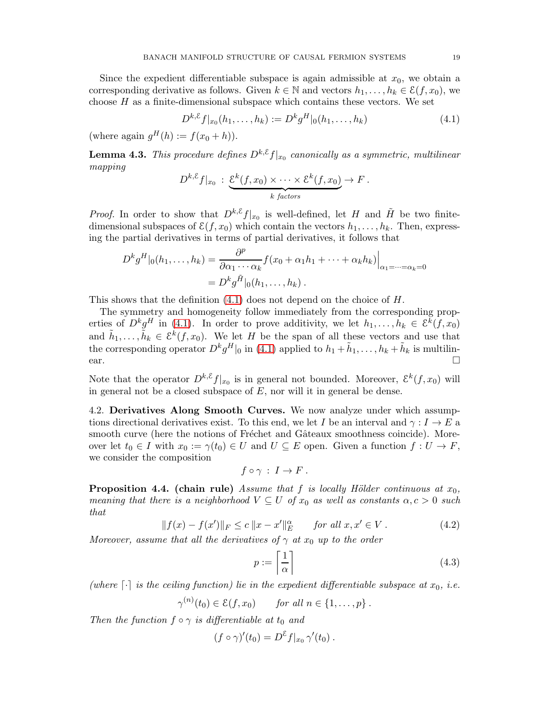Since the expedient differentiable subspace is again admissible at  $x_0$ , we obtain a corresponding derivative as follows. Given  $k \in \mathbb{N}$  and vectors  $h_1, \ldots, h_k \in \mathcal{E}(f, x_0)$ , we choose  $H$  as a finite-dimensional subspace which contains these vectors. We set

<span id="page-18-2"></span>
$$
D^{k,\mathcal{E}}f|_{x_0}(h_1,\ldots,h_k) := D^k g^H|_{0}(h_1,\ldots,h_k)
$$
\n(4.1)

(where again  $g^H(h) := f(x_0 + h)$ ).

**Lemma 4.3.** This procedure defines  $D^{k,\mathcal{E}}f|_{x_0}$  canonically as a symmetric, multilinear mapping

$$
D^{k,\mathcal{E}}f|_{x_0} : \underbrace{\mathcal{E}^k(f,x_0) \times \cdots \times \mathcal{E}^k(f,x_0)}_{k \text{ factors}} \to F.
$$

*Proof.* In order to show that  $D^{k,\mathcal{E}}f|_{x_0}$  is well-defined, let H and  $\tilde{H}$  be two finitedimensional subspaces of  $\mathcal{E}(f, x_0)$  which contain the vectors  $h_1, \ldots, h_k$ . Then, expressing the partial derivatives in terms of partial derivatives, it follows that

$$
D^k g^H|_0(h_1,\ldots,h_k) = \frac{\partial^p}{\partial \alpha_1 \cdots \alpha_k} f(x_0 + \alpha_1 h_1 + \cdots + \alpha_k h_k)\Big|_{\alpha_1 = \cdots = \alpha_k = 0}
$$
  
= 
$$
D^k g^{\tilde{H}}|_0(h_1,\ldots,h_k) .
$$

This shows that the definition [\(4.1\)](#page-18-2) does not depend on the choice of H.

The symmetry and homogeneity follow immediately from the corresponding properties of  $D^k g^H$  in [\(4.1\)](#page-18-2). In order to prove additivity, we let  $h_1, \ldots, h_k \in \mathcal{E}^{\bar{k}}(f, x_0)$ and  $\tilde{h}_1, \ldots, \tilde{h}_k \in \mathcal{E}^k(f, x_0)$ . We let H be the span of all these vectors and use that the corresponding operator  $D^k g^H|_0$  in [\(4.1\)](#page-18-2) applied to  $h_1 + \tilde{h}_1, \ldots, h_k + \tilde{h}_k$  is multilinear.

Note that the operator  $D^{k,\mathcal{E}}f|_{x_0}$  is in general not bounded. Moreover,  $\mathcal{E}^k(f,x_0)$  will in general not be a closed subspace of  $E$ , nor will it in general be dense.

<span id="page-18-0"></span>4.2. Derivatives Along Smooth Curves. We now analyze under which assumptions directional derivatives exist. To this end, we let I be an interval and  $\gamma: I \to E$  a smooth curve (here the notions of Fréchet and Gâteaux smoothness coincide). Moreover let  $t_0 \in I$  with  $x_0 := \gamma(t_0) \in U$  and  $U \subseteq E$  open. Given a function  $f: U \to F$ , we consider the composition

$$
f\circ\gamma\,:\,I\to F\;.
$$

<span id="page-18-1"></span>**Proposition 4.4. (chain rule)** Assume that f is locally Hölder continuous at  $x_0$ , meaning that there is a neighborhood  $V \subseteq U$  of  $x_0$  as well as constants  $\alpha, c > 0$  such that

<span id="page-18-4"></span>
$$
||f(x) - f(x')||_F \le c ||x - x'||_E^{\alpha} \quad \text{for all } x, x' \in V. \tag{4.2}
$$

Moreover, assume that all the derivatives of  $\gamma$  at  $x_0$  up to the order

<span id="page-18-3"></span>
$$
p := \left\lceil \frac{1}{\alpha} \right\rceil \tag{4.3}
$$

(where  $\lceil \cdot \rceil$  is the ceiling function) lie in the expedient differentiable subspace at  $x_0$ , i.e.

 $\gamma^{(n)}(t_0) \in \mathcal{E}(f, x_0)$  for all  $n \in \{1, \ldots, p\}$ .

Then the function  $f \circ \gamma$  is differentiable at  $t_0$  and

$$
(f \circ \gamma)'(t_0) = D^{\mathcal{E}} f|_{x_0} \gamma'(t_0) .
$$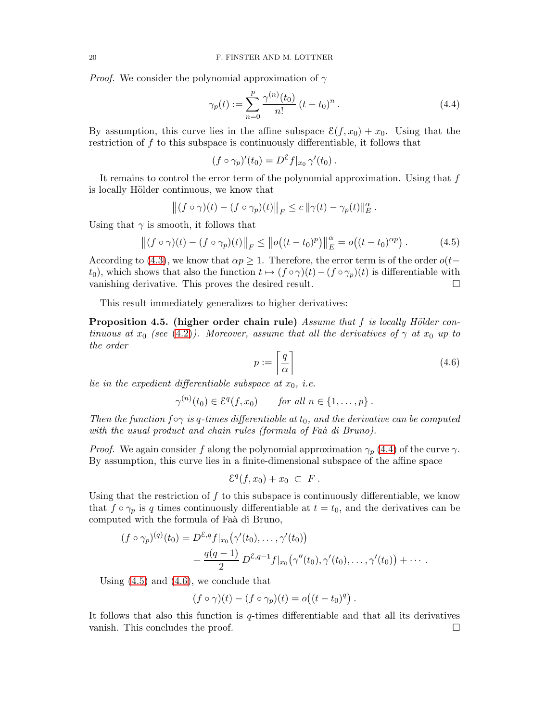*Proof.* We consider the polynomial approximation of  $\gamma$ 

<span id="page-19-1"></span>
$$
\gamma_p(t) := \sum_{n=0}^p \frac{\gamma^{(n)}(t_0)}{n!} (t - t_0)^n.
$$
 (4.4)

By assumption, this curve lies in the affine subspace  $\mathcal{E}(f, x_0) + x_0$ . Using that the restriction of f to this subspace is continuously differentiable, it follows that

$$
(f \circ \gamma_p)'(t_0) = D^{\mathcal{E}} f|_{x_0} \gamma'(t_0) .
$$

It remains to control the error term of the polynomial approximation. Using that  $f$ is locally Hölder continuous, we know that

$$
\left\|(f\circ\gamma)(t)-(f\circ\gamma_p)(t)\right\|_F\leq c\,\|\gamma(t)-\gamma_p(t)\|_E^{\alpha}.
$$

Using that  $\gamma$  is smooth, it follows that

<span id="page-19-2"></span>
$$
\left\| (f \circ \gamma)(t) - (f \circ \gamma_p)(t) \right\|_F \le \left\| o \left( (t - t_0)^p \right) \right\|_E^{\alpha} = o \left( (t - t_0)^{\alpha p} \right). \tag{4.5}
$$

According to [\(4.3\)](#page-18-3), we know that  $\alpha p \geq 1$ . Therefore, the error term is of the order  $o(t$ t<sub>0</sub>), which shows that also the function  $t \mapsto (f \circ \gamma)(t) - (f \circ \gamma_p)(t)$  is differentiable with vanishing derivative. This proves the desired result.

This result immediately generalizes to higher derivatives:

<span id="page-19-0"></span>**Proposition 4.5.** (higher order chain rule) Assume that f is locally Hölder continuous at  $x_0$  (see [\(4.2\)](#page-18-4)). Moreover, assume that all the derivatives of  $\gamma$  at  $x_0$  up to the order

<span id="page-19-3"></span>
$$
p := \left\lceil \frac{q}{\alpha} \right\rceil \tag{4.6}
$$

lie in the expedient differentiable subspace at  $x_0$ , i.e.

$$
\gamma^{(n)}(t_0) \in \mathcal{E}^q(f, x_0) \quad \text{for all } n \in \{1, \ldots, p\}.
$$

Then the function  $f \circ \gamma$  is q-times differentiable at  $t_0$ , and the derivative can be computed with the usual product and chain rules (formula of Fa $\hat{a}$  di Bruno).

*Proof.* We again consider f along the polynomial approximation  $\gamma_p$  [\(4.4\)](#page-19-1) of the curve  $\gamma$ . By assumption, this curve lies in a finite-dimensional subspace of the affine space

$$
\mathcal{E}^q(f,x_0)+x_0\ \subset\ F\ .
$$

Using that the restriction of  $f$  to this subspace is continuously differentiable, we know that  $f \circ \gamma_p$  is q times continuously differentiable at  $t = t_0$ , and the derivatives can be computed with the formula of Faà di Bruno,

$$
(f \circ \gamma_p)^{(q)}(t_0) = D^{\mathcal{E},q} f|_{x_0}(\gamma'(t_0), \dots, \gamma'(t_0))
$$
  
+ 
$$
\frac{q(q-1)}{2} D^{\mathcal{E},q-1} f|_{x_0}(\gamma''(t_0), \gamma'(t_0), \dots, \gamma'(t_0)) + \cdots
$$

Using  $(4.5)$  and  $(4.6)$ , we conclude that

$$
(f \circ \gamma)(t) - (f \circ \gamma_p)(t) = o((t - t_0)^q).
$$

It follows that also this function is  $q$ -times differentiable and that all its derivatives vanish. This concludes the proof.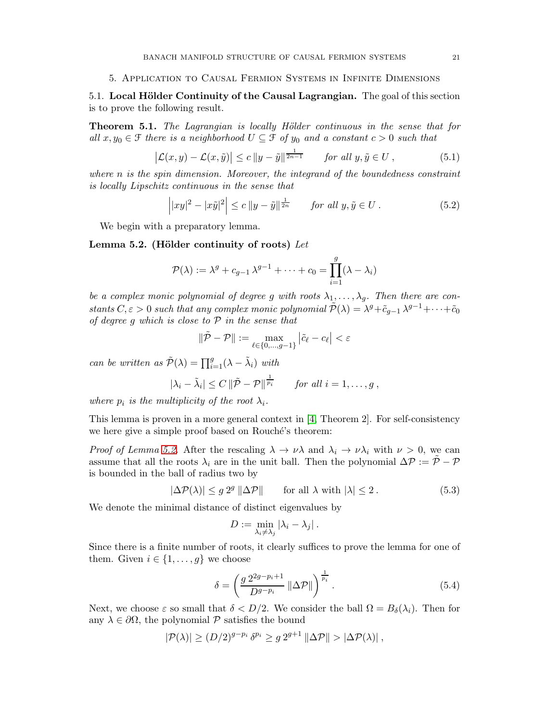## <span id="page-20-0"></span>5. Application to Causal Fermion Systems in Infinite Dimensions

<span id="page-20-1"></span>5.1. Local Hölder Continuity of the Causal Lagrangian. The goal of this section is to prove the following result.

<span id="page-20-2"></span>**Theorem 5.1.** The Lagrangian is locally Hölder continuous in the sense that for all  $x, y_0 \in \mathcal{F}$  there is a neighborhood  $U \subseteq \mathcal{F}$  of  $y_0$  and a constant  $c > 0$  such that

<span id="page-20-7"></span>
$$
\left|\mathcal{L}(x,y) - \mathcal{L}(x,\tilde{y})\right| \le c \left\|y - \tilde{y}\right\|^{\frac{1}{2n-1}} \quad \text{for all } y, \tilde{y} \in U \,, \tag{5.1}
$$

where n is the spin dimension. Moreover, the integrand of the boundedness constraint is locally Lipschitz continuous in the sense that

<span id="page-20-6"></span>
$$
\left| |xy|^2 - |x\tilde{y}|^2 \right| \le c \left| |y - \tilde{y}| \right|^{\frac{1}{2n}} \quad \text{for all } y, \tilde{y} \in U. \tag{5.2}
$$

We begin with a preparatory lemma.

<span id="page-20-3"></span>Lemma 5.2. (Hölder continuity of roots)  $Let$ 

$$
\mathcal{P}(\lambda) := \lambda^g + c_{g-1} \lambda^{g-1} + \dots + c_0 = \prod_{i=1}^g (\lambda - \lambda_i)
$$

be a complex monic polynomial of degree g with roots  $\lambda_1, \ldots, \lambda_q$ . Then there are constants  $C, \varepsilon > 0$  such that any complex monic polynomial  $\tilde{\mathcal{P}}(\lambda) = \lambda^g + \tilde{c}_{g-1} \lambda^{g-1} + \cdots + \tilde{c}_0$ of degree g which is close to  $P$  in the sense that

$$
\|\tilde{\mathcal{P}} - \mathcal{P}\| := \max_{\ell \in \{0, \dots, g-1\}} |\tilde{c}_{\ell} - c_{\ell}| < \varepsilon
$$

can be written as  $\tilde{\mathcal{P}}(\lambda) = \prod_{i=1}^{g} (\lambda - \tilde{\lambda}_i)$  with

$$
|\lambda_i - \tilde{\lambda}_i| \le C \left\|\tilde{\mathcal{P}} - \mathcal{P}\right\|^{\frac{1}{p_i}} \quad \text{for all } i = 1, \ldots, g,
$$

where  $p_i$  is the multiplicity of the root  $\lambda_i$ .

This lemma is proven in a more general context in [\[4,](#page-36-20) Theorem 2]. For self-consistency we here give a simple proof based on Rouché's theorem:

Proof of Lemma [5.2.](#page-20-3) After the rescaling  $\lambda \to \nu \lambda$  and  $\lambda_i \to \nu \lambda_i$  with  $\nu > 0$ , we can assume that all the roots  $\lambda_i$  are in the unit ball. Then the polynomial  $\Delta \mathcal{P} := \tilde{\mathcal{P}} - \mathcal{P}$ is bounded in the ball of radius two by

<span id="page-20-5"></span>
$$
|\Delta \mathcal{P}(\lambda)| \le g \, 2^g \, \|\Delta \mathcal{P}\| \qquad \text{for all } \lambda \text{ with } |\lambda| \le 2. \tag{5.3}
$$

We denote the minimal distance of distinct eigenvalues by

$$
D := \min_{\lambda_i \neq \lambda_j} |\lambda_i - \lambda_j|.
$$

Since there is a finite number of roots, it clearly suffices to prove the lemma for one of them. Given  $i \in \{1, \ldots, g\}$  we choose

<span id="page-20-4"></span>
$$
\delta = \left(\frac{g 2^{2g-p_i+1}}{D^{g-p_i}} \left\|\Delta \mathcal{P}\right\|\right)^{\frac{1}{p_i}}.\tag{5.4}
$$

Next, we choose  $\varepsilon$  so small that  $\delta < D/2$ . We consider the ball  $\Omega = B_{\delta}(\lambda_i)$ . Then for any  $\lambda \in \partial\Omega$ , the polynomial P satisfies the bound

$$
|\mathcal{P}(\lambda)| \ge (D/2)^{g-p_i} \, \delta^{p_i} \ge g \, 2^{g+1} \, \|\Delta \mathcal{P}\| > |\Delta \mathcal{P}(\lambda)| \, ,
$$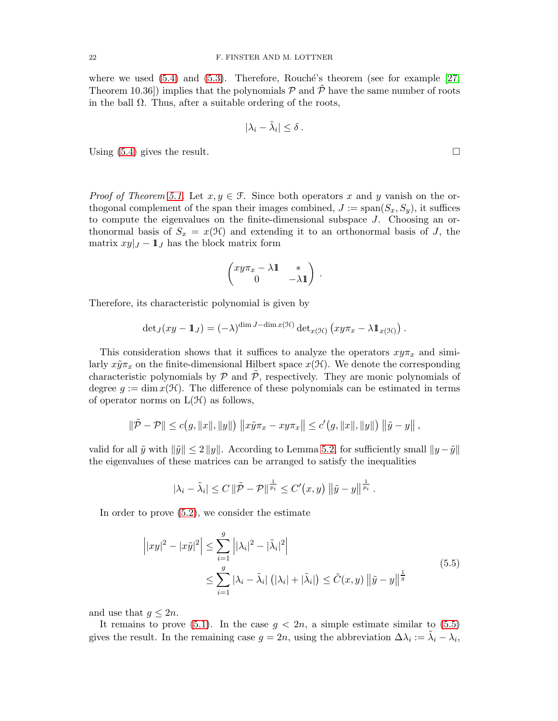where we used  $(5.4)$  and  $(5.3)$ . Therefore, Rouché's theorem (see for example [\[27,](#page-37-4) Theorem 10.36) implies that the polynomials  $\mathcal P$  and  $\mathcal P$  have the same number of roots in the ball  $\Omega$ . Thus, after a suitable ordering of the roots,

$$
|\lambda_i - \tilde{\lambda}_i| \leq \delta.
$$

Using  $(5.4)$  gives the result.

*Proof of Theorem [5.1.](#page-20-2)* Let  $x, y \in \mathcal{F}$ . Since both operators x and y vanish on the orthogonal complement of the span their images combined,  $J := \text{span}(S_x, S_y)$ , it suffices to compute the eigenvalues on the finite-dimensional subspace J. Choosing an orthonormal basis of  $S_x = x(\mathcal{H})$  and extending it to an orthonormal basis of J, the matrix  $xy|_J - \mathbf{1}_J$  has the block matrix form

$$
\begin{pmatrix} xy\pi_x - \lambda \mathbb{1} & * \\ 0 & -\lambda \mathbb{1} \end{pmatrix}.
$$

Therefore, its characteristic polynomial is given by

$$
\det_J(xy-\mathbb{1}_J) = (-\lambda)^{\dim J - \dim x(\mathcal{H})} \det{}_{x(\mathcal{H})} (xy\pi_x - \lambda \mathbb{1}_{x(\mathcal{H})}).
$$

This consideration shows that it suffices to analyze the operators  $xy\pi_x$  and similarly  $x\tilde{y}\pi_x$  on the finite-dimensional Hilbert space  $x(\mathcal{H})$ . We denote the corresponding characteristic polynomials by  $\mathcal P$  and  $\mathcal P$ , respectively. They are monic polynomials of degree  $q := \dim x(\mathcal{H})$ . The difference of these polynomials can be estimated in terms of operator norms on  $L(\mathcal{H})$  as follows,

$$
\|\tilde{\mathcal{P}} - \mathcal{P}\| \le c(g, \|x\|, \|y\|) \|x\tilde{y}\pi_x - xy\pi_x\| \le c'(g, \|x\|, \|y\|) \|\tilde{y} - y\|,
$$

valid for all  $\tilde{y}$  with  $\|\tilde{y}\| \leq 2 \|y\|$ . According to Lemma [5.2,](#page-20-3) for sufficiently small  $\|y - \tilde{y}\|$ the eigenvalues of these matrices can be arranged to satisfy the inequalities

$$
|\lambda_i - \tilde{\lambda}_i| \leq C \left\|\tilde{\mathcal{P}} - \mathcal{P}\right\|^{\frac{1}{p_i}} \leq C'(x, y) \left\|\tilde{y} - y\right\|^{\frac{1}{p_i}}.
$$

In order to prove [\(5.2\)](#page-20-6), we consider the estimate

$$
\left| |xy|^2 - |x\tilde{y}|^2 \right| \le \sum_{i=1}^g \left| |\lambda_i|^2 - |\tilde{\lambda}_i|^2 \right|
$$
  

$$
\le \sum_{i=1}^g |\lambda_i - \tilde{\lambda}_i| \left( |\lambda_i| + |\tilde{\lambda}_i| \right) \le \tilde{C}(x, y) \left\| \tilde{y} - y \right\|^\frac{1}{g}
$$
 (5.5)

<span id="page-21-0"></span>and use that  $q \leq 2n$ .

It remains to prove [\(5.1\)](#page-20-7). In the case  $g < 2n$ , a simple estimate similar to [\(5.5\)](#page-21-0) gives the result. In the remaining case  $g = 2n$ , using the abbreviation  $\Delta \lambda_i := \tilde{\lambda}_i - \lambda_i$ ,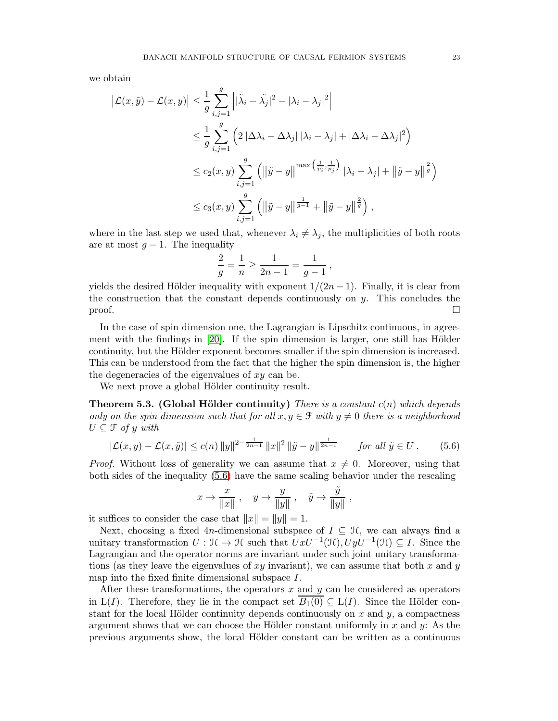we obtain

$$
\left| \mathcal{L}(x,\tilde{y}) - \mathcal{L}(x,y) \right| \leq \frac{1}{g} \sum_{i,j=1}^{g} \left| |\tilde{\lambda}_i - \tilde{\lambda}_j|^2 - |\lambda_i - \lambda_j|^2 \right|
$$
  
\n
$$
\leq \frac{1}{g} \sum_{i,j=1}^{g} \left( 2 |\Delta \lambda_i - \Delta \lambda_j| |\lambda_i - \lambda_j| + |\Delta \lambda_i - \Delta \lambda_j|^2 \right)
$$
  
\n
$$
\leq c_2(x,y) \sum_{i,j=1}^{g} \left( \left\| \tilde{y} - y \right\|^{max \left( \frac{1}{p_i}, \frac{1}{p_j} \right)} |\lambda_i - \lambda_j| + \left\| \tilde{y} - y \right\| ^{\frac{2}{g}} \right)
$$
  
\n
$$
\leq c_3(x,y) \sum_{i,j=1}^{g} \left( \left\| \tilde{y} - y \right\|^{1/2} + \left\| \tilde{y} - y \right\| ^{\frac{2}{g}} \right),
$$

where in the last step we used that, whenever  $\lambda_i \neq \lambda_j$ , the multiplicities of both roots are at most  $g - 1$ . The inequality

$$
\frac{2}{g} = \frac{1}{n} \ge \frac{1}{2n-1} = \frac{1}{g-1},
$$

yields the desired Hölder inequality with exponent  $1/(2n-1)$ . Finally, it is clear from the construction that the constant depends continuously on  $y$ . This concludes the  $\Box$ 

In the case of spin dimension one, the Lagrangian is Lipschitz continuous, in agreement with the findings in  $[20]$ . If the spin dimension is larger, one still has Hölder continuity, but the Hölder exponent becomes smaller if the spin dimension is increased. This can be understood from the fact that the higher the spin dimension is, the higher the degeneracies of the eigenvalues of  $xy$  can be.

We next prove a global Hölder continuity result.

<span id="page-22-0"></span>**Theorem 5.3. (Global Hölder continuity)** There is a constant  $c(n)$  which depends only on the spin dimension such that for all  $x, y \in \mathcal{F}$  with  $y \neq 0$  there is a neighborhood  $U \subseteq \mathcal{F}$  of y with

$$
|\mathcal{L}(x,y) - \mathcal{L}(x,\tilde{y})| \le c(n) \|y\|^{2 - \frac{1}{2n-1}} \|x\|^2 \|\tilde{y} - y\|_{2n-1}^{\frac{1}{2n-1}} \quad \text{for all } \tilde{y} \in U. \tag{5.6}
$$

*Proof.* Without loss of generality we can assume that  $x \neq 0$ . Moreover, using that both sides of the inequality [\(5.6\)](#page-22-1) have the same scaling behavior under the rescaling

<span id="page-22-1"></span>
$$
x\to \frac{x}{\|x\|}\ ,\quad y\to \frac{y}{\|y\|}\ ,\quad \tilde y\to \frac{\tilde y}{\|y\|}\ ,
$$

it suffices to consider the case that  $||x|| = ||y|| = 1$ .

Next, choosing a fixed 4n-dimensional subspace of  $I \subseteq \mathcal{H}$ , we can always find a unitary transformation  $U : \mathcal{H} \to \mathcal{H}$  such that  $UxU^{-1}(\mathcal{H}), UyU^{-1}(\mathcal{H}) \subseteq I$ . Since the Lagrangian and the operator norms are invariant under such joint unitary transformations (as they leave the eigenvalues of  $xy$  invariant), we can assume that both x and y map into the fixed finite dimensional subspace I.

After these transformations, the operators  $x$  and  $y$  can be considered as operators in L(I). Therefore, they lie in the compact set  $\overline{B_1(0)} \subseteq L(I)$ . Since the Hölder constant for the local Hölder continuity depends continuously on  $x$  and  $y$ , a compactness argument shows that we can choose the Hölder constant uniformly in  $x$  and  $y$ : As the previous arguments show, the local H¨older constant can be written as a continuous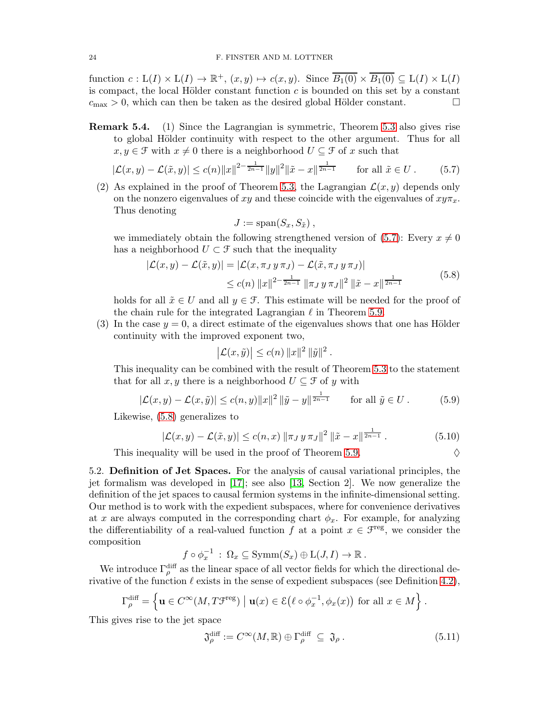function  $c: L(I) \times L(I) \to \mathbb{R}^+$ ,  $(x, y) \mapsto c(x, y)$ . Since  $\overline{B_1(0)} \times \overline{B_1(0)} \subseteq L(I) \times L(I)$ is compact, the local Hölder constant function  $c$  is bounded on this set by a constant  $c_{\text{max}} > 0$ , which can then be taken as the desired global Hölder constant.

Remark 5.4. (1) Since the Lagrangian is symmetric, Theorem [5.3](#page-22-0) also gives rise to global Hölder continuity with respect to the other argument. Thus for all  $x, y \in \mathcal{F}$  with  $x \neq 0$  there is a neighborhood  $U \subseteq \mathcal{F}$  of x such that

$$
|\mathcal{L}(x,y) - \mathcal{L}(\tilde{x},y)| \le c(n) \|x\|^{2 - \frac{1}{2n-1}} \|y\|^2 \|\tilde{x} - x\|^{\frac{1}{2n-1}} \qquad \text{for all } \tilde{x} \in U. \tag{5.7}
$$

(2) As explained in the proof of Theorem [5.3,](#page-22-0) the Lagrangian  $\mathcal{L}(x, y)$  depends only on the nonzero eigenvalues of xy and these coincide with the eigenvalues of  $xy\pi_x$ . Thus denoting

<span id="page-23-2"></span>
$$
J := \mathrm{span}(S_x, S_{\tilde{x}}),
$$

we immediately obtain the following strengthened version of  $(5.7)$ : Every  $x \neq 0$ has a neighborhood  $U \subset \mathcal{F}$  such that the inequality

$$
|\mathcal{L}(x,y) - \mathcal{L}(\tilde{x},y)| = |\mathcal{L}(x,\pi_J y \pi_J) - \mathcal{L}(\tilde{x},\pi_J y \pi_J)|
$$
  
 
$$
\leq c(n) ||x||^{2-\frac{1}{2n-1}} ||\pi_J y \pi_J||^2 ||\tilde{x} - x||^{\frac{1}{2n-1}}
$$
(5.8)

holds for all  $\tilde{x} \in U$  and all  $y \in \mathcal{F}$ . This estimate will be needed for the proof of the chain rule for the integrated Lagrangian  $\ell$  in Theorem [5.9.](#page-26-1)

(3) In the case  $y = 0$ , a direct estimate of the eigenvalues shows that one has Hölder continuity with the improved exponent two,

$$
\left|\mathcal{L}(x,\tilde{y})\right| \le c(n) \|x\|^2 \|\tilde{y}\|^2.
$$

This inequality can be combined with the result of Theorem [5.3](#page-22-0) to the statement that for all x, y there is a neighborhood  $U \subseteq \mathcal{F}$  of y with

<span id="page-23-1"></span>
$$
|\mathcal{L}(x,y) - \mathcal{L}(x,\tilde{y})| \le c(n,y) \|x\|^2 \|\tilde{y} - y\|^{\frac{1}{2n-1}} \quad \text{for all } \tilde{y} \in U. \tag{5.9}
$$

Likewise, [\(5.8\)](#page-23-3) generalizes to

<span id="page-23-4"></span>
$$
|\mathcal{L}(x,y) - \mathcal{L}(\tilde{x},y)| \le c(n,x) \|\pi_J y \pi_J\|^2 \|\tilde{x} - x\|^{\frac{1}{2n-1}}.
$$
 (5.10)

This inequality will be used in the proof of Theorem [5.9.](#page-26-1)  $\Diamond$ 

<span id="page-23-3"></span>
$$
\left\vert \nabla \right\vert
$$

<span id="page-23-0"></span>5.2. Definition of Jet Spaces. For the analysis of causal variational principles, the jet formalism was developed in [\[17\]](#page-36-10); see also [\[13,](#page-36-22) Section 2]. We now generalize the definition of the jet spaces to causal fermion systems in the infinite-dimensional setting. Our method is to work with the expedient subspaces, where for convenience derivatives at x are always computed in the corresponding chart  $\phi_x$ . For example, for analyzing the differentiability of a real-valued function f at a point  $x \in \mathcal{F}^{\text{reg}}$ , we consider the composition

$$
f \circ \phi_x^{-1} : \Omega_x \subseteq \text{Symm}(S_x) \oplus L(J, I) \to \mathbb{R}
$$
.

We introduce  $\Gamma_{\rho}^{\text{diff}}$  as the linear space of all vector fields for which the directional derivative of the function  $\ell$  exists in the sense of expedient subspaces (see Definition [4.2\)](#page-17-2),

$$
\Gamma_{\rho}^{\text{diff}} = \left\{ \mathbf{u} \in C^{\infty}(M, T\mathfrak{F}^{\text{reg}}) \mid \mathbf{u}(x) \in \mathcal{E}(\ell \circ \phi_x^{-1}, \phi_x(x)) \text{ for all } x \in M \right\}.
$$

This gives rise to the jet space

$$
\mathfrak{J}_{\rho}^{\text{diff}} := C^{\infty}(M, \mathbb{R}) \oplus \Gamma_{\rho}^{\text{diff}} \subseteq \mathfrak{J}_{\rho}.
$$
\n(5.11)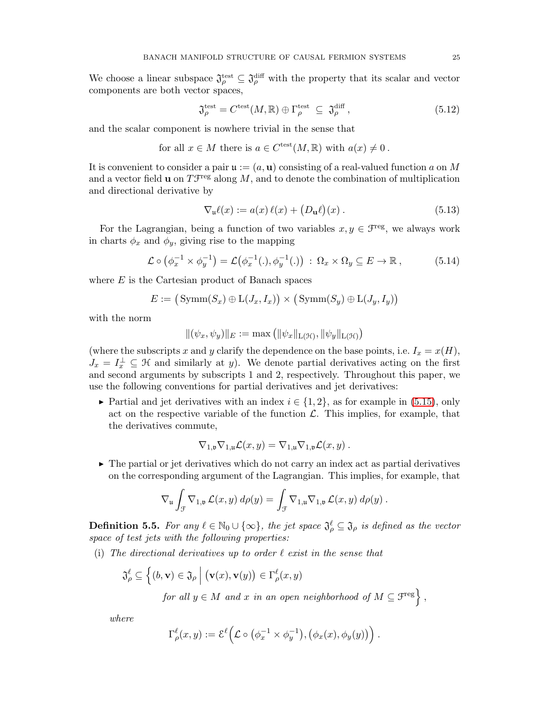We choose a linear subspace  $\mathfrak{J}^{\text{test}}_{\rho} \subseteq \mathfrak{J}^{\text{diff}}_{\rho}$  with the property that its scalar and vector components are both vector spaces,

$$
\mathfrak{J}_{\rho}^{\text{test}} = C^{\text{test}}(M, \mathbb{R}) \oplus \Gamma_{\rho}^{\text{test}} \subseteq \mathfrak{J}_{\rho}^{\text{diff}},\tag{5.12}
$$

and the scalar component is nowhere trivial in the sense that

for all 
$$
x \in M
$$
 there is  $a \in C^{\text{test}}(M, \mathbb{R})$  with  $a(x) \neq 0$ .

It is convenient to consider a pair  $\mathfrak{u} := (a, \mathbf{u})$  consisting of a real-valued function a on M and a vector field **u** on  $T\mathcal{F}^{\text{reg}}$  along M, and to denote the combination of multiplication and directional derivative by

<span id="page-24-0"></span>
$$
\nabla_{\mathbf{u}}\ell(x) := a(x)\,\ell(x) + \big(D_{\mathbf{u}}\ell\big)(x) \,. \tag{5.13}
$$

For the Lagrangian, being a function of two variables  $x, y \in \mathcal{F}^{\text{reg}}$ , we always work in charts  $\phi_x$  and  $\phi_y$ , giving rise to the mapping

<span id="page-24-1"></span>
$$
\mathcal{L} \circ \left( \phi_x^{-1} \times \phi_y^{-1} \right) = \mathcal{L} \left( \phi_x^{-1} (.) , \phi_y^{-1} (.) \right) : \Omega_x \times \Omega_y \subseteq E \to \mathbb{R} \,, \tag{5.14}
$$

where  $E$  is the Cartesian product of Banach spaces

$$
E := (\text{Symm}(S_x) \oplus \text{L}(J_x, I_x)) \times (\text{Symm}(S_y) \oplus \text{L}(J_y, I_y))
$$

with the norm

$$
\|(\psi_x, \psi_y)\|_E := \max\left(\|\psi_x\|_{L(\mathcal{H})}, \|\psi_y\|_{L(\mathcal{H})}\right)
$$

(where the subscripts x and y clarify the dependence on the base points, i.e.  $I_x = x(H)$ ,  $J_x = I_x^{\perp} \subseteq \mathcal{H}$  and similarly at y). We denote partial derivatives acting on the first and second arguments by subscripts 1 and 2, respectively. Throughout this paper, we use the following conventions for partial derivatives and jet derivatives:

► Partial and jet derivatives with an index  $i \in \{1, 2\}$ , as for example in [\(5.15\)](#page-25-2), only act on the respective variable of the function  $\mathcal{L}$ . This implies, for example, that the derivatives commute,

$$
\nabla_{1,\mathfrak{v}} \nabla_{1,\mathfrak{u}} \mathcal{L}(x,y) = \nabla_{1,\mathfrak{u}} \nabla_{1,\mathfrak{v}} \mathcal{L}(x,y) .
$$

 $\triangleright$  The partial or jet derivatives which do not carry an index act as partial derivatives on the corresponding argument of the Lagrangian. This implies, for example, that

$$
\nabla_{\mathfrak{u}} \int_{\mathcal{F}} \nabla_{1,\mathfrak{v}} \mathcal{L}(x,y) d\rho(y) = \int_{\mathcal{F}} \nabla_{1,\mathfrak{u}} \nabla_{1,\mathfrak{v}} \mathcal{L}(x,y) d\rho(y).
$$

**Definition 5.5.** For any  $\ell \in \mathbb{N}_0 \cup \{\infty\}$ , the jet space  $\mathfrak{J}_{\rho}^{\ell} \subseteq \mathfrak{J}_{\rho}$  is defined as the vector space of test jets with the following properties:

(i) The directional derivatives up to order  $\ell$  exist in the sense that

$$
\mathfrak{J}_{\rho}^{\ell} \subseteq \left\{ (b, \mathbf{v}) \in \mathfrak{J}_{\rho} \, \middle| \, (\mathbf{v}(x), \mathbf{v}(y)) \in \Gamma_{\rho}^{\ell}(x, y) \right\}
$$
\nfor all  $y \in M$  and  $x$  in an open neighborhood of  $M \subseteq \mathcal{F}^{\text{reg}} \right\}$ ,

where

$$
\Gamma_\rho^\ell(x,y) := \mathcal{E}^\ell\Big(\mathcal{L} \circ \big(\phi_x^{-1} \times \phi_y^{-1}\big), \big(\phi_x(x), \phi_y(y)\big)\Big) .
$$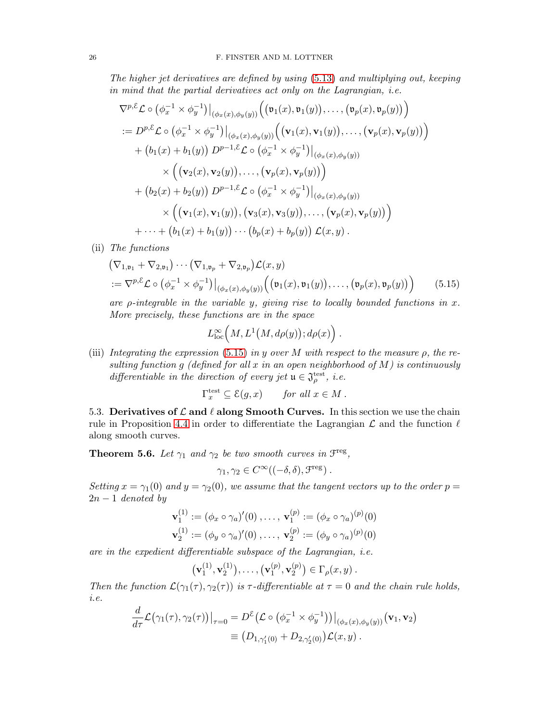The higher jet derivatives are defined by using [\(5.13\)](#page-24-0) and multiplying out, keeping in mind that the partial derivatives act only on the Lagrangian, i.e.

$$
\nabla^{p,\mathcal{E}} \mathcal{L} \circ (\phi_x^{-1} \times \phi_y^{-1})|_{(\phi_x(x), \phi_y(y))} ((\mathfrak{v}_1(x), \mathfrak{v}_1(y)), \dots, (\mathfrak{v}_p(x), \mathfrak{v}_p(y)) )
$$
  
\n
$$
:= D^{p,\mathcal{E}} \mathcal{L} \circ (\phi_x^{-1} \times \phi_y^{-1})|_{(\phi_x(x), \phi_y(y))} ((\mathbf{v}_1(x), \mathbf{v}_1(y)), \dots, (\mathbf{v}_p(x), \mathbf{v}_p(y)) )
$$
  
\n
$$
+ (b_1(x) + b_1(y)) D^{p-1,\mathcal{E}} \mathcal{L} \circ (\phi_x^{-1} \times \phi_y^{-1})|_{(\phi_x(x), \phi_y(y))}
$$
  
\n
$$
\times ((\mathbf{v}_2(x), \mathbf{v}_2(y)), \dots, (\mathbf{v}_p(x), \mathbf{v}_p(y)) )
$$
  
\n
$$
+ (b_2(x) + b_2(y)) D^{p-1,\mathcal{E}} \mathcal{L} \circ (\phi_x^{-1} \times \phi_y^{-1})|_{(\phi_x(x), \phi_y(y))}
$$
  
\n
$$
\times ((\mathbf{v}_1(x), \mathbf{v}_1(y)), (\mathbf{v}_3(x), \mathbf{v}_3(y)), \dots, (\mathbf{v}_p(x), \mathbf{v}_p(y)) )
$$
  
\n
$$
+ \dots + (b_1(x) + b_1(y)) \cdots (b_p(x) + b_p(y)) \mathcal{L}(x, y).
$$

(ii) The functions

$$
\begin{aligned} &\left(\nabla_{1,\mathfrak{v}_1} + \nabla_{2,\mathfrak{v}_1}\right) \cdots \left(\nabla_{1,\mathfrak{v}_p} + \nabla_{2,\mathfrak{v}_p}\right) \mathcal{L}(x,y) \\ &:= \nabla^{p,\mathcal{E}} \mathcal{L} \circ \left(\phi_x^{-1} \times \phi_y^{-1}\right) \big|_{(\phi_x(x),\phi_y(y))} \left(\left(\mathfrak{v}_1(x),\mathfrak{v}_1(y)\right),\ldots,\left(\mathfrak{v}_p(x),\mathfrak{v}_p(y)\right)\right) \end{aligned} \tag{5.15}
$$

are  $\rho$ -integrable in the variable y, giving rise to locally bounded functions in x. More precisely, these functions are in the space

<span id="page-25-2"></span>
$$
L^{\infty}_{\text{loc}}(M,L^1(M,d\rho(y));d\rho(x)\Big) .
$$

(iii) Integrating the expression [\(5.15\)](#page-25-2) in y over M with respect to the measure  $\rho$ , the resulting function g (defined for all  $x$  in an open neighborhood of  $M$ ) is continuously differentiable in the direction of every jet  $\mathfrak{u} \in \mathfrak{J}_{\rho}^{\text{test}}$ , i.e.

$$
\Gamma_x^{\text{test}} \subseteq \mathcal{E}(g, x) \quad \text{for all } x \in M \ .
$$

<span id="page-25-0"></span>5.3. Derivatives of  $\mathcal L$  and  $\ell$  along Smooth Curves. In this section we use the chain rule in Proposition [4.4](#page-18-1) in order to differentiate the Lagrangian  $\mathcal L$  and the function  $\ell$ along smooth curves.

<span id="page-25-1"></span>**Theorem 5.6.** Let  $\gamma_1$  and  $\gamma_2$  be two smooth curves in  $\mathcal{F}^{\text{reg}}$ ,

$$
\gamma_1, \gamma_2 \in C^{\infty}((-\delta, \delta), \mathcal{F}^{\text{reg}}).
$$

Setting  $x = \gamma_1(0)$  and  $y = \gamma_2(0)$ , we assume that the tangent vectors up to the order  $p =$  $2n-1$  denoted by

$$
\mathbf{v}_1^{(1)} := (\phi_x \circ \gamma_a)'(0), \dots, \mathbf{v}_1^{(p)} := (\phi_x \circ \gamma_a)^{(p)}(0)
$$
  

$$
\mathbf{v}_2^{(1)} := (\phi_y \circ \gamma_a)'(0), \dots, \mathbf{v}_2^{(p)} := (\phi_y \circ \gamma_a)^{(p)}(0)
$$

are in the expedient differentiable subspace of the Lagrangian, i.e.

$$
(\mathbf{v}_1^{(1)}, \mathbf{v}_2^{(1)}), \ldots, (\mathbf{v}_1^{(p)}, \mathbf{v}_2^{(p)}) \in \Gamma_\rho(x, y)
$$
.

Then the function  $\mathcal{L}(\gamma_1(\tau), \gamma_2(\tau))$  is  $\tau$ -differentiable at  $\tau = 0$  and the chain rule holds, i.e.

$$
\frac{d}{d\tau}\mathcal{L}(\gamma_1(\tau),\gamma_2(\tau))\big|_{\tau=0} = D^{\varepsilon}\big(\mathcal{L}\circ\big(\phi_x^{-1}\times\phi_y^{-1}\big)\big)\big|_{(\phi_x(x),\phi_y(y))} (\mathbf{v}_1,\mathbf{v}_2)
$$
\n
$$
\equiv \big(D_{1,\gamma'_1(0)} + D_{2,\gamma'_2(0)}\big)\mathcal{L}(x,y).
$$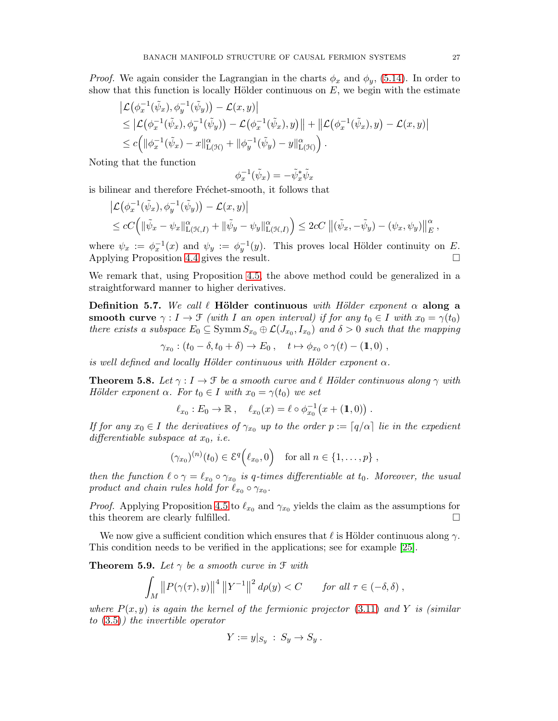*Proof.* We again consider the Lagrangian in the charts  $\phi_x$  and  $\phi_y$ , [\(5.14\)](#page-24-1). In order to show that this function is locally Hölder continuous on  $E$ , we begin with the estimate

$$
\begin{split} & \left| \mathcal{L} \left( \phi_x^{-1} (\tilde{\psi}_x), \phi_y^{-1} (\tilde{\psi}_y) \right) - \mathcal{L}(x, y) \right| \\ & \leq \left| \mathcal{L} \left( \phi_x^{-1} (\tilde{\psi}_x), \phi_y^{-1} (\tilde{\psi}_y) \right) - \mathcal{L} \left( \phi_x^{-1} (\tilde{\psi}_x), y \right) \right| + \left\| \mathcal{L} \left( \phi_x^{-1} (\tilde{\psi}_x), y \right) - \mathcal{L}(x, y) \right| \\ & \leq c \Big( \|\phi_x^{-1} (\tilde{\psi}_x) - x\|_{\mathcal{L}(\mathcal{H})}^{\alpha} + \|\phi_y^{-1} (\tilde{\psi}_y) - y\|_{\mathcal{L}(\mathcal{H})}^{\alpha} \Big) . \end{split}
$$

Noting that the function

$$
\phi_x^{-1}(\tilde{\psi}_x) = -\tilde{\psi}_x^*\tilde{\psi}_x
$$

is bilinear and therefore Fréchet-smooth, it follows that

$$
\left| \mathcal{L}(\phi_x^{-1}(\tilde{\psi}_x), \phi_y^{-1}(\tilde{\psi}_y)) - \mathcal{L}(x, y) \right|
$$
  
\n
$$
\leq cC \Big( \|\tilde{\psi}_x - \psi_x\|_{\mathcal{L}(\mathcal{H}, I)}^{\alpha} + \|\tilde{\psi}_y - \psi_y\|_{\mathcal{L}(\mathcal{H}, I)}^{\alpha} \Big) \leq 2cC \left\|(\tilde{\psi}_x, -\tilde{\psi}_y) - (\psi_x, \psi_y)\right\|_{E}^{\alpha},
$$

where  $\psi_x := \phi_x^{-1}(x)$  and  $\psi_y := \phi_y^{-1}(y)$ . This proves local Hölder continuity on E. Applying Proposition [4.4](#page-18-1) gives the result.

We remark that, using Proposition [4.5,](#page-19-0) the above method could be generalized in a straightforward manner to higher derivatives.

Definition 5.7. We call  $\ell$  Hölder continuous with Hölder exponent  $\alpha$  along a smooth curve  $\gamma : I \to \mathcal{F}$  (with I an open interval) if for any  $t_0 \in I$  with  $x_0 = \gamma(t_0)$ there exists a subspace  $E_0 \subseteq \text{Symm } S_{x_0} \oplus \mathcal{L}(J_{x_0}, I_{x_0})$  and  $\delta > 0$  such that the mapping

$$
\gamma_{x_0} : (t_0 - \delta, t_0 + \delta) \to E_0 , \quad t \mapsto \phi_{x_0} \circ \gamma(t) - (\mathbb{1}, 0) ,
$$

is well defined and locally Hölder continuous with Hölder exponent  $\alpha$ .

<span id="page-26-0"></span>**Theorem 5.8.** Let  $\gamma: I \to \mathcal{F}$  be a smooth curve and  $\ell$  Hölder continuous along  $\gamma$  with Hölder exponent  $\alpha$ . For  $t_0 \in I$  with  $x_0 = \gamma(t_0)$  we set

$$
\ell_{x_0}: E_0 \to \mathbb{R} \ , \quad \ell_{x_0}(x) = \ell \circ \phi_{x_0}^{-1}(x + (1,0)) \ .
$$

If for any  $x_0 \in I$  the derivatives of  $\gamma_{x_0}$  up to the order  $p := \lceil q/\alpha \rceil$  lie in the expedient differentiable subspace at  $x_0$ , *i.e.* 

$$
(\gamma_{x_0})^{(n)}(t_0) \in \mathcal{E}^q(\ell_{x_0},0) \quad \text{for all } n \in \{1,\ldots,p\} ,
$$

then the function  $\ell \circ \gamma = \ell_{x_0} \circ \gamma_{x_0}$  is q-times differentiable at  $t_0$ . Moreover, the usual product and chain rules hold for  $\ell_{x_0} \circ \gamma_{x_0}$ .

*Proof.* Applying Proposition [4.5](#page-19-0) to  $\ell_{x_0}$  and  $\gamma_{x_0}$  yields the claim as the assumptions for this theorem are clearly fulfilled.

We now give a sufficient condition which ensures that  $\ell$  is Hölder continuous along  $\gamma$ . This condition needs to be verified in the applications; see for example [\[25\]](#page-37-1).

<span id="page-26-1"></span>**Theorem 5.9.** Let  $\gamma$  be a smooth curve in  $\mathcal{F}$  with

$$
\int_M ||P(\gamma(\tau),y)||^4 ||Y^{-1}||^2 d\rho(y) < C \quad \text{for all } \tau \in (-\delta, \delta) ,
$$

where  $P(x, y)$  is again the kernel of the fermionic projector [\(3.11\)](#page-9-5) and Y is (similar to [\(3.5\)](#page-8-1)) the invertible operator

$$
Y := y|_{S_y} : S_y \to S_y.
$$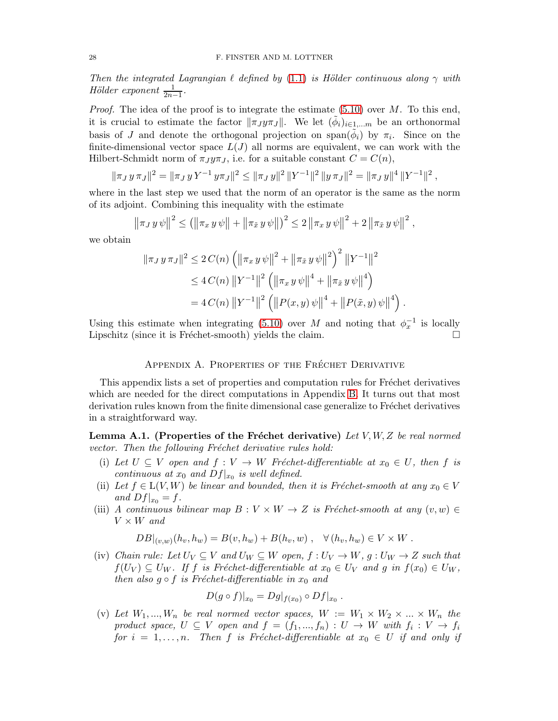Then the integrated Lagrangian  $\ell$  defined by [\(1.1\)](#page-2-0) is Hölder continuous along  $\gamma$  with Hölder exponent  $\frac{1}{2n-1}$ .

*Proof.* The idea of the proof is to integrate the estimate  $(5.10)$  over M. To this end, it is crucial to estimate the factor  $\|\pi_J y\pi_J\|$ . We let  $(\tilde{\phi}_i)_{i\in 1,\dots m}$  be an orthonormal basis of J and denote the orthogonal projection on  $\text{span}(\phi_i)$  by  $\pi_i$ . Since on the finite-dimensional vector space  $L(J)$  all norms are equivalent, we can work with the Hilbert-Schmidt norm of  $\pi_J y \pi_J$ , i.e. for a suitable constant  $C = C(n)$ ,

$$
\|\pi_J y \pi_J\|^2 = \|\pi_J y Y^{-1} y \pi_J\|^2 \le \|\pi_J y\|^2 \, \|Y^{-1}\|^2 \, \|y \pi_J\|^2 = \|\pi_J y\|^4 \, \|Y^{-1}\|^2 \,,
$$

where in the last step we used that the norm of an operator is the same as the norm of its adjoint. Combining this inequality with the estimate

$$
\|\pi_J y \psi\|^2 \leq (\|\pi_x y \psi\| + \|\pi_{\tilde{x}} y \psi\|)^2 \leq 2 \|\pi_x y \psi\|^2 + 2 \|\pi_{\tilde{x}} y \psi\|^2,
$$

we obtain

$$
\|\pi_J y \pi_J\|^2 \le 2 C(n) \left( \|\pi_x y \psi\|^2 + \|\pi_{\tilde{x}} y \psi\|^2 \right)^2 \|Y^{-1}\|^2
$$
  
\n
$$
\le 4 C(n) \|Y^{-1}\|^2 \left( \|\pi_x y \psi\|^4 + \|\pi_{\tilde{x}} y \psi\|^4 \right)
$$
  
\n
$$
= 4 C(n) \|Y^{-1}\|^2 \left( \|P(x, y) \psi\|^4 + \|P(\tilde{x}, y) \psi\|^4 \right)
$$

Using this estimate when integrating [\(5.10\)](#page-23-4) over M and noting that  $\phi_x^{-1}$  is locally Lipschitz (since it is Fréchet-smooth) yields the claim.  $\Box$ 

.

## APPENDIX A. PROPERTIES OF THE FRÉCHET DERIVATIVE

<span id="page-27-0"></span>This appendix lists a set of properties and computation rules for Fréchet derivatives which are needed for the direct computations in Appendix [B.](#page-30-0) It turns out that most derivation rules known from the finite dimensional case generalize to Fréchet derivatives in a straightforward way.

<span id="page-27-1"></span>Lemma A.1. (Properties of the Fréchet derivative) Let  $V, W, Z$  be real normed vector. Then the following Fréchet derivative rules hold:

- (i) Let  $U \subseteq V$  open and  $f : V \to W$  Fréchet-differentiable at  $x_0 \in U$ , then f is continuous at  $x_0$  and  $Df|_{x_0}$  is well defined.
- (ii) Let  $f \in L(V, W)$  be linear and bounded, then it is Fréchet-smooth at any  $x_0 \in V$ and  $Df|_{x_0} = f$ .
- (iii) A continuous bilinear map  $B: V \times W \rightarrow Z$  is Fréchet-smooth at any  $(v, w) \in$  $V \times W$  and

 $DB|_{(v,w)}(h_v, h_w) = B(v, h_w) + B(h_v, w)$ ,  $\forall (h_v, h_w) \in V \times W$ .

(iv) Chain rule: Let  $U_V \subseteq V$  and  $U_W \subseteq W$  open,  $f: U_V \to W$ ,  $g: U_W \to Z$  such that  $f(U_V) \subseteq U_W$ . If f is Fréchet-differentiable at  $x_0 \in U_V$  and g in  $f(x_0) \in U_W$ , then also  $g \circ f$  is Fréchet-differentiable in  $x_0$  and

$$
D(g\circ f)|_{x_0}=Dg|_{f(x_0)}\circ Df|_{x_0}.
$$

(v) Let  $W_1, ..., W_n$  be real normed vector spaces,  $W := W_1 \times W_2 \times ... \times W_n$  the product space,  $U \subseteq V$  open and  $f = (f_1, ..., f_n) : U \to W$  with  $f_i : V \to f_i$ for  $i = 1, \ldots, n$ . Then f is Fréchet-differentiable at  $x_0 \in U$  if and only if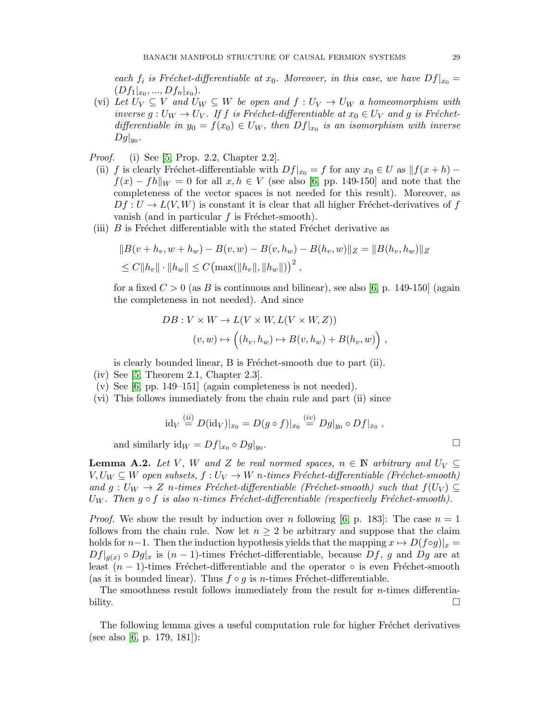each  $f_i$  is Fréchet-differentiable at  $x_0$ . Moreover, in this case, we have  $Df|_{x_0} =$  $(Df_1|_{x_0},...,Df_n|_{x_0}).$ 

- (vi) Let  $U_V \subseteq V$  and  $U_W \subseteq W$  be open and  $f: U_V \to U_W$  a homeomorphism with inverse g :  $U_W \rightarrow U_V$ . If f is Fréchet-differentiable at  $x_0 \in U_V$  and g is Fréchetdifferentiable in  $y_0 = f(x_0) \in U_W$ , then  $Df|_{x_0}$  is an isomorphism with inverse  $Dg|_{y_0}$ .
- *Proof.* (i) See [\[5,](#page-36-13) Prop. 2.2, Chapter 2.2].
	- (ii) f is clearly Fréchet-differentiable with  $Df|_{x_0} = f$  for any  $x_0 \in U$  as  $||f(x+h)$  $f(x) - fh\|_{W} = 0$  for all  $x, h \in V$  (see also [\[6,](#page-36-14) pp. 149-150] and note that the completeness of the vector spaces is not needed for this result). Moreover, as  $Df: U \to L(V, W)$  is constant it is clear that all higher Fréchet-derivatives of f vanish (and in particular  $f$  is Fréchet-smooth).
- (iii)  $B$  is Fréchet differentiable with the stated Fréchet derivative as

$$
||B(v + h_v, w + h_w) - B(v, w) - B(v, h_w) - B(h_v, w)||_Z = ||B(h_v, h_w)||_Z
$$
  
\n
$$
\leq C||h_v|| \cdot ||h_w|| \leq C \left( \max(||h_v||, ||h_w||) \right)^2,
$$

for a fixed  $C > 0$  (as B is continuous and bilinear), see also [\[6,](#page-36-14) p. 149-150] (again the completeness in not needed). And since

$$
DB: V \times W \to L(V \times W, L(V \times W, Z))
$$
  

$$
(v, w) \mapsto ((h_v, h_w) \mapsto B(v, h_w) + B(h_v, w)),
$$

is clearly bounded linear, B is Fréchet-smooth due to part (ii).

- (iv) See [\[5,](#page-36-13) Theorem 2.1, Chapter 2.3].
- (v) See  $[6, pp. 149-151]$  (again completeness is not needed).
- (vi) This follows immediately from the chain rule and part (ii) since

$$
\mathrm{id}_V \stackrel{(ii)}{=} D(\mathrm{id}_V)|_{x_0} = D(g \circ f)|_{x_0} \stackrel{(iv)}{=} Dg|_{y_0} \circ Df|_{x_0} ,
$$

and similarly  $\mathrm{id}_W = Df|_{x_0} \circ Dg|_{y_0}$ .

<span id="page-28-0"></span>**Lemma A.2.** Let V, W and Z be real normed spaces,  $n \in \mathbb{N}$  arbitrary and  $U_V \subseteq$  $V, U_W \subseteq W$  open subsets,  $f: U_V \to W$  n-times Fréchet-differentiable (Fréchet-smooth) and  $g: U_W \to Z$  n-times Fréchet-differentiable (Fréchet-smooth) such that  $f(U_V) \subseteq$  $U_W$ . Then  $g \circ f$  is also n-times Fréchet-differentiable (respectively Fréchet-smooth).

*Proof.* We show the result by induction over n following [\[6,](#page-36-14) p. 183]: The case  $n = 1$ follows from the chain rule. Now let  $n \geq 2$  be arbitrary and suppose that the claim holds for n−1. Then the induction hypothesis yields that the mapping  $x \mapsto D(f \circ g)|_x =$  $Df|_{q(x)} \circ Dg|_x$  is  $(n-1)$ -times Fréchet-differentiable, because  $Df$ , g and  $Dg$  are at least  $(n-1)$ -times Fréchet-differentiable and the operator  $\circ$  is even Fréchet-smooth (as it is bounded linear). Thus  $f \circ q$  is *n*-times Fréchet-differentiable.

The smoothness result follows immediately from the result for  $n$ -times differentiability.  $\Box$ 

The following lemma gives a useful computation rule for higher Fréchet derivatives (see also [\[6,](#page-36-14) p. 179, 181]):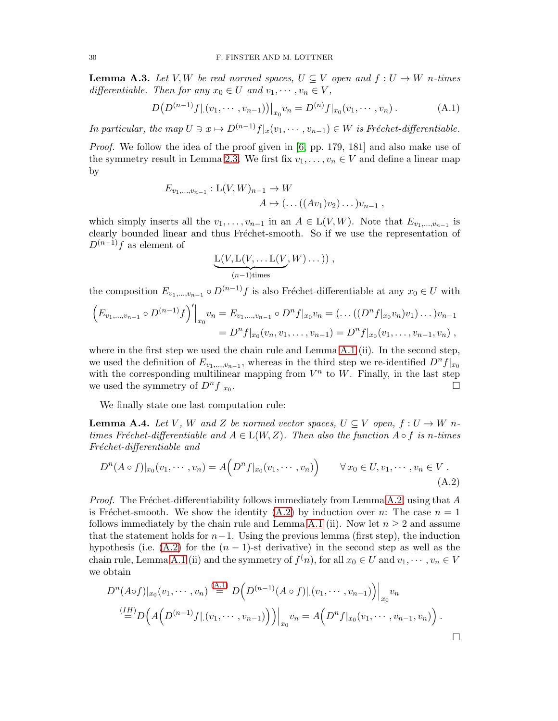**Lemma A.3.** Let V, W be real normed spaces,  $U \subseteq V$  open and  $f: U \to W$  n-times differentiable. Then for any  $x_0 \in U$  and  $v_1, \dots, v_n \in V$ ,

$$
D(D^{(n-1)}f|(v_1,\dots,v_{n-1}))|_{x_0}v_n = D^{(n)}f|_{x_0}(v_1,\dots,v_n).
$$
 (A.1)

In particular, the map  $U \ni x \mapsto D^{(n-1)}f|_x(v_1, \dots, v_{n-1}) \in W$  is Fréchet-differentiable.

*Proof.* We follow the idea of the proof given in [\[6,](#page-36-14) pp. 179, 181] and also make use of the symmetry result in Lemma [2.3.](#page-5-2) We first fix  $v_1, \ldots, v_n \in V$  and define a linear map by

$$
E_{v_1,...,v_{n-1}}: \mathcal{L}(V,W)_{n-1} \to W
$$
  

$$
A \mapsto (\dots((Av_1)v_2)\dots)v_{n-1},
$$

which simply inserts all the  $v_1, \ldots, v_{n-1}$  in an  $A \in L(V, W)$ . Note that  $E_{v_1, \ldots, v_{n-1}}$  is clearly bounded linear and thus Fréchet-smooth. So if we use the representation of  $D^{(n-1)}f$  as element of

<span id="page-29-1"></span><span id="page-29-0"></span>
$$
\underbrace{\mathcal{L}(V, \mathcal{L}(V, \dots \mathcal{L}(V, W) \dots))}_{(n-1) \text{times}},
$$

the composition  $E_{v_1,...,v_{n-1}} \circ D^{(n-1)}f$  is also Fréchet-differentiable at any  $x_0 \in U$  with

$$
\left(E_{v_1,\dots,v_{n-1}}\circ D^{(n-1)}f\right)' \Big|_{x_0} v_n = E_{v_1,\dots,v_{n-1}}\circ D^n f|_{x_0} v_n = (\dots((D^n f|_{x_0} v_n)v_1)\dots)v_{n-1}
$$
  
=  $D^n f|_{x_0}(v_n,v_1,\dots,v_{n-1}) = D^n f|_{x_0}(v_1,\dots,v_{n-1},v_n),$ 

where in the first step we used the chain rule and Lemma [A.1](#page-27-1) (ii). In the second step, we used the definition of  $E_{v_1,...,v_{n-1}}$ , whereas in the third step we re-identified  $D^n f|_{x_0}$ with the corresponding multilinear mapping from  $V^n$  to W. Finally, in the last step we used the symmetry of  $D^n f|_{x_0}$ . .

We finally state one last computation rule:

<span id="page-29-2"></span>**Lemma A.4.** Let V, W and Z be normed vector spaces,  $U \subseteq V$  open,  $f: U \to W$  ntimes Fréchet-differentiable and  $A \in L(W, Z)$ . Then also the function  $A \circ f$  is n-times Fréchet-differentiable and

$$
D^{n}(A \circ f)|_{x_{0}}(v_{1}, \cdots, v_{n}) = A(D^{n}f|_{x_{0}}(v_{1}, \cdots, v_{n})) \qquad \forall x_{0} \in U, v_{1}, \cdots, v_{n} \in V.
$$
\n(A.2)

*Proof.* The Fréchet-differentiability follows immediately from Lemma [A.2,](#page-28-0) using that  $A$ is Fréchet-smooth. We show the identity  $(A.2)$  by induction over n: The case  $n = 1$ follows immediately by the chain rule and Lemma [A.1](#page-27-1) (ii). Now let  $n \geq 2$  and assume that the statement holds for  $n-1$ . Using the previous lemma (first step), the induction hypothesis (i.e.  $(A.2)$  for the  $(n-1)$ -st derivative) in the second step as well as the chain rule, Lemma [A.1](#page-27-1) (ii) and the symmetry of  $f^{(n)}$ , for all  $x_0 \in U$  and  $v_1, \dots, v_n \in V$ we obtain

$$
D^{n}(A \circ f)|_{x_{0}}(v_{1},\cdots,v_{n}) \stackrel{(A.1)}{=} D\Big(D^{(n-1)}(A \circ f)|.(v_{1},\cdots,v_{n-1})\Big)\Big|_{x_{0}}v_{n}
$$
  
\n
$$
\stackrel{(IH)}{=} D\Big(A\Big(D^{(n-1)}f|.(v_{1},\cdots,v_{n-1})\Big)\Big)\Big|_{x_{0}}v_{n} = A\Big(D^{n}f|_{x_{0}}(v_{1},\cdots,v_{n-1},v_{n})\Big).
$$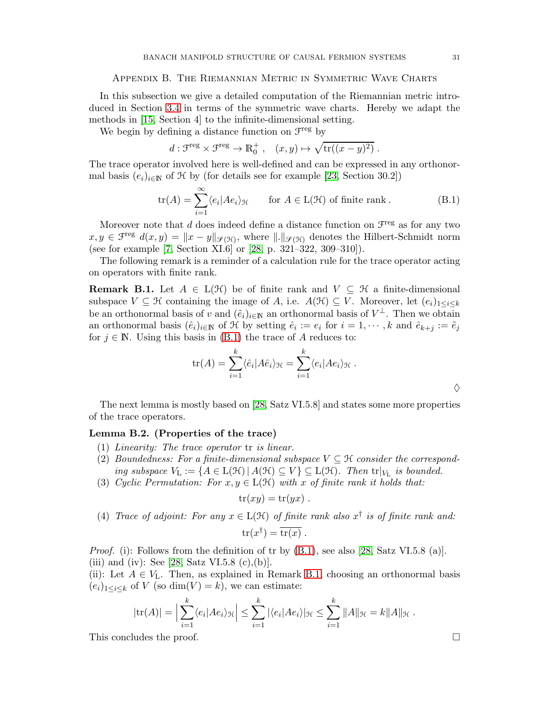### <span id="page-30-0"></span>Appendix B. The Riemannian Metric in Symmetric Wave Charts

In this subsection we give a detailed computation of the Riemannian metric introduced in Section [3.4](#page-15-0) in terms of the symmetric wave charts. Hereby we adapt the methods in [\[15,](#page-36-7) Section 4] to the infinite-dimensional setting.

We begin by defining a distance function on  $\mathcal{F}^{\text{reg}}$  by

<span id="page-30-1"></span>
$$
d: \mathcal{F}^{\text{reg}} \times \mathcal{F}^{\text{reg}} \to \mathbb{R}_0^+, \quad (x, y) \mapsto \sqrt{\text{tr}((x - y)^2)}.
$$

The trace operator involved here is well-defined and can be expressed in any orthonormal basis  $(e_i)_{i\in\mathbb{N}}$  of  $\mathcal H$  by (for details see for example [\[23,](#page-36-23) Section 30.2])

$$
\text{tr}(A) = \sum_{i=1}^{\infty} \langle e_i | Ae_i \rangle_{\mathcal{H}} \qquad \text{for } A \in \text{L}(\mathcal{H}) \text{ of finite rank }.
$$
 (B.1)

Moreover note that  $d$  does indeed define a distance function on  $\mathcal{F}^{\text{reg}}$  as for any two  $x, y \in \mathcal{F}^{\text{reg}}$   $d(x, y) = ||x - y||_{\mathscr{S}(\mathcal{H})}$ , where  $||.||_{\mathscr{S}(\mathcal{H})}$  denotes the Hilbert-Schmidt norm (see for example [\[7,](#page-36-19) Section XI.6] or [\[28,](#page-37-5) p. 321–322, 309–310]).

The following remark is a reminder of a calculation rule for the trace operator acting on operators with finite rank.

<span id="page-30-2"></span>**Remark B.1.** Let  $A \in L(H)$  be of finite rank and  $V \subseteq \mathcal{H}$  a finite-dimensional subspace  $V \subseteq \mathcal{H}$  containing the image of A, i.e.  $A(\mathcal{H}) \subseteq V$ . Moreover, let  $(e_i)_{1 \leq i \leq k}$ be an orthonormal basis of v and  $(\tilde{e}_i)_{i\in\mathbb{N}}$  an orthonormal basis of  $V^{\perp}$ . Then we obtain an orthonormal basis  $(\hat{e}_i)_{i\in\mathbb{N}}$  of  $\hat{\mathcal{H}}$  by setting  $\hat{e}_i := e_i$  for  $i = 1, \dots, k$  and  $\hat{e}_{k+j} := \tilde{e}_j$ for  $j \in \mathbb{N}$ . Using this basis in [\(B.1\)](#page-30-1) the trace of A reduces to:

$$
\operatorname{tr}(A) = \sum_{i=1}^{k} \langle \hat{e}_i | A \hat{e}_i \rangle_{\mathcal{H}} = \sum_{i=1}^{k} \langle e_i | A e_i \rangle_{\mathcal{H}}.
$$

The next lemma is mostly based on [\[28,](#page-37-5) Satz VI.5.8] and states some more properties of the trace operators.

### <span id="page-30-3"></span>Lemma B.2. (Properties of the trace)

- (1) Linearity: The trace operator tr is linear.
- (2) Boundedness: For a finite-dimensional subspace  $V \subseteq \mathcal{H}$  consider the corresponding subspace  $V_L := \{A \in L(\mathcal{H}) \mid A(\mathcal{H}) \subseteq V\} \subseteq L(\mathcal{H})$ . Then  $tr|_{V_L}$  is bounded.
- (3) Cyclic Permutation: For  $x, y \in L(\mathcal{H})$  with x of finite rank it holds that:

$$
tr(xy) = tr(yx) .
$$

(4) Trace of adjoint: For any 
$$
x \in L(\mathcal{H})
$$
 of finite rank also  $x^{\dagger}$  is of finite rank and:  

$$
\text{tr}(x^{\dagger}) = \overline{\text{tr}(x)}.
$$

*Proof.* (i): Follows from the definition of tr by  $(B.1)$ , see also [\[28,](#page-37-5) Satz VI.5.8 (a)]. (iii) and (iv): See [\[28,](#page-37-5) Satz VI.5.8 (c),(b)].

(ii): Let  $A \in V_L$ . Then, as explained in Remark [B.1,](#page-30-2) choosing an orthonormal basis  $(e_i)_{1 \leq i \leq k}$  of V (so dim(V) = k), we can estimate:

$$
|\mathrm{tr}(A)| = \Big|\sum_{i=1}^k \langle e_i | Ae_i \rangle_{\mathcal{H}} \Big| \leq \sum_{i=1}^k |\langle e_i | Ae_i \rangle_{\mathcal{H}} \leq \sum_{i=1}^k \|A\|_{\mathcal{H}} = k \|A\|_{\mathcal{H}}.
$$

This concludes the proof.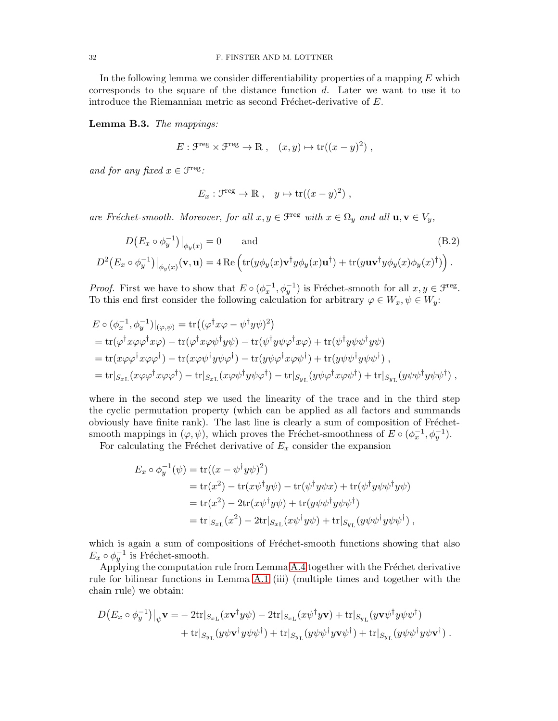In the following lemma we consider differentiability properties of a mapping  $E$  which corresponds to the square of the distance function  $d$ . Later we want to use it to introduce the Riemannian metric as second Fréchet-derivative of  $E$ .

<span id="page-31-1"></span>Lemma B.3. The mappings:

 $E: \mathcal{F}^{\text{reg}} \times \mathcal{F}^{\text{reg}} \to \mathbb{R}$ ,  $(x, y) \mapsto \text{tr}((x - y)^2)$ ,

and for any fixed  $x \in \mathcal{F}^{\text{reg}}$ :

<span id="page-31-0"></span>
$$
E_x: \mathcal{F}^{\text{reg}} \to \mathbb{R} \ , \quad y \mapsto \text{tr}((x-y)^2) \ ,
$$

are Fréchet-smooth. Moreover, for all  $x, y \in \mathcal{F}^{\text{reg}}$  with  $x \in \Omega_y$  and all  $\mathbf{u}, \mathbf{v} \in V_y$ ,

$$
D(E_x \circ \phi_y^{-1})|_{\phi_y(x)} = 0 \quad \text{and} \quad (B.2)
$$
  

$$
D^2(E_x \circ \phi_y^{-1})|_{\phi_y(x)}(\mathbf{v}, \mathbf{u}) = 4 \operatorname{Re} \left( \operatorname{tr}(y \phi_y(x) \mathbf{v}^\dagger y \phi_y(x) \mathbf{u}^\dagger) + \operatorname{tr}(y \mathbf{u} \mathbf{v}^\dagger y \phi_y(x) \phi_y(x) \phi_y(x)^\dagger) \right).
$$

*Proof.* First we have to show that  $E \circ (\phi_x^{-1}, \phi_y^{-1})$  is Fréchet-smooth for all  $x, y \in \mathcal{F}^{\text{reg}}$ . To this end first consider the following calculation for arbitrary  $\varphi \in W_x, \psi \in W_y$ :

$$
E \circ (\phi_x^{-1}, \phi_y^{-1})|_{(\varphi, \psi)} = \text{tr}((\varphi^{\dagger} x \varphi - \psi^{\dagger} y \psi)^2)
$$
  
=  $\text{tr}(\varphi^{\dagger} x \varphi \varphi^{\dagger} x \varphi) - \text{tr}(\varphi^{\dagger} x \varphi \psi^{\dagger} y \psi) - \text{tr}(\psi^{\dagger} y \psi \varphi^{\dagger} x \varphi) + \text{tr}(\psi^{\dagger} y \psi \psi^{\dagger} y \psi)$   
=  $\text{tr}(x \varphi \varphi^{\dagger} x \varphi \varphi^{\dagger}) - \text{tr}(x \varphi \psi^{\dagger} y \psi \varphi^{\dagger}) - \text{tr}(y \psi \varphi^{\dagger} x \varphi \psi^{\dagger}) + \text{tr}(y \psi \psi^{\dagger} y \psi \psi^{\dagger}),$   
=  $\text{tr}|_{S_{x_{\text{L}}}}(x \varphi \varphi^{\dagger} x \varphi \varphi^{\dagger}) - \text{tr}|_{S_{x_{\text{L}}}}(x \varphi \psi^{\dagger} y \psi \varphi^{\dagger}) - \text{tr}|_{S_{y_{\text{L}}}}(y \psi \varphi^{\dagger} x \varphi \psi^{\dagger}) + \text{tr}|_{S_{y_{\text{L}}}}(y \psi \psi^{\dagger} y \psi \psi^{\dagger}),$ 

where in the second step we used the linearity of the trace and in the third step the cyclic permutation property (which can be applied as all factors and summands obviously have finite rank). The last line is clearly a sum of composition of Fréchetsmooth mappings in  $(\varphi, \psi)$ , which proves the Fréchet-smoothness of  $E \circ (\phi_x^{-1}, \phi_y^{-1})$ .

For calculating the Fréchet derivative of  $E_x$  consider the expansion

$$
E_x \circ \phi_y^{-1}(\psi) = \text{tr}((x - \psi^{\dagger} y \psi)^2)
$$
  
= tr(x<sup>2</sup>) - tr(x\psi^{\dagger} y \psi) - tr(\psi^{\dagger} y \psi x) + \text{tr}(\psi^{\dagger} y \psi \psi^{\dagger} y \psi)  
= tr(x<sup>2</sup>) - 2tr(x\psi^{\dagger} y \psi) + tr(y\psi \psi^{\dagger} y \psi \psi^{\dagger})  
= tr|\_{S\_{x\_{\text{L}}}}(x^2) - 2tr|\_{S\_{x\_{\text{L}}}}(x\psi^{\dagger} y \psi) + \text{tr}|\_{S\_{y\_{\text{L}}}}(y\psi \psi^{\dagger} y \psi \psi^{\dagger}),

which is again a sum of compositions of Fréchet-smooth functions showing that also  $E_x \circ \phi_y^{-1}$  is Fréchet-smooth.

Applying the computation rule from Lemma [A.4](#page-29-2) together with the Fréchet derivative rule for bilinear functions in Lemma [A.1](#page-27-1) (iii) (multiple times and together with the chain rule) we obtain:

$$
D(E_x \circ \phi_y^{-1})|_{\psi} \mathbf{v} = -2\text{tr}|_{S_{x_\text{L}}}(x\mathbf{v}^\dagger y\psi) - 2\text{tr}|_{S_{x_\text{L}}}(x\psi^\dagger y\mathbf{v}) + \text{tr}|_{S_{y_\text{L}}}(y\mathbf{v}\psi^\dagger y\psi\psi^\dagger) + \text{tr}|_{S_{y_\text{L}}}(y\psi\mathbf{v}^\dagger y\psi\psi^\dagger) + \text{tr}|_{S_{y_\text{L}}}(y\psi\psi^\dagger y\psi\psi^\dagger) + \text{tr}|_{S_{y_\text{L}}}(y\psi\psi^\dagger y\psi\mathbf{v}^\dagger).
$$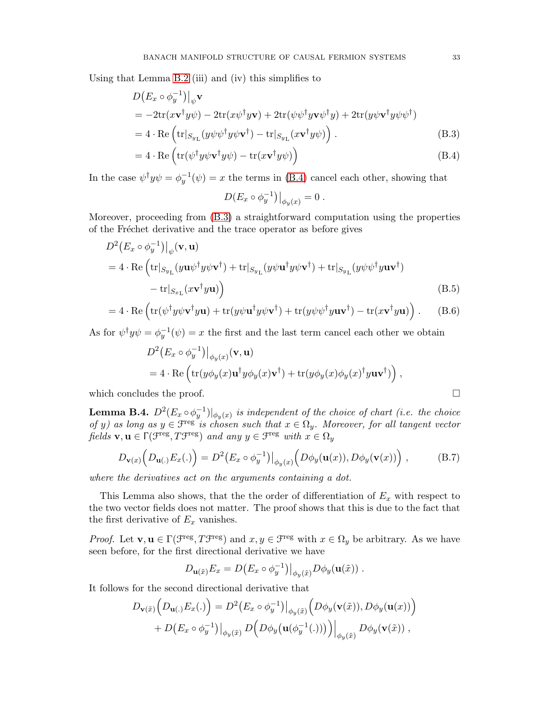Using that Lemma [B.2](#page-30-3) (iii) and (iv) this simplifies to

$$
D(E_x \circ \phi_y^{-1})\Big|_{\psi} \mathbf{v}
$$
  
=  $-2\text{tr}(x\mathbf{v}^{\dagger}y\psi) - 2\text{tr}(x\psi^{\dagger}y\mathbf{v}) + 2\text{tr}(\psi\psi^{\dagger}y\mathbf{v}\psi^{\dagger}y) + 2\text{tr}(y\psi\mathbf{v}^{\dagger}y\psi\psi^{\dagger})$   
=  $4 \cdot \text{Re}\left(\text{tr}|_{S_{y_{\text{L}}}}(y\psi\psi^{\dagger}y\psi\mathbf{v}^{\dagger}) - \text{tr}|_{S_{y_{\text{L}}}}(x\mathbf{v}^{\dagger}y\psi)\right).$  (B.3)

$$
=4 \cdot \text{Re}\left(\text{tr}(\psi^{\dagger}y\psi \mathbf{v}^{\dagger}y\psi) - \text{tr}(x\mathbf{v}^{\dagger}y\psi)\right) \tag{B.4}
$$

In the case  $\psi^{\dagger} y \psi = \phi_y^{-1}(\psi) = x$  the terms in [\(B.4\)](#page-32-0) cancel each other, showing that

<span id="page-32-4"></span><span id="page-32-1"></span><span id="page-32-0"></span>
$$
D(E_x \circ \phi_y^{-1})\big|_{\phi_y(x)} = 0.
$$

Moreover, proceeding from [\(B.3\)](#page-32-1) a straightforward computation using the properties of the Fréchet derivative and the trace operator as before gives

$$
D^{2}(E_{x} \circ \phi_{y}^{-1})|_{\psi}(\mathbf{v}, \mathbf{u})
$$
  
= 4 \cdot Re (tr|<sub>Sy<sub>L</sub></sub>(y\mathbf{u}\psi^{\dagger}y\psi\mathbf{v}^{\dagger}) + tr|<sub>Sy<sub>L</sub></sub>(y\psi\mathbf{u}^{\dagger}y\psi\mathbf{v}^{\dagger}) + tr|<sub>Sy<sub>L</sub></sub>(y\psi\psi^{\dagger}y\mathbf{u}\mathbf{v}^{\dagger})  
- tr|<sub>Sx<sub>L</sub></sub>(x\mathbf{v}^{\dagger}y\mathbf{u}) (B.5)

$$
= 4 \cdot \text{Re} \left( \text{tr}(\psi^{\dagger} y \psi \mathbf{v}^{\dagger} y \mathbf{u}) + \text{tr}(y \psi \mathbf{u}^{\dagger} y \psi \mathbf{v}^{\dagger}) + \text{tr}(y \psi \psi^{\dagger} y \mathbf{u} \mathbf{v}^{\dagger}) - \text{tr}(x \mathbf{v}^{\dagger} y \mathbf{u}) \right). \tag{B.6}
$$

As for  $\psi^{\dagger} y \psi = \phi^{-1}_{y}(\psi) = x$  the first and the last term cancel each other we obtain

$$
D^{2}(E_{x}\circ\phi_{y}^{-1})|_{\phi_{y}(x)}(\mathbf{v},\mathbf{u})
$$
  
= 4 \cdot Re (tr(y\phi\_{y}(x)\mathbf{u}^{\dagger}y\phi\_{y}(x)\mathbf{v}^{\dagger}) + tr(y\phi\_{y}(x)\phi\_{y}(x)^{\dagger}y\mathbf{u}\mathbf{v}^{\dagger})) ,

which concludes the proof.  $\Box$ 

<span id="page-32-3"></span>**Lemma B.4.**  $D^2(E_x \circ \phi_y^{-1})|_{\phi_y(x)}$  is independent of the choice of chart (i.e. the choice of y) as long as  $y \in \mathfrak{F}^{\text{reg}}$  is chosen such that  $x \in \Omega_y$ . Moreover, for all tangent vector fields  $\mathbf{v}, \mathbf{u} \in \Gamma(\mathcal{F}^{\text{reg}}, T\mathcal{F}^{\text{reg}})$  and any  $y \in \mathcal{F}^{\text{reg}}$  with  $x \in \Omega_y$ 

$$
D_{\mathbf{v}(x)}\left(D_{\mathbf{u}(\cdot)}E_x(\cdot)\right) = D^2\left(E_x \circ \phi_y^{-1}\right)\big|_{\phi_y(x)}\left(D\phi_y(\mathbf{u}(x)), D\phi_y(\mathbf{v}(x))\right),\tag{B.7}
$$

where the derivatives act on the arguments containing a dot.

This Lemma also shows, that the the order of differentiation of  $E_x$  with respect to the two vector fields does not matter. The proof shows that this is due to the fact that the first derivative of  $E_x$  vanishes.

*Proof.* Let  $\mathbf{v}, \mathbf{u} \in \Gamma(\mathcal{F}^{\text{reg}}, T\mathcal{F}^{\text{reg}})$  and  $x, y \in \mathcal{F}^{\text{reg}}$  with  $x \in \Omega_y$  be arbitrary. As we have seen before, for the first directional derivative we have

<span id="page-32-2"></span>
$$
D_{\mathbf{u}(\tilde{x})}E_x = D(E_x \circ \phi_y^{-1})|_{\phi_y(\tilde{x})} D\phi_y(\mathbf{u}(\tilde{x})) .
$$

It follows for the second directional derivative that

$$
D_{\mathbf{v}(\tilde{x})}\Big(D_{\mathbf{u}(.)}E_x(.)\Big) = D^2\big(E_x \circ \phi_y^{-1}\big)\big|_{\phi_y(\tilde{x})}\Big(D\phi_y(\mathbf{v}(\tilde{x})), D\phi_y(\mathbf{u}(x))\Big) + D\big(E_x \circ \phi_y^{-1}\big)\big|_{\phi_y(\tilde{x})} D\Big(D\phi_y(\mathbf{u}(\phi_y^{-1}(.)))\Big)\big|_{\phi_y(\tilde{x})} D\phi_y(\mathbf{v}(\tilde{x})) ,
$$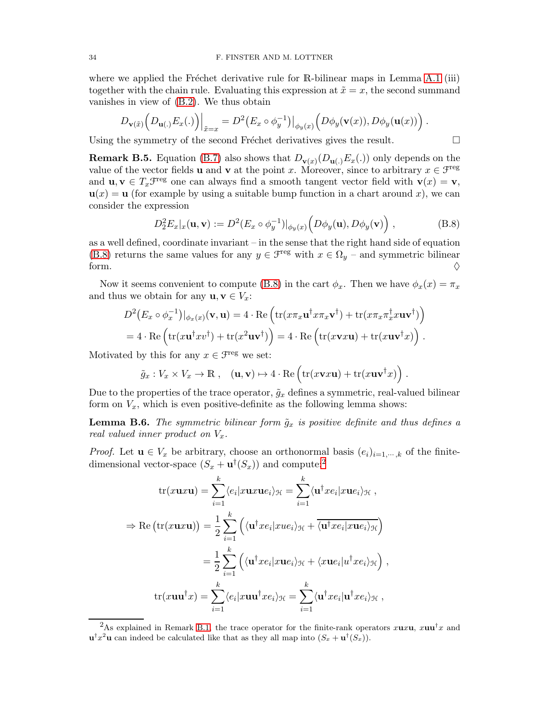where we applied the Fréchet derivative rule for R-bilinear maps in Lemma [A.1](#page-27-1) (iii) together with the chain rule. Evaluating this expression at  $\tilde{x} = x$ , the second summand vanishes in view of [\(B.2\)](#page-31-0). We thus obtain

$$
D_{\mathbf{v}(\tilde{x})}\left(D_{\mathbf{u}(.)}E_x(.)\right)\Big|_{\tilde{x}=x}=D^2\big(E_x\circ\phi_y^{-1}\big)\big|_{\phi_y(x)}\left(D\phi_y(\mathbf{v}(x)),D\phi_y(\mathbf{u}(x))\right).
$$

Using the symmetry of the second Fréchet derivatives gives the result.

<span id="page-33-3"></span>**Remark B.5.** Equation [\(B.7\)](#page-32-2) also shows that  $D_{\mathbf{v}(x)}(D_{\mathbf{u}(\cdot)}E_x(\cdot))$  only depends on the value of the vector fields **u** and **v** at the point x. Moreover, since to arbitrary  $x \in \mathcal{F}^{\text{reg}}$ and  $\mathbf{u}, \mathbf{v} \in T_x \mathcal{F}^{\text{reg}}$  one can always find a smooth tangent vector field with  $\mathbf{v}(x) = \mathbf{v}$ ,  $u(x) = u$  (for example by using a suitable bump function in a chart around x), we can consider the expression

$$
D_2^2 E_x|_x(\mathbf{u}, \mathbf{v}) := D^2(E_x \circ \phi_y^{-1})|_{\phi_y(x)} \left( D\phi_y(\mathbf{u}), D\phi_y(\mathbf{v}) \right), \tag{B.8}
$$

as a well defined, coordinate invariant – in the sense that the right hand side of equation [\(B.8\)](#page-33-1) returns the same values for any  $y \in \mathcal{F}^{\text{reg}}$  with  $x \in \Omega_y$  – and symmetric bilinear form.  $\diamondsuit$ 

Now it seems convenient to compute [\(B.8\)](#page-33-1) in the cart  $\phi_x$ . Then we have  $\phi_x(x) = \pi_x$ and thus we obtain for any  $\mathbf{u}, \mathbf{v} \in V_x$ :

$$
D^{2}(E_{x} \circ \phi_{x}^{-1})|_{\phi_{x}(x)}(\mathbf{v}, \mathbf{u}) = 4 \cdot \text{Re}\left(\text{tr}(x\pi_{x}\mathbf{u}^{\dagger}x\pi_{x}\mathbf{v}^{\dagger}) + \text{tr}(x\pi_{x}\pi_{x}^{\dagger}x\mathbf{u}\mathbf{v}^{\dagger})\right)
$$
  
= 4 \cdot \text{Re}\left(\text{tr}(x\mathbf{u}^{\dagger}xv^{\dagger}) + \text{tr}(x^{2}\mathbf{u}\mathbf{v}^{\dagger})\right) = 4 \cdot \text{Re}\left(\text{tr}(x\mathbf{v}x\mathbf{u}) + \text{tr}(x\mathbf{u}\mathbf{v}^{\dagger}x)\right).

Motivated by this for any  $x \in \mathcal{F}^{\text{reg}}$  we set:

$$
\tilde{g}_x : V_x \times V_x \to \mathbb{R}, \quad (\mathbf{u}, \mathbf{v}) \mapsto 4 \cdot \text{Re} \left( \text{tr}(x \mathbf{v} x \mathbf{u}) + \text{tr}(x \mathbf{u} \mathbf{v}^\dagger x) \right)
$$

Due to the properties of the trace operator,  $\tilde{g}_x$  defines a symmetric, real-valued bilinear form on  $V_x$ , which is even positive-definite as the following lemma shows:

<span id="page-33-0"></span>**Lemma B.6.** The symmetric bilinear form  $\tilde{g}_x$  is positive definite and thus defines a real valued inner product on  $V_x$ .

*Proof.* Let  $\mathbf{u} \in V_x$  be arbitrary, choose an orthonormal basis  $(e_i)_{i=1,\dots,k}$  of the finitedimensional vector-space  $(S_x + \mathbf{u}^\dagger(S_x))$  and compute:<sup>[2](#page-33-2)</sup>

$$
\text{tr}(x \mathbf{u}x \mathbf{u}) = \sum_{i=1}^{k} \langle e_i | x \mathbf{u}x \mathbf{u}e_i \rangle_{\mathcal{H}} = \sum_{i=1}^{k} \langle \mathbf{u}^{\dagger} x e_i | x \mathbf{u}e_i \rangle_{\mathcal{H}},
$$
  
\n
$$
\Rightarrow \text{Re} (\text{tr}(x \mathbf{u}x \mathbf{u})) = \frac{1}{2} \sum_{i=1}^{k} \left( \langle \mathbf{u}^{\dagger} x e_i | x u e_i \rangle_{\mathcal{H}} + \overline{\langle \mathbf{u}^{\dagger} x e_i | x u e_i \rangle_{\mathcal{H}}} \right)
$$
  
\n
$$
= \frac{1}{2} \sum_{i=1}^{k} \left( \langle \mathbf{u}^{\dagger} x e_i | x u e_i \rangle_{\mathcal{H}} + \langle x u e_i | u^{\dagger} x e_i \rangle_{\mathcal{H}} \right),
$$
  
\n
$$
\text{tr}(x \mathbf{u} \mathbf{u}^{\dagger}x) = \sum_{i=1}^{k} \langle e_i | x \mathbf{u} \mathbf{u}^{\dagger} x e_i \rangle_{\mathcal{H}} = \sum_{i=1}^{k} \langle \mathbf{u}^{\dagger} x e_i | \mathbf{u}^{\dagger} x e_i \rangle_{\mathcal{H}},
$$

<span id="page-33-1"></span>
$$
\qquad \qquad \Box
$$

.

<span id="page-33-2"></span><sup>&</sup>lt;sup>2</sup>As explained in Remark [B.1,](#page-30-2) the trace operator for the finite-rank operators xuxu, xuu<sup>†</sup>x and  $\mathbf{u}^{\dagger}x^2\mathbf{u}$  can indeed be calculated like that as they all map into  $(S_x + \mathbf{u}^{\dagger}(S_x)).$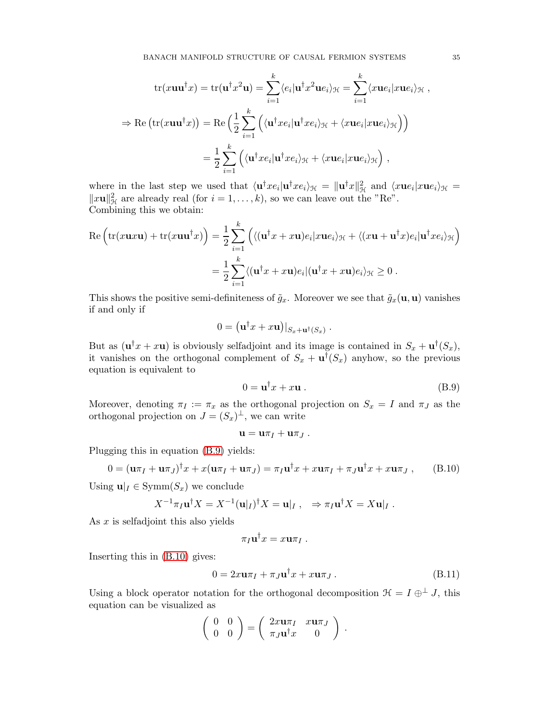$$
\operatorname{tr}(x\mathbf{u}\mathbf{u}^{\dagger}x) = \operatorname{tr}(\mathbf{u}^{\dagger}x^{2}\mathbf{u}) = \sum_{i=1}^{k} \langle e_{i} | \mathbf{u}^{\dagger}x^{2} \mathbf{u}e_{i} \rangle_{\mathcal{H}} = \sum_{i=1}^{k} \langle x\mathbf{u}e_{i} | x\mathbf{u}e_{i} \rangle_{\mathcal{H}},
$$
  
\n
$$
\Rightarrow \operatorname{Re}\left(\operatorname{tr}(x\mathbf{u}\mathbf{u}^{\dagger}x)\right) = \operatorname{Re}\left(\frac{1}{2}\sum_{i=1}^{k} \left(\langle \mathbf{u}^{\dagger}x e_{i} | \mathbf{u}^{\dagger}x e_{i} \rangle_{\mathcal{H}} + \langle x\mathbf{u}e_{i} | x\mathbf{u}e_{i} \rangle_{\mathcal{H}}\right)\right)
$$
  
\n
$$
= \frac{1}{2} \sum_{i=1}^{k} \left(\langle \mathbf{u}^{\dagger}x e_{i} | \mathbf{u}^{\dagger}x e_{i} \rangle_{\mathcal{H}} + \langle x\mathbf{u}e_{i} | x\mathbf{u}e_{i} \rangle_{\mathcal{H}}\right),
$$

where in the last step we used that  $\langle {\bf u}^{\dagger}xe_i|{\bf u}^{\dagger}xe_i\rangle_{\mathcal{H}} = \|{\bf u}^{\dagger}x\|_{\mathcal{H}}^2$  and  $\langle x{\bf u}e_i|x{\bf u}e_i\rangle_{\mathcal{H}} =$  $||x\mathbf{u}||_{\mathcal{H}}^2$  are already real (for  $i = 1, \ldots, k$ ), so we can leave out the "Re". Combining this we obtain:

$$
\operatorname{Re}\left(\operatorname{tr}(x\mathbf{u}x\mathbf{u}) + \operatorname{tr}(x\mathbf{u}\mathbf{u}^{\dagger}x)\right) = \frac{1}{2}\sum_{i=1}^{k} \left( \langle (\mathbf{u}^{\dagger}x + x\mathbf{u})e_i | x\mathbf{u}e_i \rangle_{\mathcal{H}} + \langle (x\mathbf{u} + \mathbf{u}^{\dagger}x)e_i | \mathbf{u}^{\dagger}xe_i \rangle_{\mathcal{H}} \right)
$$

$$
= \frac{1}{2}\sum_{i=1}^{k} \langle (\mathbf{u}^{\dagger}x + x\mathbf{u})e_i | (\mathbf{u}^{\dagger}x + x\mathbf{u})e_i \rangle_{\mathcal{H}} \ge 0.
$$

This shows the positive semi-definiteness of  $\tilde{g}_x$ . Moreover we see that  $\tilde{g}_x(\mathbf{u}, \mathbf{u})$  vanishes if and only if

$$
0 = (\mathbf{u}^\dagger x + x\mathbf{u})|_{S_x + \mathbf{u}^\dagger(S_x)}.
$$

But as  $(\mathbf{u}^\dagger x + x \mathbf{u})$  is obviously selfadjoint and its image is contained in  $S_x + \mathbf{u}^\dagger (S_x)$ , it vanishes on the orthogonal complement of  $S_x + \mathbf{u}^\dagger(S_x)$  anyhow, so the previous equation is equivalent to

<span id="page-34-0"></span>
$$
0 = \mathbf{u}^{\dagger} x + x \mathbf{u} \,. \tag{B.9}
$$

Moreover, denoting  $\pi_I := \pi_x$  as the orthogonal projection on  $S_x = I$  and  $\pi_J$  as the orthogonal projection on  $J = (S_x)^{\perp}$ , we can write

<span id="page-34-1"></span>
$$
\mathbf{u} = \mathbf{u}\pi_I + \mathbf{u}\pi_J.
$$

Plugging this in equation [\(B.9\)](#page-34-0) yields:

$$
0 = (\mathbf{u}\pi_I + \mathbf{u}\pi_J)^{\dagger} x + x(\mathbf{u}\pi_I + \mathbf{u}\pi_J) = \pi_I \mathbf{u}^{\dagger} x + x \mathbf{u}\pi_I + \pi_J \mathbf{u}^{\dagger} x + x \mathbf{u}\pi_J , \quad (B.10)
$$

Using  $\mathbf{u}|_I \in \text{Symm}(S_x)$  we conclude

$$
X^{-1}\pi_I \mathbf{u}^\dagger X = X^{-1}(\mathbf{u}|_I)^\dagger X = \mathbf{u}|_I \,, \quad \Rightarrow \pi_I \mathbf{u}^\dagger X = X \mathbf{u}|_I \,.
$$

As  $x$  is selfadjoint this also yields

<span id="page-34-2"></span>
$$
\pi_I \mathbf{u}^\dagger x = x \mathbf{u} \pi_I \; .
$$

Inserting this in [\(B.10\)](#page-34-1) gives:

$$
0 = 2x\mathbf{u}\pi_I + \pi_J\mathbf{u}^\dagger x + x\mathbf{u}\pi_J.
$$
 (B.11)

Using a block operator notation for the orthogonal decomposition  $\mathcal{H} = I \oplus^{\perp} J$ , this equation can be visualized as

$$
\left(\begin{array}{cc} 0 & 0 \\ 0 & 0 \end{array}\right) = \left(\begin{array}{cc} 2x\mathbf{u}\pi_I & x\mathbf{u}\pi_J \\ \pi_J\mathbf{u}^\dagger x & 0 \end{array}\right) .
$$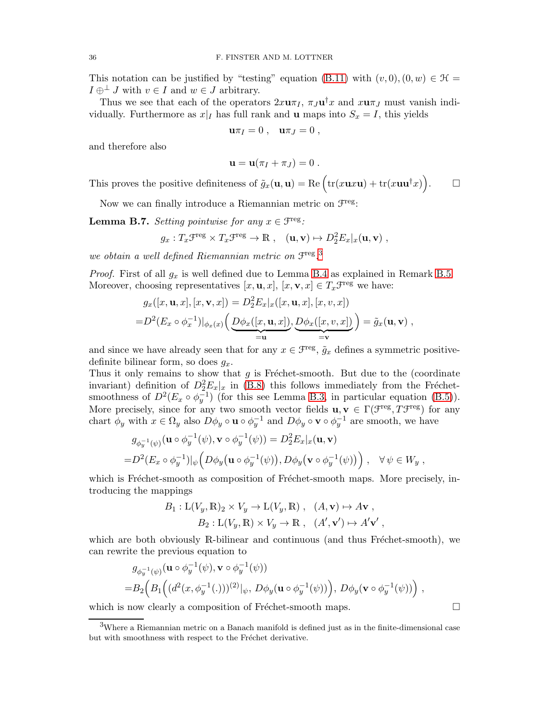This notation can be justified by "testing" equation [\(B.11\)](#page-34-2) with  $(v, 0), (0, w) \in \mathcal{H}$  =  $I \oplus^{\perp} J$  with  $v \in I$  and  $w \in J$  arbitrary.

Thus we see that each of the operators  $2x\mathbf{u}\pi_I$ ,  $\pi_J\mathbf{u}^\dagger x$  and  $x\mathbf{u}\pi_J$  must vanish individually. Furthermore as  $x|_I$  has full rank and **u** maps into  $S_x = I$ , this yields

$$
\mathbf{u}\pi_I=0\ ,\quad \mathbf{u}\pi_J=0\ ,
$$

and therefore also

$$
\mathbf{u} = \mathbf{u}(\pi_I + \pi_J) = 0.
$$

This proves the positive definiteness of  $\tilde{g}_x(\mathbf{u}, \mathbf{u}) = \text{Re} \left( \text{tr}(x \mathbf{u} x \mathbf{u}) + \text{tr}(x \mathbf{u} \mathbf{u}^\dagger x) \right)$  $\Box$ 

Now we can finally introduce a Riemannian metric on  $\mathcal{F}^{\text{reg}}$ :

**Lemma B.7.** Setting pointwise for any  $x \in \mathcal{F}^{\text{reg}}$ .

$$
g_x: T_x \mathcal{F}^{\text{reg}} \times T_x \mathcal{F}^{\text{reg}} \to \mathbb{R}, \quad (\mathbf{u}, \mathbf{v}) \mapsto D_2^2 E_x |_{x}(\mathbf{u}, \mathbf{v}),
$$

we obtain a well defined Riemannian metric on  $\mathfrak{F}^{\rm reg}.^3$  $\mathfrak{F}^{\rm reg}.^3$ 

*Proof.* First of all  $g_x$  is well defined due to Lemma [B.4](#page-32-3) as explained in Remark [B.5.](#page-33-3) Moreover, choosing representatives  $[x, \mathbf{u}, x]$ ,  $[x, \mathbf{v}, x] \in T_x \mathcal{F}^{\text{reg}}$  we have:

$$
g_x([x, \mathbf{u}, x], [x, \mathbf{v}, x]) = D_2^2 E_x |_x([x, \mathbf{u}, x], [x, v, x])
$$
  
=  $D^2(E_x \circ \phi_x^{-1})|_{\phi_x(x)} \Big( \underbrace{D\phi_x([x, \mathbf{u}, x])}_{= \mathbf{u}}, \underbrace{D\phi_x([x, v, x])}_{= \mathbf{v}} \Big) = \tilde{g}_x(\mathbf{u}, \mathbf{v}),$ 

and since we have already seen that for any  $x \in \mathcal{F}^{\text{reg}}, \tilde{g}_x$  defines a symmetric positivedefinite bilinear form, so does  $q_x$ .

Thus it only remains to show that  $g$  is Fréchet-smooth. But due to the (coordinate invariant) definition of  $D_2^2 E_x|x|$  in [\(B.8\)](#page-33-1) this follows immediately from the Fréchetsmoothness of  $D^2(E_x \circ \phi_y^{-1})$  (for this see Lemma [B.3,](#page-31-1) in particular equation [\(B.5\)](#page-32-4)). More precisely, since for any two smooth vector fields  $\mathbf{u}, \mathbf{v} \in \Gamma(\mathcal{F}^{\text{reg}}, T\mathcal{F}^{\text{reg}})$  for any chart  $\phi_y$  with  $x \in \Omega_y$  also  $D\phi_y \circ \mathbf{u} \circ \phi_y^{-1}$  and  $D\phi_y \circ \mathbf{v} \circ \phi_y^{-1}$  are smooth, we have

$$
g_{\phi_y^{-1}(\psi)}(\mathbf{u} \circ \phi_y^{-1}(\psi), \mathbf{v} \circ \phi_y^{-1}(\psi)) = D_2^2 E_x |_{x}(\mathbf{u}, \mathbf{v})
$$
  
=  $D^2(E_x \circ \phi_y^{-1})|_{\psi} \left(D\phi_y(\mathbf{u} \circ \phi_y^{-1}(\psi)), D\phi_y(\mathbf{v} \circ \phi_y^{-1}(\psi))\right), \quad \forall \psi \in W_y$ ,

which is Fréchet-smooth as composition of Fréchet-smooth maps. More precisely, introducing the mappings

$$
B_1: \mathcal{L}(V_y, \mathbb{R})_2 \times V_y \to \mathcal{L}(V_y, \mathbb{R}) , (A, \mathbf{v}) \mapsto A\mathbf{v} ,
$$
  

$$
B_2: \mathcal{L}(V_y, \mathbb{R}) \times V_y \to \mathbb{R} , (A', \mathbf{v}') \mapsto A'\mathbf{v}' ,
$$

which are both obviously  $\mathbb R$ -bilinear and continuous (and thus Fréchet-smooth), we can rewrite the previous equation to

$$
g_{\phi_y^{-1}(\psi)}(\mathbf{u} \circ \phi_y^{-1}(\psi), \mathbf{v} \circ \phi_y^{-1}(\psi))
$$
  
= $B_2\Big(B_1\Big((d^2(x, \phi_y^{-1}(.)))^{(2)}|_{\psi}, D\phi_y(\mathbf{u} \circ \phi_y^{-1}(\psi))\Big), D\phi_y(\mathbf{v} \circ \phi_y^{-1}(\psi))\Big),$ 

which is now clearly a composition of Fréchet-smooth maps.  $\Box$ 

<span id="page-35-0"></span> $3$ Where a Riemannian metric on a Banach manifold is defined just as in the finite-dimensional case but with smoothness with respect to the Fréchet derivative.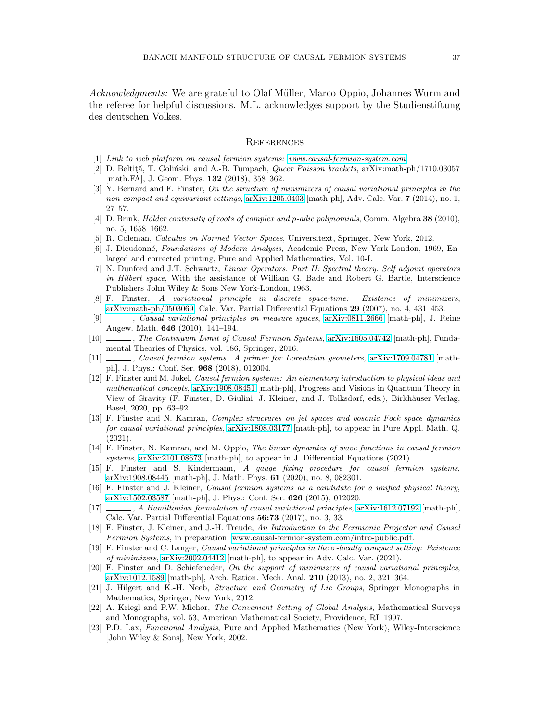Acknowledgments: We are grateful to Olaf Müller, Marco Oppio, Johannes Wurm and the referee for helpful discussions. M.L. acknowledges support by the Studienstiftung des deutschen Volkes.

### <span id="page-36-0"></span>**REFERENCES**

- <span id="page-36-18"></span><span id="page-36-5"></span>[1] *Link to web platform on causal fermion systems: [www.causal-fermion-system.com](https://www.causal-fermion-system.com)*.
- [2] D. Beltită, T. Goliński, and A.-B. Tumpach, *Queer Poisson brackets*, arXiv:math-ph/1710.03057 [math.FA], J. Geom. Phys. **132** (2018), 358-362.
- <span id="page-36-12"></span>[3] Y. Bernard and F. Finster, *On the structure of minimizers of causal variational principles in the non-compact and equivariant settings*, [arXiv:1205.0403](http://arxiv.org/abs/1205.0403) [math-ph], Adv. Calc. Var. 7 (2014), no. 1, 27–57.
- <span id="page-36-20"></span>[4] D. Brink, *H¨older continuity of roots of complex and* p*-adic polynomials*, Comm. Algebra 38 (2010), no. 5, 1658–1662.
- <span id="page-36-14"></span><span id="page-36-13"></span>[5] R. Coleman, *Calculus on Normed Vector Spaces*, Universitext, Springer, New York, 2012.
- [6] J. Dieudonn´e, *Foundations of Modern Analysis*, Academic Press, New York-London, 1969, Enlarged and corrected printing, Pure and Applied Mathematics, Vol. 10-I.
- <span id="page-36-19"></span>[7] N. Dunford and J.T. Schwartz, *Linear Operators. Part II: Spectral theory. Self adjoint operators in Hilbert space*, With the assistance of William G. Bade and Robert G. Bartle, Interscience Publishers John Wiley & Sons New York-London, 1963.
- <span id="page-36-11"></span>[8] F. Finster, *A variational principle in discrete space-time: Existence of minimizers*, [arXiv:math-ph/0503069,](http://arxiv.org/abs/math-ph/0503069) Calc. Var. Partial Differential Equations 29 (2007), no. 4, 431–453.
- <span id="page-36-6"></span>[9] , *Causal variational principles on measure spaces*, [arXiv:0811.2666](http://arxiv.org/abs/0811.2666) [math-ph], J. Reine Angew. Math. 646 (2010), 141–194.
- <span id="page-36-4"></span>[10] , *The Continuum Limit of Causal Fermion Systems*, [arXiv:1605.04742](http://arxiv.org/abs/1605.04742) [math-ph], Fundamental Theories of Physics, vol. 186, Springer, 2016.
- <span id="page-36-1"></span>[11] , *Causal fermion systems: A primer for Lorentzian geometers*, [arXiv:1709.04781](http://arxiv.org/abs/1709.04781) [mathph], J. Phys.: Conf. Ser. 968 (2018), 012004.
- <span id="page-36-2"></span>[12] F. Finster and M. Jokel, *Causal fermion systems: An elementary introduction to physical ideas and mathematical concepts*, [arXiv:1908.08451](http://arxiv.org/abs/1908.08451) [math-ph], Progress and Visions in Quantum Theory in View of Gravity (F. Finster, D. Giulini, J. Kleiner, and J. Tolksdorf, eds.), Birkhäuser Verlag, Basel, 2020, pp. 63–92.
- <span id="page-36-22"></span>[13] F. Finster and N. Kamran, *Complex structures on jet spaces and bosonic Fock space dynamics for causal variational principles*, [arXiv:1808.03177](http://arxiv.org/abs/1808.03177) [math-ph], to appear in Pure Appl. Math. Q. (2021).
- <span id="page-36-9"></span>[14] F. Finster, N. Kamran, and M. Oppio, *The linear dynamics of wave functions in causal fermion systems*, [arXiv:2101.08673](http://arxiv.org/abs/2101.08673) [math-ph], to appear in J. Differential Equations (2021).
- <span id="page-36-7"></span>[15] F. Finster and S. Kindermann, *A gauge fixing procedure for causal fermion systems*, [arXiv:1908.08445](http://arxiv.org/abs/1908.08445) [math-ph], J. Math. Phys. 61 (2020), no. 8, 082301.
- <span id="page-36-3"></span>[16] F. Finster and J. Kleiner, *Causal fermion systems as a candidate for a unified physical theory*, [arXiv:1502.03587](http://arxiv.org/abs/1502.03587) [math-ph], J. Phys.: Conf. Ser. 626 (2015), 012020.
- <span id="page-36-10"></span>[17] , *A Hamiltonian formulation of causal variational principles*, [arXiv:1612.07192](http://arxiv.org/abs/1612.07192) [math-ph], Calc. Var. Partial Differential Equations 56:73 (2017), no. 3, 33.
- <span id="page-36-15"></span>[18] F. Finster, J. Kleiner, and J.-H. Treude, *An Introduction to the Fermionic Projector and Causal Fermion Systems*, in preparation, [www.causal-fermion-system.com/intro-public.pdf.](https://causal-fermion-system.com/intro-public.pdf)
- <span id="page-36-8"></span>[19] F. Finster and C. Langer, *Causal variational principles in the* σ*-locally compact setting: Existence of minimizers*, [arXiv:2002.04412](http://arxiv.org/abs/2002.04412) [math-ph], to appear in Adv. Calc. Var. (2021).
- <span id="page-36-21"></span>[20] F. Finster and D. Schiefeneder, *On the support of minimizers of causal variational principles*, [arXiv:1012.1589](http://arxiv.org/abs/1012.1589) [math-ph], Arch. Ration. Mech. Anal. 210 (2013), no. 2, 321–364.
- <span id="page-36-16"></span>[21] J. Hilgert and K.-H. Neeb, *Structure and Geometry of Lie Groups*, Springer Monographs in Mathematics, Springer, New York, 2012.
- <span id="page-36-17"></span>[22] A. Kriegl and P.W. Michor, *The Convenient Setting of Global Analysis*, Mathematical Surveys and Monographs, vol. 53, American Mathematical Society, Providence, RI, 1997.
- <span id="page-36-23"></span>[23] P.D. Lax, *Functional Analysis*, Pure and Applied Mathematics (New York), Wiley-Interscience [John Wiley & Sons], New York, 2002.